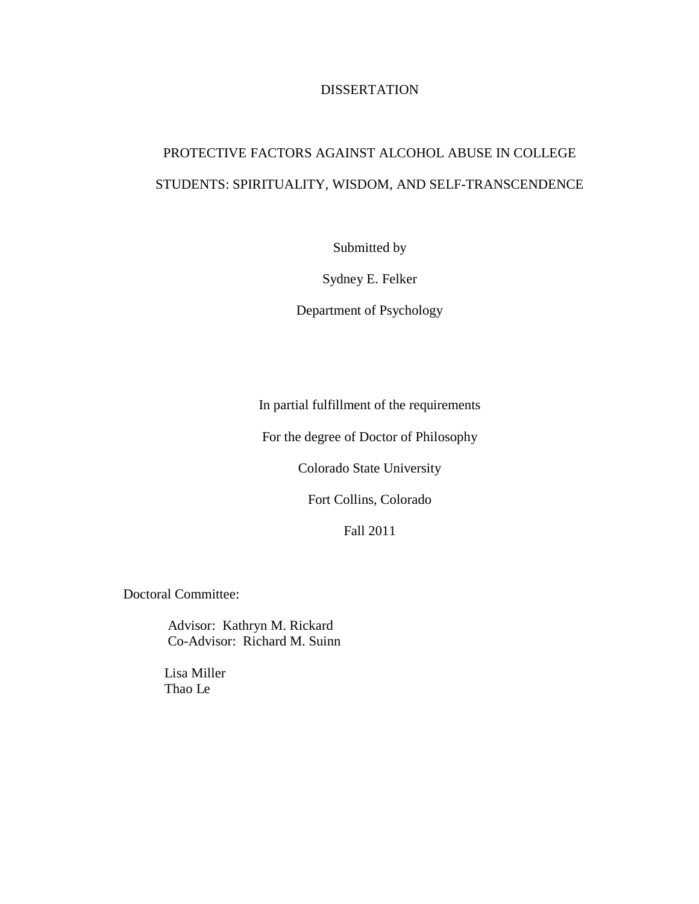# DISSERTATION

# PROTECTIVE FACTORS AGAINST ALCOHOL ABUSE IN COLLEGE STUDENTS: SPIRITUALITY, WISDOM, AND SELF-TRANSCENDENCE

Submitted by

Sydney E. Felker

Department of Psychology

In partial fulfillment of the requirements

For the degree of Doctor of Philosophy

Colorado State University

Fort Collins, Colorado

Fall 2011

Doctoral Committee:

Advisor: Kathryn M. Rickard Co-Advisor: Richard M. Suinn

Lisa Miller Thao Le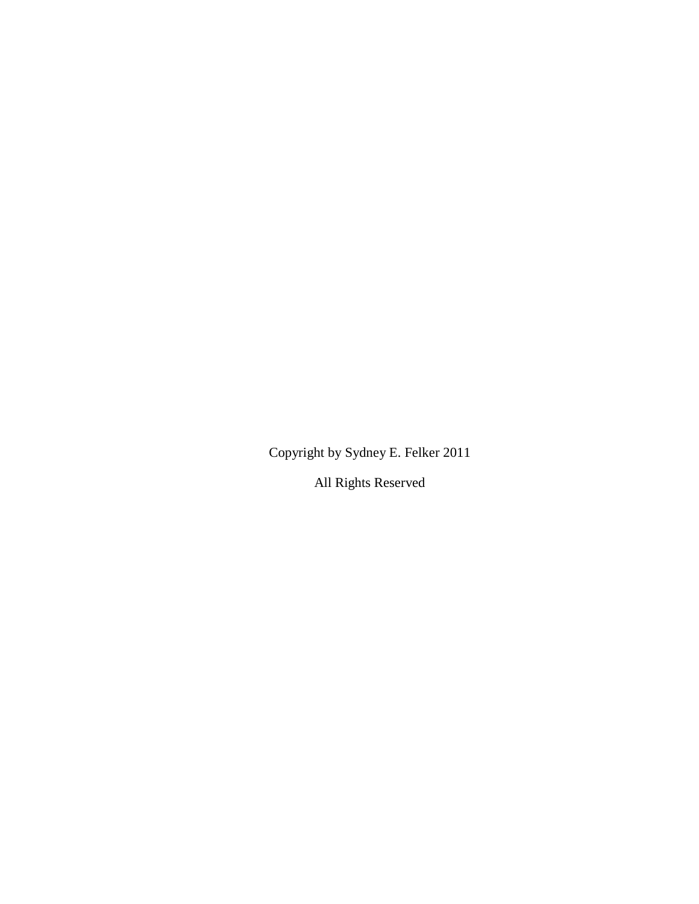Copyright by Sydney E. Felker 2011

All Rights Reserved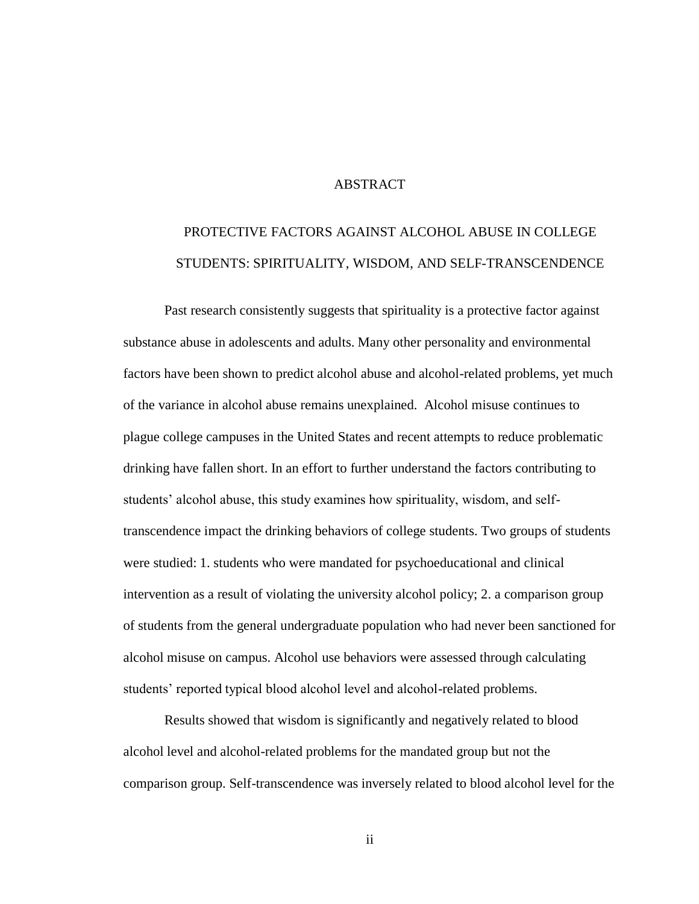## **ABSTRACT**

# PROTECTIVE FACTORS AGAINST ALCOHOL ABUSE IN COLLEGE STUDENTS: SPIRITUALITY, WISDOM, AND SELF-TRANSCENDENCE

Past research consistently suggests that spirituality is a protective factor against substance abuse in adolescents and adults. Many other personality and environmental factors have been shown to predict alcohol abuse and alcohol-related problems, yet much of the variance in alcohol abuse remains unexplained. Alcohol misuse continues to plague college campuses in the United States and recent attempts to reduce problematic drinking have fallen short. In an effort to further understand the factors contributing to students' alcohol abuse, this study examines how spirituality, wisdom, and selftranscendence impact the drinking behaviors of college students. Two groups of students were studied: 1. students who were mandated for psychoeducational and clinical intervention as a result of violating the university alcohol policy; 2. a comparison group of students from the general undergraduate population who had never been sanctioned for alcohol misuse on campus. Alcohol use behaviors were assessed through calculating students' reported typical blood alcohol level and alcohol-related problems.

Results showed that wisdom is significantly and negatively related to blood alcohol level and alcohol-related problems for the mandated group but not the comparison group. Self-transcendence was inversely related to blood alcohol level for the

ii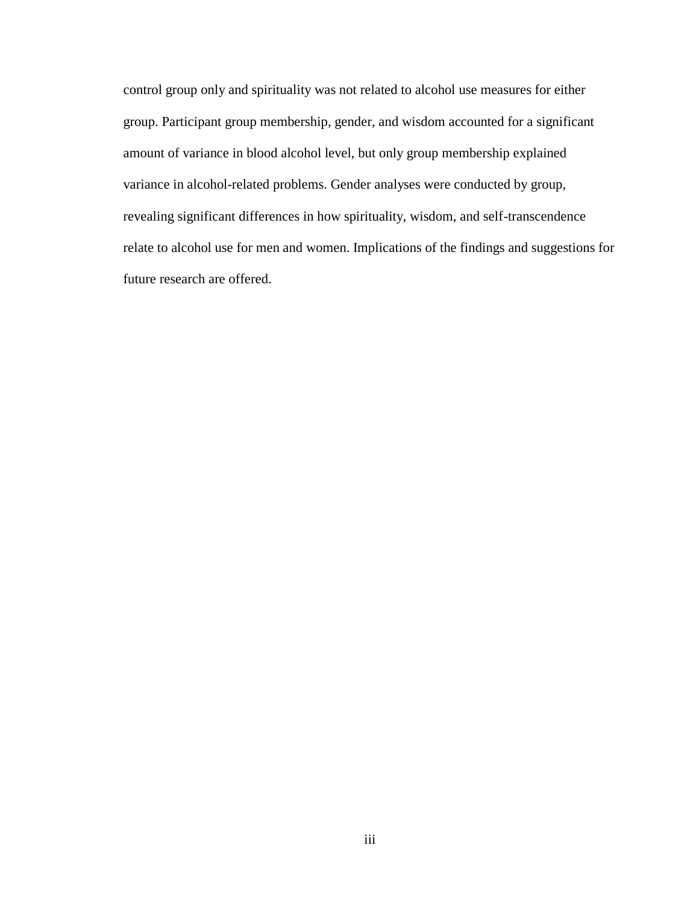control group only and spirituality was not related to alcohol use measures for either group. Participant group membership, gender, and wisdom accounted for a significant amount of variance in blood alcohol level, but only group membership explained variance in alcohol-related problems. Gender analyses were conducted by group, revealing significant differences in how spirituality, wisdom, and self-transcendence relate to alcohol use for men and women. Implications of the findings and suggestions for future research are offered.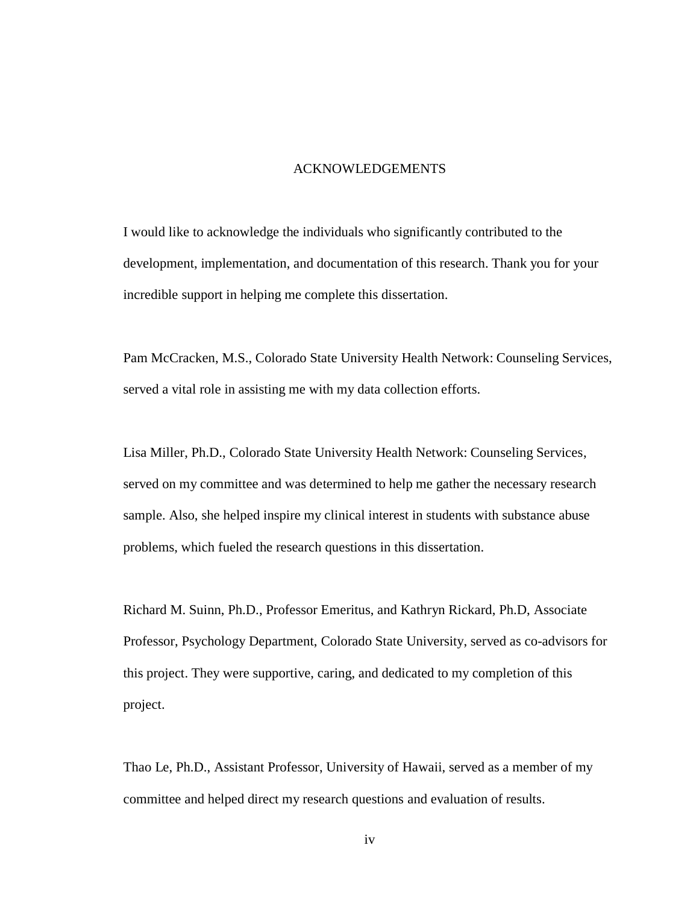#### ACKNOWLEDGEMENTS

I would like to acknowledge the individuals who significantly contributed to the development, implementation, and documentation of this research. Thank you for your incredible support in helping me complete this dissertation.

Pam McCracken, M.S., Colorado State University Health Network: Counseling Services, served a vital role in assisting me with my data collection efforts.

Lisa Miller, Ph.D., Colorado State University Health Network: Counseling Services, served on my committee and was determined to help me gather the necessary research sample. Also, she helped inspire my clinical interest in students with substance abuse problems, which fueled the research questions in this dissertation.

Richard M. Suinn, Ph.D., Professor Emeritus, and Kathryn Rickard, Ph.D, Associate Professor, Psychology Department, Colorado State University, served as co-advisors for this project. They were supportive, caring, and dedicated to my completion of this project.

Thao Le, Ph.D., Assistant Professor, University of Hawaii, served as a member of my committee and helped direct my research questions and evaluation of results.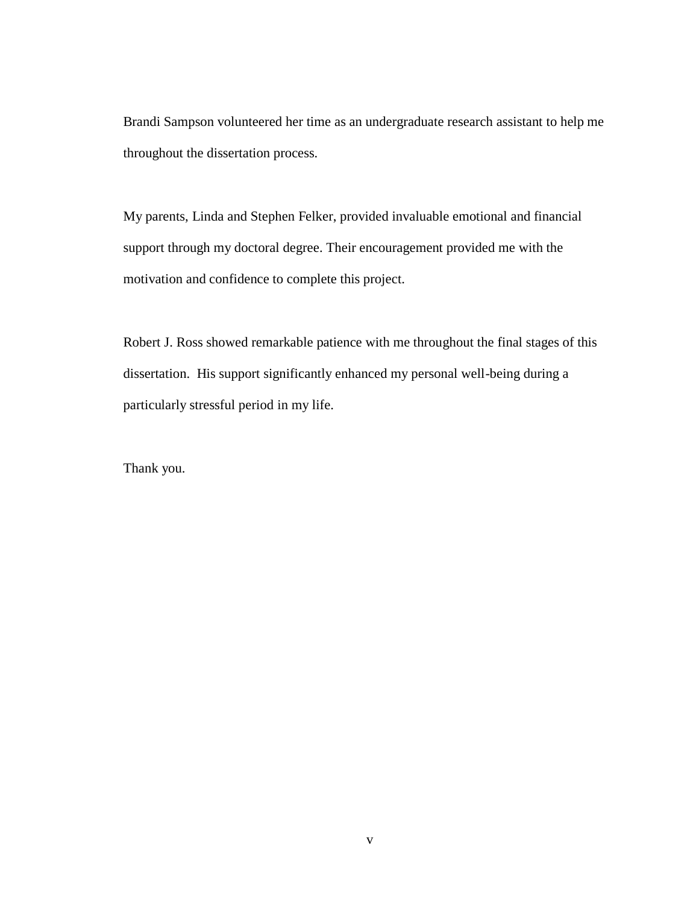Brandi Sampson volunteered her time as an undergraduate research assistant to help me throughout the dissertation process.

My parents, Linda and Stephen Felker, provided invaluable emotional and financial support through my doctoral degree. Their encouragement provided me with the motivation and confidence to complete this project.

Robert J. Ross showed remarkable patience with me throughout the final stages of this dissertation. His support significantly enhanced my personal well-being during a particularly stressful period in my life.

Thank you.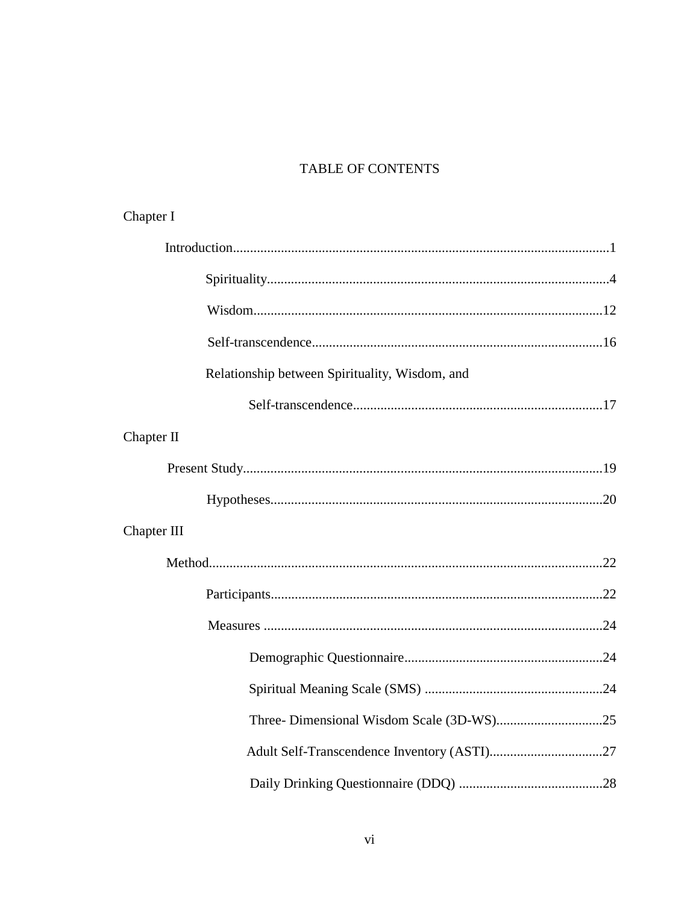# TABLE OF CONTENTS

|  | Chapter I                                      |  |  |  |
|--|------------------------------------------------|--|--|--|
|  |                                                |  |  |  |
|  |                                                |  |  |  |
|  |                                                |  |  |  |
|  |                                                |  |  |  |
|  | Relationship between Spirituality, Wisdom, and |  |  |  |
|  |                                                |  |  |  |
|  | Chapter II                                     |  |  |  |
|  |                                                |  |  |  |
|  |                                                |  |  |  |
|  | Chapter III                                    |  |  |  |
|  |                                                |  |  |  |
|  |                                                |  |  |  |
|  |                                                |  |  |  |
|  |                                                |  |  |  |
|  |                                                |  |  |  |
|  |                                                |  |  |  |
|  |                                                |  |  |  |
|  |                                                |  |  |  |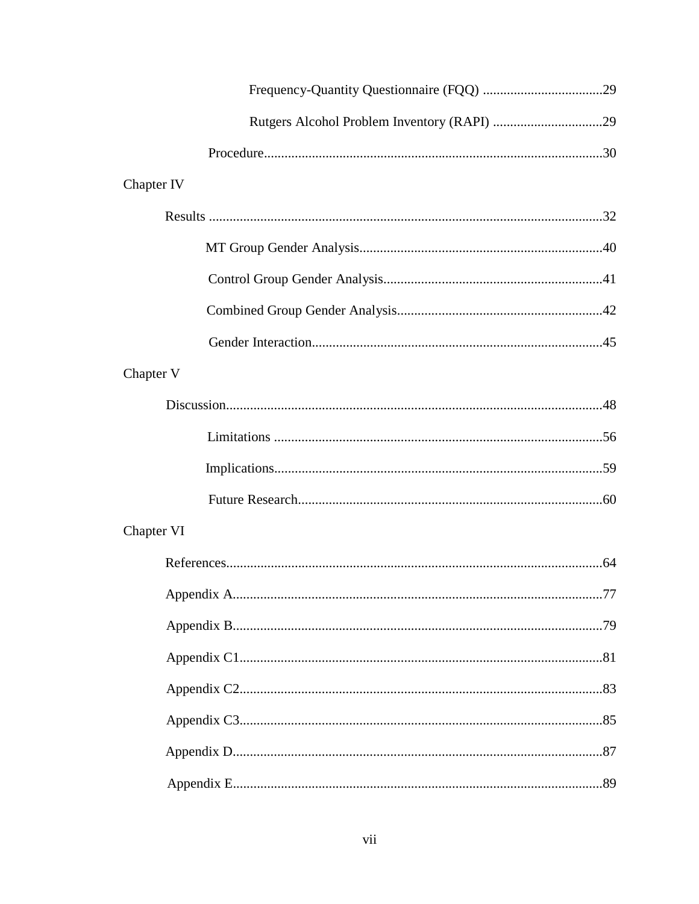| Chapter IV |  |
|------------|--|
|            |  |
|            |  |
|            |  |
|            |  |
|            |  |
| Chapter V  |  |
|            |  |
|            |  |
|            |  |
|            |  |
| Chapter VI |  |
|            |  |
|            |  |
|            |  |
|            |  |
|            |  |
|            |  |
|            |  |
|            |  |
|            |  |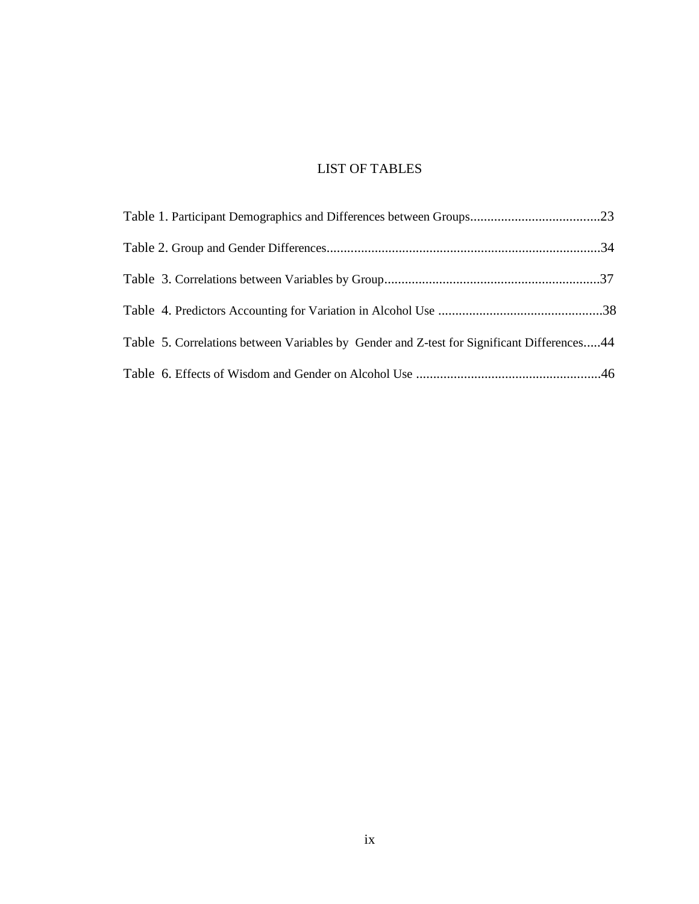# LIST OF TABLES

| Table 5. Correlations between Variables by Gender and Z-test for Significant Differences44 |  |
|--------------------------------------------------------------------------------------------|--|
|                                                                                            |  |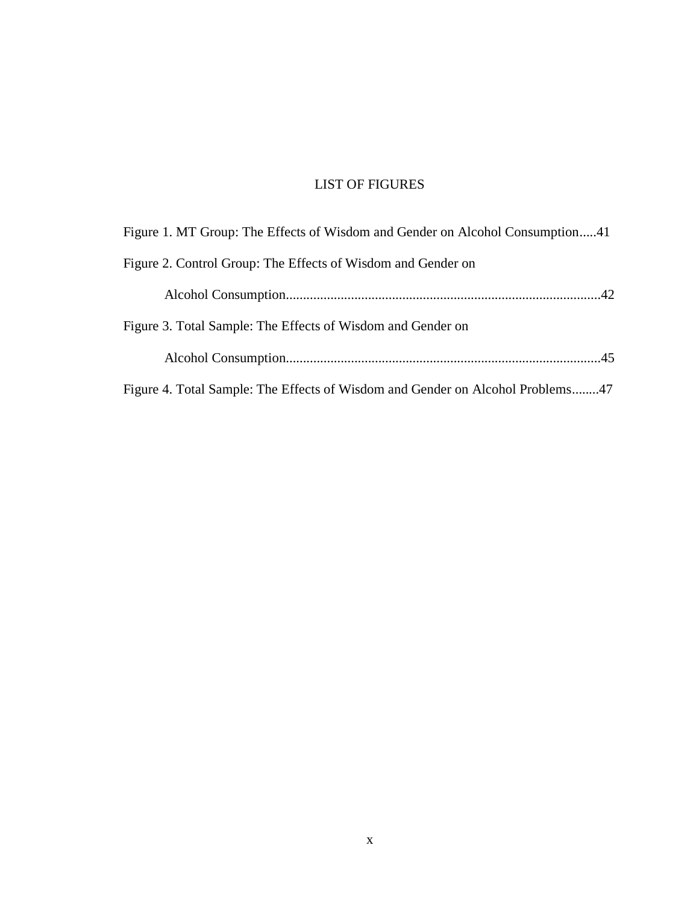# LIST OF FIGURES

| Figure 1. MT Group: The Effects of Wisdom and Gender on Alcohol Consumption41  |  |  |
|--------------------------------------------------------------------------------|--|--|
| Figure 2. Control Group: The Effects of Wisdom and Gender on                   |  |  |
|                                                                                |  |  |
| Figure 3. Total Sample: The Effects of Wisdom and Gender on                    |  |  |
|                                                                                |  |  |
| Figure 4. Total Sample: The Effects of Wisdom and Gender on Alcohol Problems47 |  |  |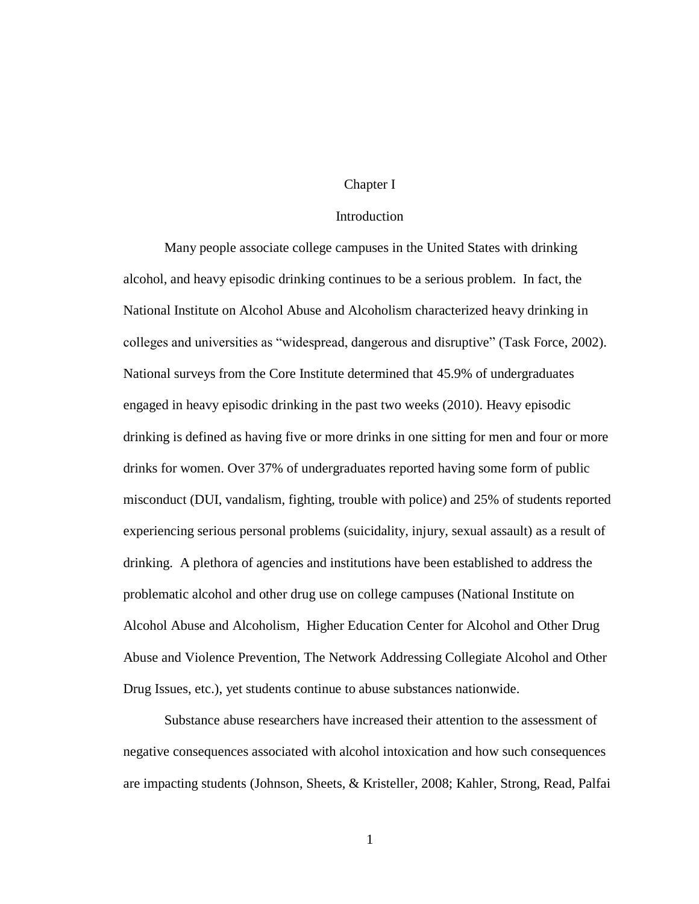## Chapter I

#### Introduction

Many people associate college campuses in the United States with drinking alcohol, and heavy episodic drinking continues to be a serious problem. In fact, the National Institute on Alcohol Abuse and Alcoholism characterized heavy drinking in colleges and universities as "widespread, dangerous and disruptive" (Task Force, 2002). National surveys from the Core Institute determined that 45.9% of undergraduates engaged in heavy episodic drinking in the past two weeks (2010). Heavy episodic drinking is defined as having five or more drinks in one sitting for men and four or more drinks for women. Over 37% of undergraduates reported having some form of public misconduct (DUI, vandalism, fighting, trouble with police) and 25% of students reported experiencing serious personal problems (suicidality, injury, sexual assault) as a result of drinking. A plethora of agencies and institutions have been established to address the problematic alcohol and other drug use on college campuses (National Institute on Alcohol Abuse and Alcoholism, Higher Education Center for Alcohol and Other Drug Abuse and Violence Prevention, The Network Addressing Collegiate Alcohol and Other Drug Issues, etc.), yet students continue to abuse substances nationwide.

Substance abuse researchers have increased their attention to the assessment of negative consequences associated with alcohol intoxication and how such consequences are impacting students (Johnson, Sheets, & Kristeller, 2008; Kahler, Strong, Read, Palfai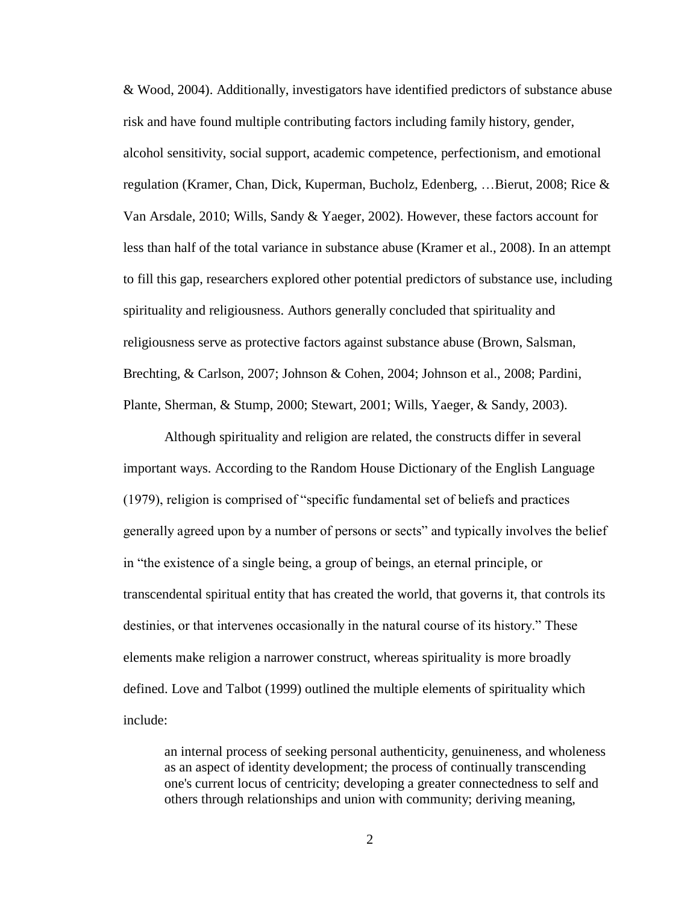& Wood, 2004). Additionally, investigators have identified predictors of substance abuse risk and have found multiple contributing factors including family history, gender, alcohol sensitivity, social support, academic competence, perfectionism, and emotional regulation (Kramer, Chan, Dick, Kuperman, Bucholz, Edenberg, …Bierut, 2008; Rice & Van Arsdale, 2010; Wills, Sandy & Yaeger, 2002). However, these factors account for less than half of the total variance in substance abuse (Kramer et al., 2008). In an attempt to fill this gap, researchers explored other potential predictors of substance use, including spirituality and religiousness. Authors generally concluded that spirituality and religiousness serve as protective factors against substance abuse (Brown, Salsman, Brechting, & Carlson, 2007; Johnson & Cohen, 2004; Johnson et al., 2008; Pardini, Plante, Sherman, & Stump, 2000; Stewart, 2001; Wills, Yaeger, & Sandy, 2003).

Although spirituality and religion are related, the constructs differ in several important ways. According to the Random House Dictionary of the English Language (1979), religion is comprised of "specific fundamental set of beliefs and practices generally agreed upon by a number of persons or sects" and typically involves the belief in "the existence of a single being, a group of beings, an eternal principle, or transcendental spiritual entity that has created the world, that governs it, that controls its destinies, or that intervenes occasionally in the natural course of its history." These elements make religion a narrower construct, whereas spirituality is more broadly defined. Love and Talbot (1999) outlined the multiple elements of spirituality which include:

an internal process of seeking personal authenticity, genuineness, and wholeness as an aspect of identity development; the process of continually transcending one's current locus of centricity; developing a greater connectedness to self and others through relationships and union with community; deriving meaning,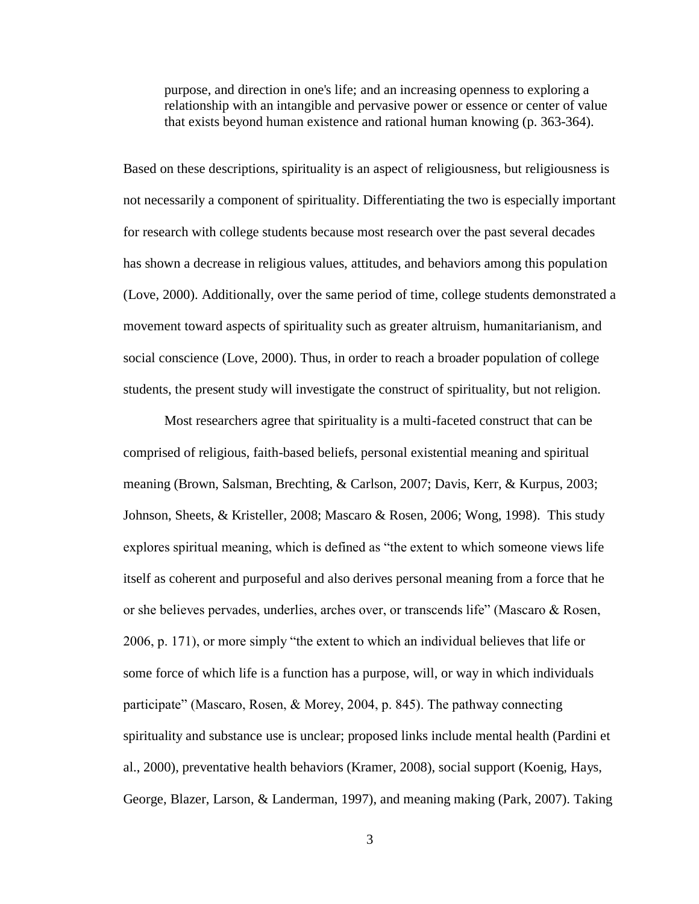purpose, and direction in one's life; and an increasing openness to exploring a relationship with an intangible and pervasive power or essence or center of value that exists beyond human existence and rational human knowing (p. 363-364).

Based on these descriptions, spirituality is an aspect of religiousness, but religiousness is not necessarily a component of spirituality. Differentiating the two is especially important for research with college students because most research over the past several decades has shown a decrease in religious values, attitudes, and behaviors among this population (Love, 2000). Additionally, over the same period of time, college students demonstrated a movement toward aspects of spirituality such as greater altruism, humanitarianism, and social conscience (Love, 2000). Thus, in order to reach a broader population of college students, the present study will investigate the construct of spirituality, but not religion.

Most researchers agree that spirituality is a multi-faceted construct that can be comprised of religious, faith-based beliefs, personal existential meaning and spiritual meaning (Brown, Salsman, Brechting, & Carlson, 2007; Davis, Kerr, & Kurpus, 2003; Johnson, Sheets, & Kristeller, 2008; Mascaro & Rosen, 2006; Wong, 1998). This study explores spiritual meaning, which is defined as "the extent to which someone views life itself as coherent and purposeful and also derives personal meaning from a force that he or she believes pervades, underlies, arches over, or transcends life" (Mascaro & Rosen, 2006, p. 171), or more simply "the extent to which an individual believes that life or some force of which life is a function has a purpose, will, or way in which individuals participate" (Mascaro, Rosen, & Morey, 2004, p. 845). The pathway connecting spirituality and substance use is unclear; proposed links include mental health (Pardini et al., 2000), preventative health behaviors (Kramer, 2008), social support (Koenig, Hays, George, Blazer, Larson, & Landerman, 1997), and meaning making (Park, 2007). Taking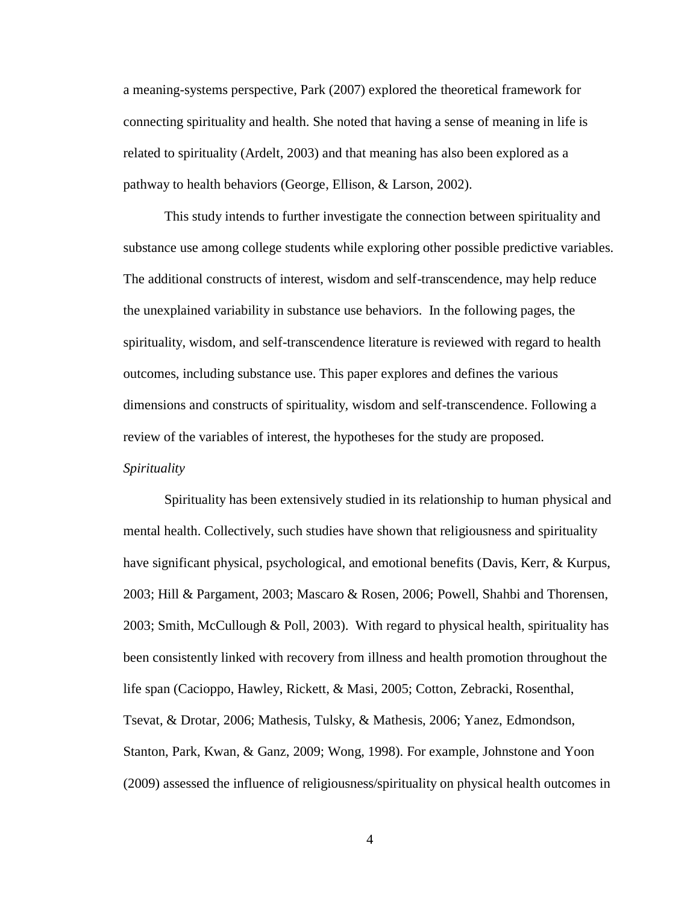a meaning-systems perspective, Park (2007) explored the theoretical framework for connecting spirituality and health. She noted that having a sense of meaning in life is related to spirituality (Ardelt, 2003) and that meaning has also been explored as a pathway to health behaviors (George, Ellison, & Larson, 2002).

This study intends to further investigate the connection between spirituality and substance use among college students while exploring other possible predictive variables. The additional constructs of interest, wisdom and self-transcendence, may help reduce the unexplained variability in substance use behaviors. In the following pages, the spirituality, wisdom, and self-transcendence literature is reviewed with regard to health outcomes, including substance use. This paper explores and defines the various dimensions and constructs of spirituality, wisdom and self-transcendence. Following a review of the variables of interest, the hypotheses for the study are proposed. *Spirituality*

Spirituality has been extensively studied in its relationship to human physical and mental health. Collectively, such studies have shown that religiousness and spirituality have significant physical, psychological, and emotional benefits (Davis, Kerr, & Kurpus, 2003; Hill & Pargament, 2003; Mascaro & Rosen, 2006; Powell, Shahbi and Thorensen, 2003; Smith, McCullough & Poll, 2003). With regard to physical health, spirituality has been consistently linked with recovery from illness and health promotion throughout the life span (Cacioppo, Hawley, Rickett, & Masi, 2005; Cotton, Zebracki, Rosenthal, Tsevat, & Drotar, 2006; Mathesis, Tulsky, & Mathesis, 2006; Yanez, Edmondson, Stanton, Park, Kwan, & Ganz, 2009; Wong, 1998). For example, Johnstone and Yoon (2009) assessed the influence of religiousness/spirituality on physical health outcomes in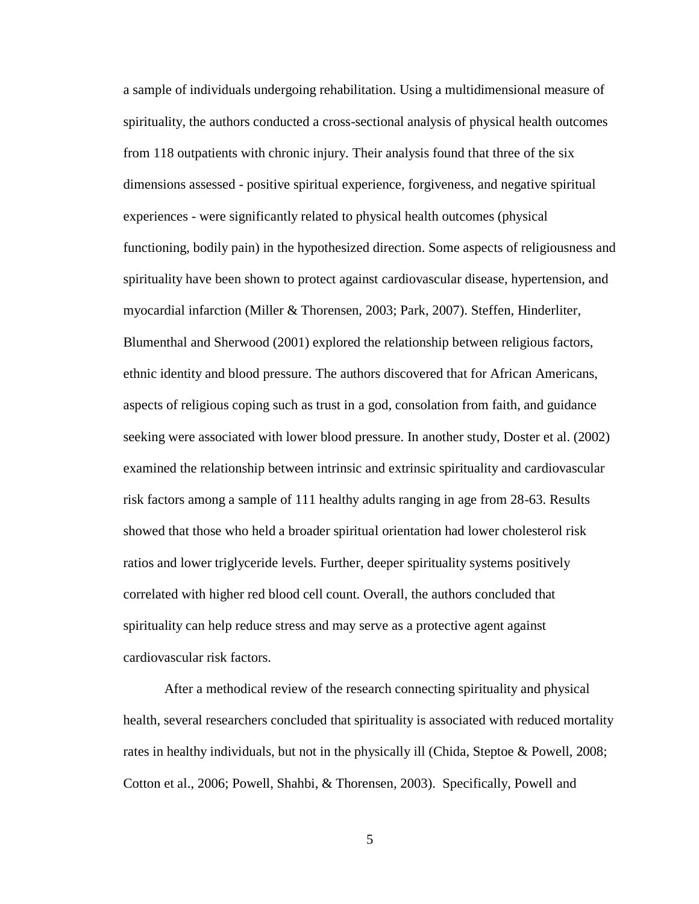a sample of individuals undergoing rehabilitation. Using a multidimensional measure of spirituality, the authors conducted a cross-sectional analysis of physical health outcomes from 118 outpatients with chronic injury. Their analysis found that three of the six dimensions assessed - positive spiritual experience, forgiveness, and negative spiritual experiences - were significantly related to physical health outcomes (physical functioning, bodily pain) in the hypothesized direction. Some aspects of religiousness and spirituality have been shown to protect against cardiovascular disease, hypertension, and myocardial infarction (Miller & Thorensen, 2003; Park, 2007). Steffen, Hinderliter, Blumenthal and Sherwood (2001) explored the relationship between religious factors, ethnic identity and blood pressure. The authors discovered that for African Americans, aspects of religious coping such as trust in a god, consolation from faith, and guidance seeking were associated with lower blood pressure. In another study, Doster et al. (2002) examined the relationship between intrinsic and extrinsic spirituality and cardiovascular risk factors among a sample of 111 healthy adults ranging in age from 28-63. Results showed that those who held a broader spiritual orientation had lower cholesterol risk ratios and lower triglyceride levels. Further, deeper spirituality systems positively correlated with higher red blood cell count. Overall, the authors concluded that spirituality can help reduce stress and may serve as a protective agent against cardiovascular risk factors.

After a methodical review of the research connecting spirituality and physical health, several researchers concluded that spirituality is associated with reduced mortality rates in healthy individuals, but not in the physically ill (Chida, Steptoe & Powell, 2008; Cotton et al., 2006; Powell, Shahbi, & Thorensen, 2003). Specifically, Powell and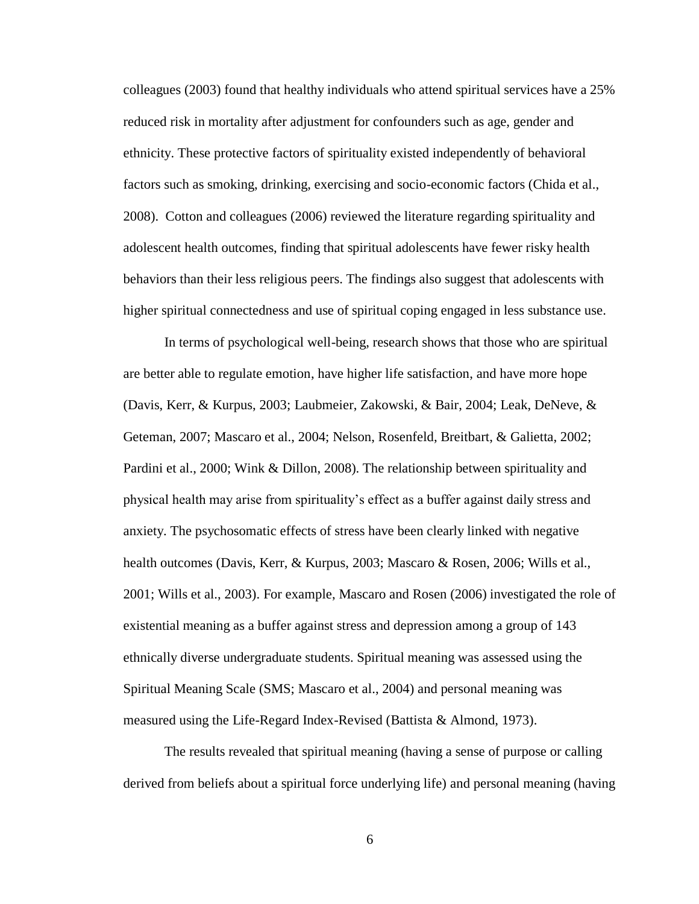colleagues (2003) found that healthy individuals who attend spiritual services have a 25% reduced risk in mortality after adjustment for confounders such as age, gender and ethnicity. These protective factors of spirituality existed independently of behavioral factors such as smoking, drinking, exercising and socio-economic factors (Chida et al., 2008). Cotton and colleagues (2006) reviewed the literature regarding spirituality and adolescent health outcomes, finding that spiritual adolescents have fewer risky health behaviors than their less religious peers. The findings also suggest that adolescents with higher spiritual connectedness and use of spiritual coping engaged in less substance use.

In terms of psychological well-being, research shows that those who are spiritual are better able to regulate emotion, have higher life satisfaction, and have more hope (Davis, Kerr, & Kurpus, 2003; Laubmeier, Zakowski, & Bair, 2004; Leak, DeNeve, & Geteman, 2007; Mascaro et al., 2004; Nelson, Rosenfeld, Breitbart, & Galietta, 2002; Pardini et al., 2000; Wink & Dillon, 2008). The relationship between spirituality and physical health may arise from spirituality's effect as a buffer against daily stress and anxiety. The psychosomatic effects of stress have been clearly linked with negative health outcomes (Davis, Kerr, & Kurpus, 2003; Mascaro & Rosen, 2006; Wills et al., 2001; Wills et al., 2003). For example, Mascaro and Rosen (2006) investigated the role of existential meaning as a buffer against stress and depression among a group of 143 ethnically diverse undergraduate students. Spiritual meaning was assessed using the Spiritual Meaning Scale (SMS; Mascaro et al., 2004) and personal meaning was measured using the Life-Regard Index-Revised (Battista & Almond, 1973).

The results revealed that spiritual meaning (having a sense of purpose or calling derived from beliefs about a spiritual force underlying life) and personal meaning (having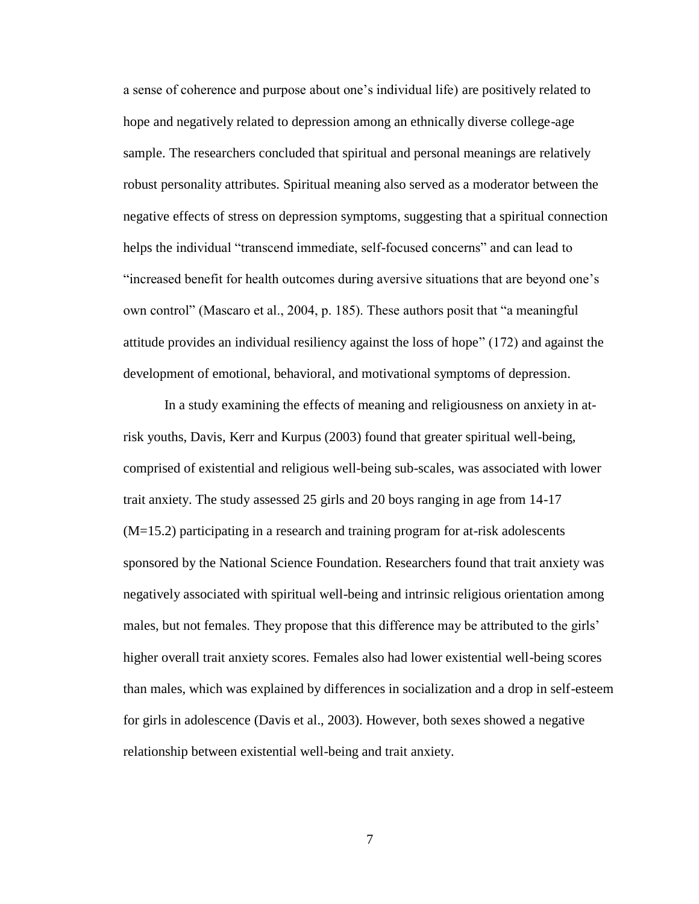a sense of coherence and purpose about one's individual life) are positively related to hope and negatively related to depression among an ethnically diverse college-age sample. The researchers concluded that spiritual and personal meanings are relatively robust personality attributes. Spiritual meaning also served as a moderator between the negative effects of stress on depression symptoms, suggesting that a spiritual connection helps the individual "transcend immediate, self-focused concerns" and can lead to "increased benefit for health outcomes during aversive situations that are beyond one's own control" (Mascaro et al., 2004, p. 185). These authors posit that "a meaningful attitude provides an individual resiliency against the loss of hope" (172) and against the development of emotional, behavioral, and motivational symptoms of depression.

In a study examining the effects of meaning and religiousness on anxiety in atrisk youths, Davis, Kerr and Kurpus (2003) found that greater spiritual well-being, comprised of existential and religious well-being sub-scales, was associated with lower trait anxiety. The study assessed 25 girls and 20 boys ranging in age from 14-17 (M=15.2) participating in a research and training program for at-risk adolescents sponsored by the National Science Foundation. Researchers found that trait anxiety was negatively associated with spiritual well-being and intrinsic religious orientation among males, but not females. They propose that this difference may be attributed to the girls' higher overall trait anxiety scores. Females also had lower existential well-being scores than males, which was explained by differences in socialization and a drop in self-esteem for girls in adolescence (Davis et al., 2003). However, both sexes showed a negative relationship between existential well-being and trait anxiety.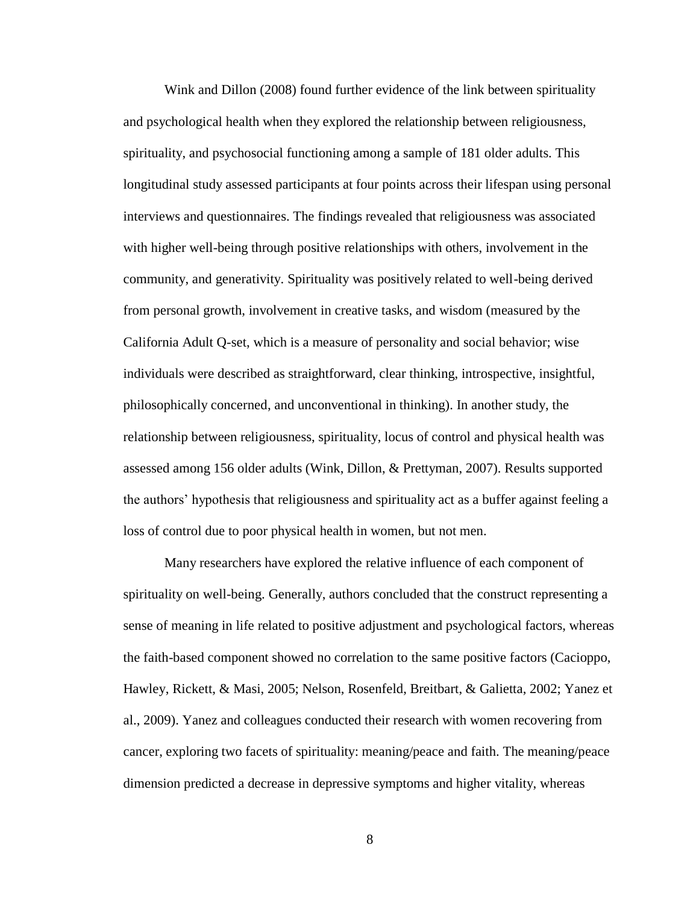Wink and Dillon (2008) found further evidence of the link between spirituality and psychological health when they explored the relationship between religiousness, spirituality, and psychosocial functioning among a sample of 181 older adults. This longitudinal study assessed participants at four points across their lifespan using personal interviews and questionnaires. The findings revealed that religiousness was associated with higher well-being through positive relationships with others, involvement in the community, and generativity. Spirituality was positively related to well-being derived from personal growth, involvement in creative tasks, and wisdom (measured by the California Adult Q-set, which is a measure of personality and social behavior; wise individuals were described as straightforward, clear thinking, introspective, insightful, philosophically concerned, and unconventional in thinking). In another study, the relationship between religiousness, spirituality, locus of control and physical health was assessed among 156 older adults (Wink, Dillon, & Prettyman, 2007). Results supported the authors' hypothesis that religiousness and spirituality act as a buffer against feeling a loss of control due to poor physical health in women, but not men.

Many researchers have explored the relative influence of each component of spirituality on well-being. Generally, authors concluded that the construct representing a sense of meaning in life related to positive adjustment and psychological factors, whereas the faith-based component showed no correlation to the same positive factors (Cacioppo, Hawley, Rickett, & Masi, 2005; Nelson, Rosenfeld, Breitbart, & Galietta, 2002; Yanez et al., 2009). Yanez and colleagues conducted their research with women recovering from cancer, exploring two facets of spirituality: meaning/peace and faith. The meaning/peace dimension predicted a decrease in depressive symptoms and higher vitality, whereas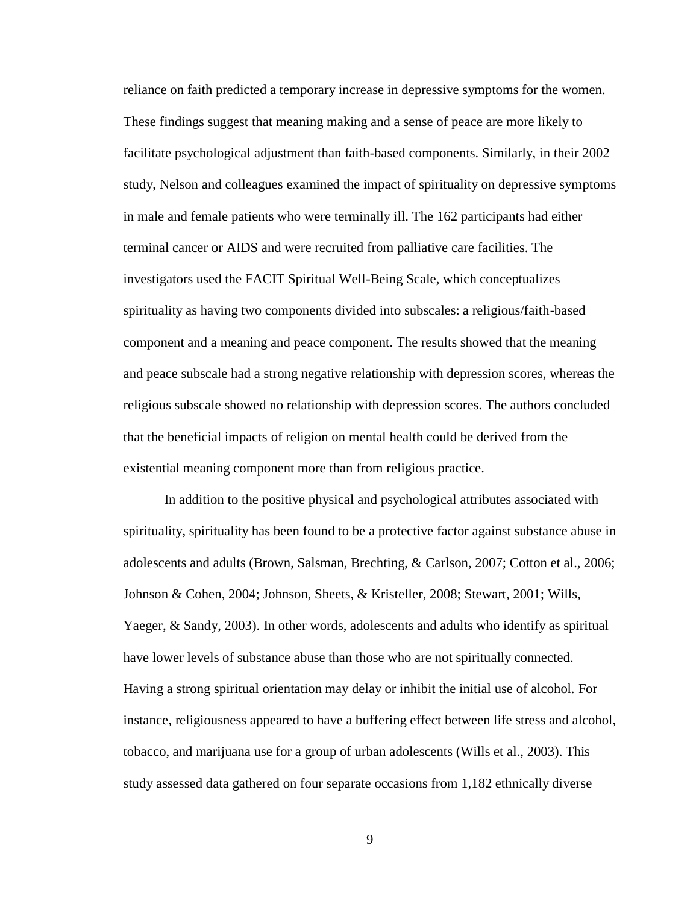reliance on faith predicted a temporary increase in depressive symptoms for the women. These findings suggest that meaning making and a sense of peace are more likely to facilitate psychological adjustment than faith-based components. Similarly, in their 2002 study, Nelson and colleagues examined the impact of spirituality on depressive symptoms in male and female patients who were terminally ill. The 162 participants had either terminal cancer or AIDS and were recruited from palliative care facilities. The investigators used the FACIT Spiritual Well-Being Scale, which conceptualizes spirituality as having two components divided into subscales: a religious/faith-based component and a meaning and peace component. The results showed that the meaning and peace subscale had a strong negative relationship with depression scores, whereas the religious subscale showed no relationship with depression scores. The authors concluded that the beneficial impacts of religion on mental health could be derived from the existential meaning component more than from religious practice.

In addition to the positive physical and psychological attributes associated with spirituality, spirituality has been found to be a protective factor against substance abuse in adolescents and adults (Brown, Salsman, Brechting, & Carlson, 2007; Cotton et al., 2006; Johnson & Cohen, 2004; Johnson, Sheets, & Kristeller, 2008; Stewart, 2001; Wills, Yaeger, & Sandy, 2003). In other words, adolescents and adults who identify as spiritual have lower levels of substance abuse than those who are not spiritually connected. Having a strong spiritual orientation may delay or inhibit the initial use of alcohol. For instance, religiousness appeared to have a buffering effect between life stress and alcohol, tobacco, and marijuana use for a group of urban adolescents (Wills et al., 2003). This study assessed data gathered on four separate occasions from 1,182 ethnically diverse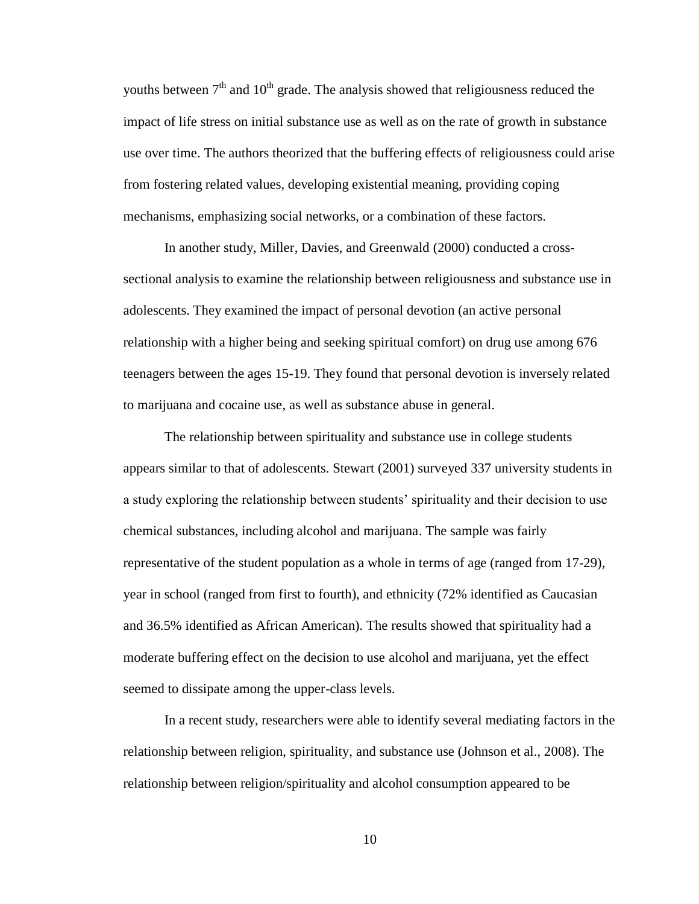youths between  $7<sup>th</sup>$  and  $10<sup>th</sup>$  grade. The analysis showed that religiousness reduced the impact of life stress on initial substance use as well as on the rate of growth in substance use over time. The authors theorized that the buffering effects of religiousness could arise from fostering related values, developing existential meaning, providing coping mechanisms, emphasizing social networks, or a combination of these factors.

In another study, Miller, Davies, and Greenwald (2000) conducted a crosssectional analysis to examine the relationship between religiousness and substance use in adolescents. They examined the impact of personal devotion (an active personal relationship with a higher being and seeking spiritual comfort) on drug use among 676 teenagers between the ages 15-19. They found that personal devotion is inversely related to marijuana and cocaine use, as well as substance abuse in general.

The relationship between spirituality and substance use in college students appears similar to that of adolescents. Stewart (2001) surveyed 337 university students in a study exploring the relationship between students' spirituality and their decision to use chemical substances, including alcohol and marijuana. The sample was fairly representative of the student population as a whole in terms of age (ranged from 17-29), year in school (ranged from first to fourth), and ethnicity (72% identified as Caucasian and 36.5% identified as African American). The results showed that spirituality had a moderate buffering effect on the decision to use alcohol and marijuana, yet the effect seemed to dissipate among the upper-class levels.

In a recent study, researchers were able to identify several mediating factors in the relationship between religion, spirituality, and substance use (Johnson et al., 2008). The relationship between religion/spirituality and alcohol consumption appeared to be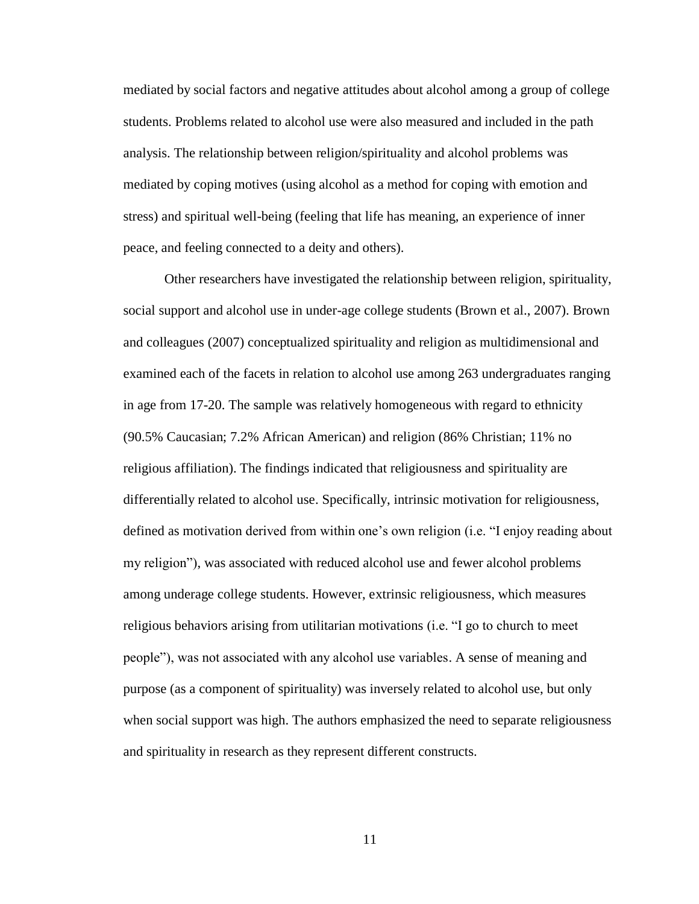mediated by social factors and negative attitudes about alcohol among a group of college students. Problems related to alcohol use were also measured and included in the path analysis. The relationship between religion/spirituality and alcohol problems was mediated by coping motives (using alcohol as a method for coping with emotion and stress) and spiritual well-being (feeling that life has meaning, an experience of inner peace, and feeling connected to a deity and others).

Other researchers have investigated the relationship between religion, spirituality, social support and alcohol use in under-age college students (Brown et al., 2007). Brown and colleagues (2007) conceptualized spirituality and religion as multidimensional and examined each of the facets in relation to alcohol use among 263 undergraduates ranging in age from 17-20. The sample was relatively homogeneous with regard to ethnicity (90.5% Caucasian; 7.2% African American) and religion (86% Christian; 11% no religious affiliation). The findings indicated that religiousness and spirituality are differentially related to alcohol use. Specifically, intrinsic motivation for religiousness, defined as motivation derived from within one's own religion (i.e. "I enjoy reading about my religion"), was associated with reduced alcohol use and fewer alcohol problems among underage college students. However, extrinsic religiousness, which measures religious behaviors arising from utilitarian motivations (i.e. "I go to church to meet people"), was not associated with any alcohol use variables. A sense of meaning and purpose (as a component of spirituality) was inversely related to alcohol use, but only when social support was high. The authors emphasized the need to separate religiousness and spirituality in research as they represent different constructs.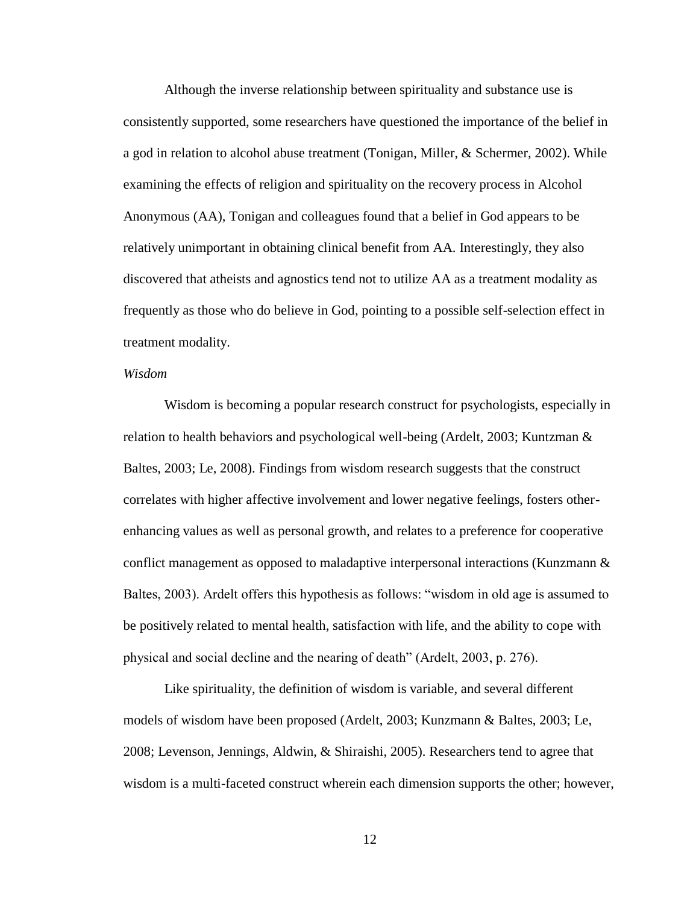Although the inverse relationship between spirituality and substance use is consistently supported, some researchers have questioned the importance of the belief in a god in relation to alcohol abuse treatment (Tonigan, Miller, & Schermer, 2002). While examining the effects of religion and spirituality on the recovery process in Alcohol Anonymous (AA), Tonigan and colleagues found that a belief in God appears to be relatively unimportant in obtaining clinical benefit from AA. Interestingly, they also discovered that atheists and agnostics tend not to utilize AA as a treatment modality as frequently as those who do believe in God, pointing to a possible self-selection effect in treatment modality.

### *Wisdom*

Wisdom is becoming a popular research construct for psychologists, especially in relation to health behaviors and psychological well-being (Ardelt, 2003; Kuntzman & Baltes, 2003; Le, 2008). Findings from wisdom research suggests that the construct correlates with higher affective involvement and lower negative feelings, fosters otherenhancing values as well as personal growth, and relates to a preference for cooperative conflict management as opposed to maladaptive interpersonal interactions (Kunzmann & Baltes, 2003). Ardelt offers this hypothesis as follows: "wisdom in old age is assumed to be positively related to mental health, satisfaction with life, and the ability to cope with physical and social decline and the nearing of death" (Ardelt, 2003, p. 276).

Like spirituality, the definition of wisdom is variable, and several different models of wisdom have been proposed (Ardelt, 2003; Kunzmann & Baltes, 2003; Le, 2008; Levenson, Jennings, Aldwin, & Shiraishi, 2005). Researchers tend to agree that wisdom is a multi-faceted construct wherein each dimension supports the other; however,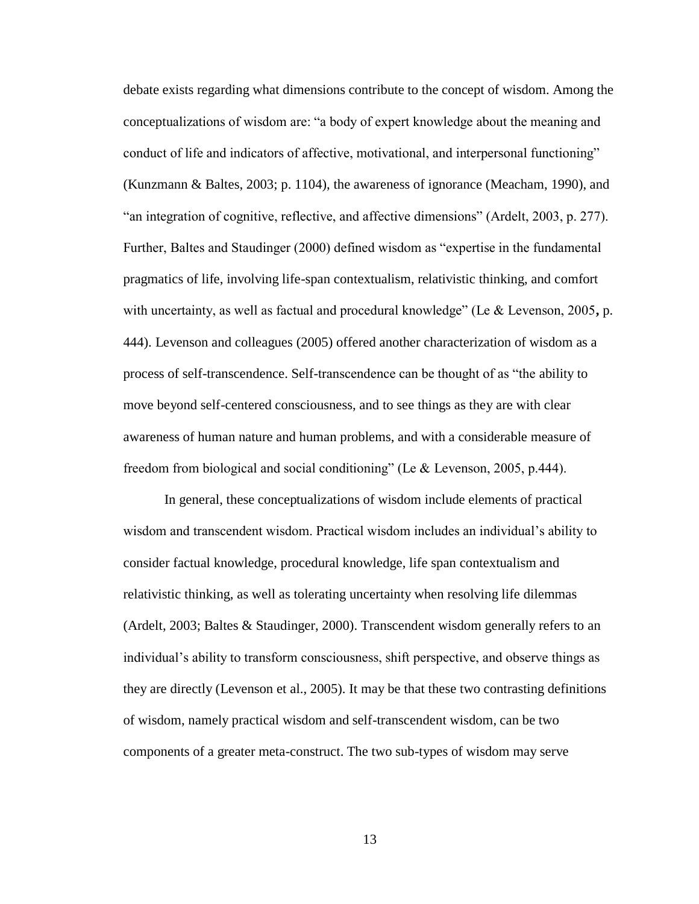debate exists regarding what dimensions contribute to the concept of wisdom. Among the conceptualizations of wisdom are: "a body of expert knowledge about the meaning and conduct of life and indicators of affective, motivational, and interpersonal functioning" (Kunzmann & Baltes, 2003; p. 1104), the awareness of ignorance (Meacham, 1990), and "an integration of cognitive, reflective, and affective dimensions" (Ardelt, 2003, p. 277). Further, Baltes and Staudinger (2000) defined wisdom as "expertise in the fundamental pragmatics of life, involving life-span contextualism, relativistic thinking, and comfort with uncertainty, as well as factual and procedural knowledge" (Le & Levenson, 2005**,** p. 444). Levenson and colleagues (2005) offered another characterization of wisdom as a process of self-transcendence. Self-transcendence can be thought of as "the ability to move beyond self-centered consciousness, and to see things as they are with clear awareness of human nature and human problems, and with a considerable measure of freedom from biological and social conditioning" (Le & Levenson, 2005, p.444).

In general, these conceptualizations of wisdom include elements of practical wisdom and transcendent wisdom. Practical wisdom includes an individual's ability to consider factual knowledge, procedural knowledge, life span contextualism and relativistic thinking, as well as tolerating uncertainty when resolving life dilemmas (Ardelt, 2003; Baltes & Staudinger, 2000). Transcendent wisdom generally refers to an individual's ability to transform consciousness, shift perspective, and observe things as they are directly (Levenson et al., 2005). It may be that these two contrasting definitions of wisdom, namely practical wisdom and self-transcendent wisdom, can be two components of a greater meta-construct. The two sub-types of wisdom may serve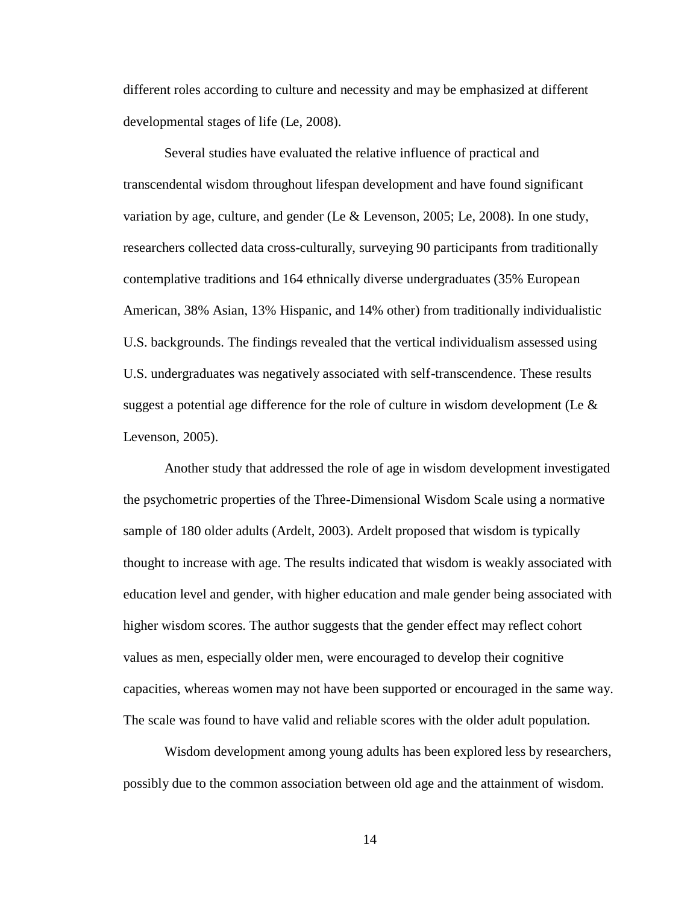different roles according to culture and necessity and may be emphasized at different developmental stages of life (Le, 2008).

Several studies have evaluated the relative influence of practical and transcendental wisdom throughout lifespan development and have found significant variation by age, culture, and gender (Le & Levenson, 2005; Le, 2008). In one study, researchers collected data cross-culturally, surveying 90 participants from traditionally contemplative traditions and 164 ethnically diverse undergraduates (35% European American, 38% Asian, 13% Hispanic, and 14% other) from traditionally individualistic U.S. backgrounds. The findings revealed that the vertical individualism assessed using U.S. undergraduates was negatively associated with self-transcendence. These results suggest a potential age difference for the role of culture in wisdom development (Le  $\&$ Levenson, 2005).

Another study that addressed the role of age in wisdom development investigated the psychometric properties of the Three-Dimensional Wisdom Scale using a normative sample of 180 older adults (Ardelt, 2003). Ardelt proposed that wisdom is typically thought to increase with age. The results indicated that wisdom is weakly associated with education level and gender, with higher education and male gender being associated with higher wisdom scores. The author suggests that the gender effect may reflect cohort values as men, especially older men, were encouraged to develop their cognitive capacities, whereas women may not have been supported or encouraged in the same way. The scale was found to have valid and reliable scores with the older adult population.

Wisdom development among young adults has been explored less by researchers, possibly due to the common association between old age and the attainment of wisdom.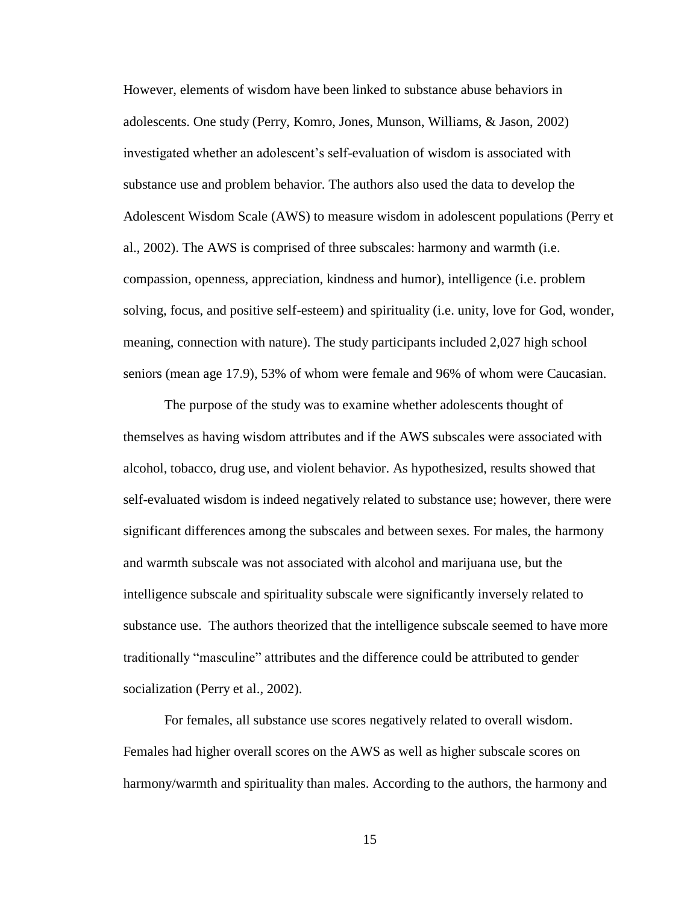However, elements of wisdom have been linked to substance abuse behaviors in adolescents. One study (Perry, Komro, Jones, Munson, Williams, & Jason, 2002) investigated whether an adolescent's self-evaluation of wisdom is associated with substance use and problem behavior. The authors also used the data to develop the Adolescent Wisdom Scale (AWS) to measure wisdom in adolescent populations (Perry et al., 2002). The AWS is comprised of three subscales: harmony and warmth (i.e. compassion, openness, appreciation, kindness and humor), intelligence (i.e. problem solving, focus, and positive self-esteem) and spirituality (i.e. unity, love for God, wonder, meaning, connection with nature). The study participants included 2,027 high school seniors (mean age 17.9), 53% of whom were female and 96% of whom were Caucasian.

The purpose of the study was to examine whether adolescents thought of themselves as having wisdom attributes and if the AWS subscales were associated with alcohol, tobacco, drug use, and violent behavior. As hypothesized, results showed that self-evaluated wisdom is indeed negatively related to substance use; however, there were significant differences among the subscales and between sexes. For males, the harmony and warmth subscale was not associated with alcohol and marijuana use, but the intelligence subscale and spirituality subscale were significantly inversely related to substance use. The authors theorized that the intelligence subscale seemed to have more traditionally "masculine" attributes and the difference could be attributed to gender socialization (Perry et al., 2002).

For females, all substance use scores negatively related to overall wisdom. Females had higher overall scores on the AWS as well as higher subscale scores on harmony/warmth and spirituality than males. According to the authors, the harmony and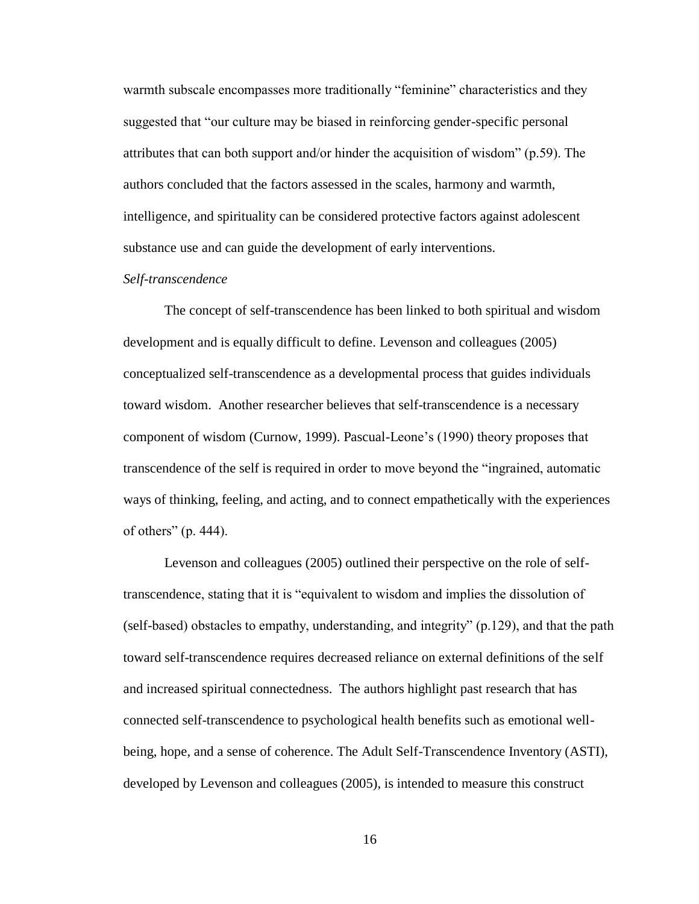warmth subscale encompasses more traditionally "feminine" characteristics and they suggested that "our culture may be biased in reinforcing gender-specific personal attributes that can both support and/or hinder the acquisition of wisdom" (p.59). The authors concluded that the factors assessed in the scales, harmony and warmth, intelligence, and spirituality can be considered protective factors against adolescent substance use and can guide the development of early interventions.

## *Self-transcendence*

The concept of self-transcendence has been linked to both spiritual and wisdom development and is equally difficult to define. Levenson and colleagues (2005) conceptualized self-transcendence as a developmental process that guides individuals toward wisdom. Another researcher believes that self-transcendence is a necessary component of wisdom (Curnow, 1999). Pascual-Leone's (1990) theory proposes that transcendence of the self is required in order to move beyond the "ingrained, automatic ways of thinking, feeling, and acting, and to connect empathetically with the experiences of others" (p. 444).

Levenson and colleagues (2005) outlined their perspective on the role of selftranscendence, stating that it is "equivalent to wisdom and implies the dissolution of (self-based) obstacles to empathy, understanding, and integrity" (p.129), and that the path toward self-transcendence requires decreased reliance on external definitions of the self and increased spiritual connectedness. The authors highlight past research that has connected self-transcendence to psychological health benefits such as emotional wellbeing, hope, and a sense of coherence. The Adult Self-Transcendence Inventory (ASTI), developed by Levenson and colleagues (2005), is intended to measure this construct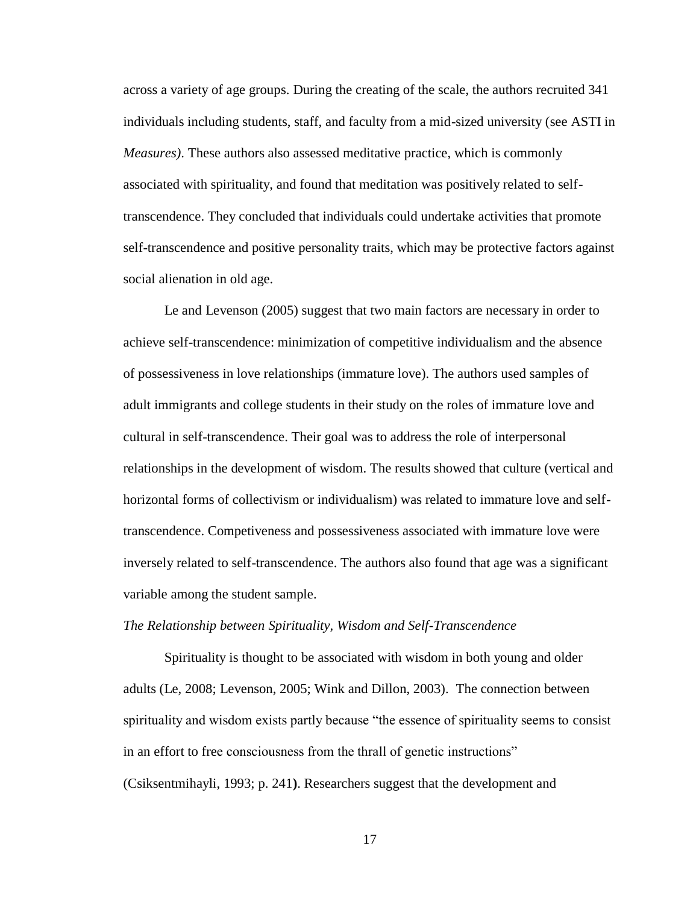across a variety of age groups. During the creating of the scale, the authors recruited 341 individuals including students, staff, and faculty from a mid-sized university (see ASTI in *Measures)*. These authors also assessed meditative practice, which is commonly associated with spirituality, and found that meditation was positively related to selftranscendence. They concluded that individuals could undertake activities that promote self-transcendence and positive personality traits, which may be protective factors against social alienation in old age.

Le and Levenson (2005) suggest that two main factors are necessary in order to achieve self-transcendence: minimization of competitive individualism and the absence of possessiveness in love relationships (immature love). The authors used samples of adult immigrants and college students in their study on the roles of immature love and cultural in self-transcendence. Their goal was to address the role of interpersonal relationships in the development of wisdom. The results showed that culture (vertical and horizontal forms of collectivism or individualism) was related to immature love and selftranscendence. Competiveness and possessiveness associated with immature love were inversely related to self-transcendence. The authors also found that age was a significant variable among the student sample.

#### *The Relationship between Spirituality, Wisdom and Self-Transcendence*

Spirituality is thought to be associated with wisdom in both young and older adults (Le, 2008; Levenson, 2005; Wink and Dillon, 2003). The connection between spirituality and wisdom exists partly because "the essence of spirituality seems to consist in an effort to free consciousness from the thrall of genetic instructions" (Csiksentmihayli, 1993; p. 241**)**. Researchers suggest that the development and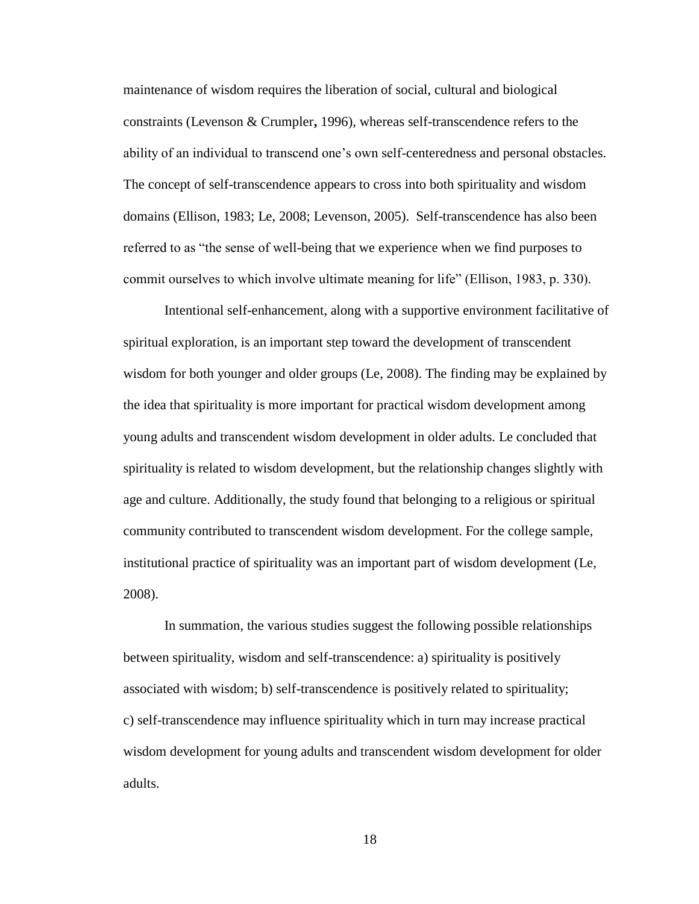maintenance of wisdom requires the liberation of social, cultural and biological constraints (Levenson & Crumpler**,** 1996), whereas self-transcendence refers to the ability of an individual to transcend one's own self-centeredness and personal obstacles. The concept of self-transcendence appears to cross into both spirituality and wisdom domains (Ellison, 1983; Le, 2008; Levenson, 2005). Self-transcendence has also been referred to as "the sense of well-being that we experience when we find purposes to commit ourselves to which involve ultimate meaning for life" (Ellison, 1983, p. 330).

Intentional self-enhancement, along with a supportive environment facilitative of spiritual exploration, is an important step toward the development of transcendent wisdom for both younger and older groups (Le, 2008). The finding may be explained by the idea that spirituality is more important for practical wisdom development among young adults and transcendent wisdom development in older adults. Le concluded that spirituality is related to wisdom development, but the relationship changes slightly with age and culture. Additionally, the study found that belonging to a religious or spiritual community contributed to transcendent wisdom development. For the college sample, institutional practice of spirituality was an important part of wisdom development (Le, 2008).

In summation, the various studies suggest the following possible relationships between spirituality, wisdom and self-transcendence: a) spirituality is positively associated with wisdom; b) self-transcendence is positively related to spirituality; c) self-transcendence may influence spirituality which in turn may increase practical wisdom development for young adults and transcendent wisdom development for older adults.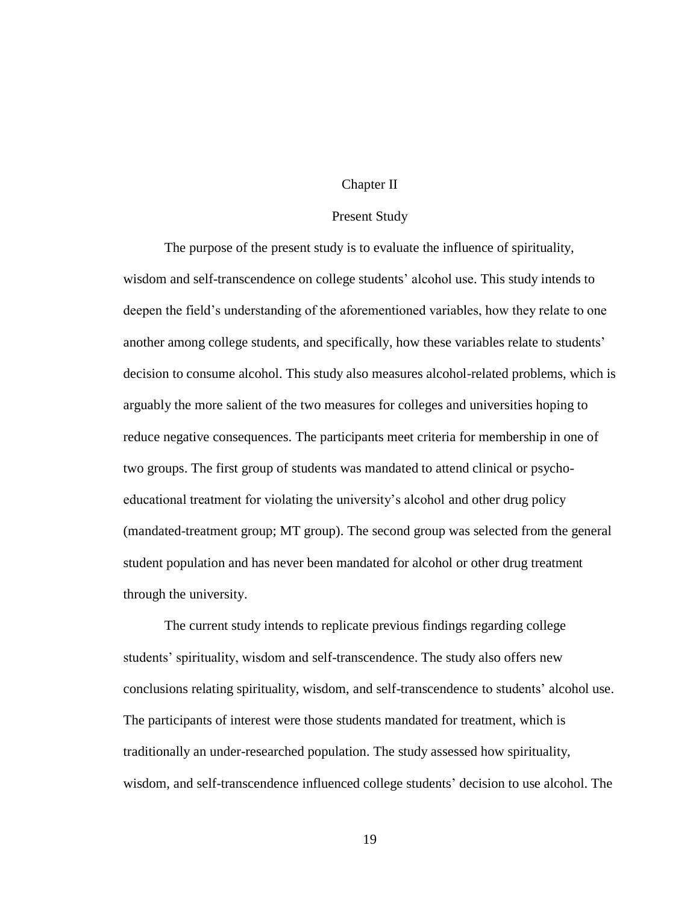### Chapter II

#### Present Study

The purpose of the present study is to evaluate the influence of spirituality, wisdom and self-transcendence on college students' alcohol use. This study intends to deepen the field's understanding of the aforementioned variables, how they relate to one another among college students, and specifically, how these variables relate to students' decision to consume alcohol. This study also measures alcohol-related problems, which is arguably the more salient of the two measures for colleges and universities hoping to reduce negative consequences. The participants meet criteria for membership in one of two groups. The first group of students was mandated to attend clinical or psychoeducational treatment for violating the university's alcohol and other drug policy (mandated-treatment group; MT group). The second group was selected from the general student population and has never been mandated for alcohol or other drug treatment through the university.

The current study intends to replicate previous findings regarding college students' spirituality, wisdom and self-transcendence. The study also offers new conclusions relating spirituality, wisdom, and self-transcendence to students' alcohol use. The participants of interest were those students mandated for treatment, which is traditionally an under-researched population. The study assessed how spirituality, wisdom, and self-transcendence influenced college students' decision to use alcohol. The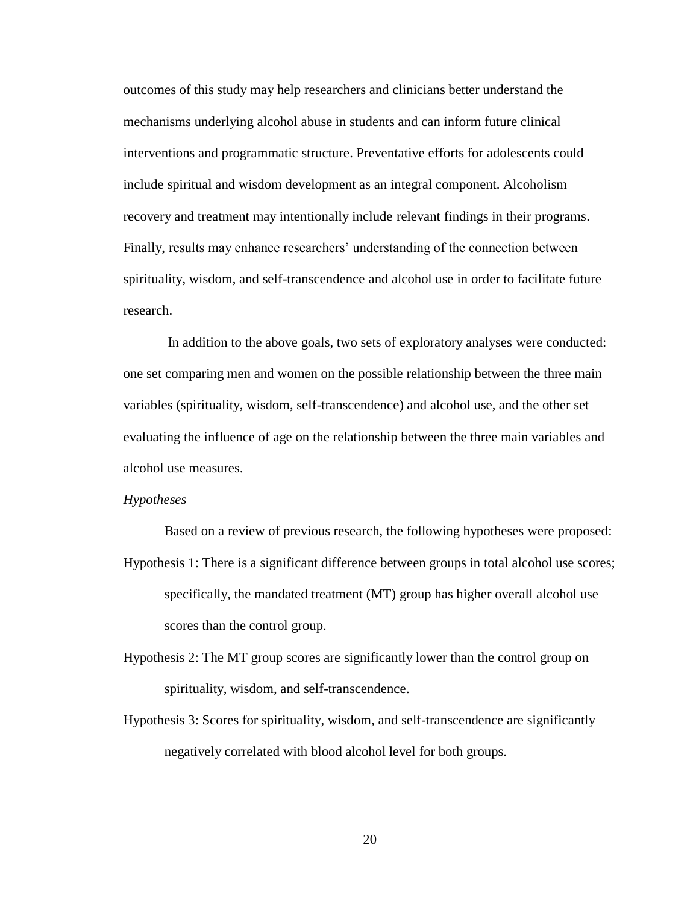outcomes of this study may help researchers and clinicians better understand the mechanisms underlying alcohol abuse in students and can inform future clinical interventions and programmatic structure. Preventative efforts for adolescents could include spiritual and wisdom development as an integral component. Alcoholism recovery and treatment may intentionally include relevant findings in their programs. Finally, results may enhance researchers' understanding of the connection between spirituality, wisdom, and self-transcendence and alcohol use in order to facilitate future research.

In addition to the above goals, two sets of exploratory analyses were conducted: one set comparing men and women on the possible relationship between the three main variables (spirituality, wisdom, self-transcendence) and alcohol use, and the other set evaluating the influence of age on the relationship between the three main variables and alcohol use measures.

#### *Hypotheses*

Based on a review of previous research, the following hypotheses were proposed:

- Hypothesis 1: There is a significant difference between groups in total alcohol use scores; specifically, the mandated treatment (MT) group has higher overall alcohol use scores than the control group.
- Hypothesis 2: The MT group scores are significantly lower than the control group on spirituality, wisdom, and self-transcendence.
- Hypothesis 3: Scores for spirituality, wisdom, and self-transcendence are significantly negatively correlated with blood alcohol level for both groups.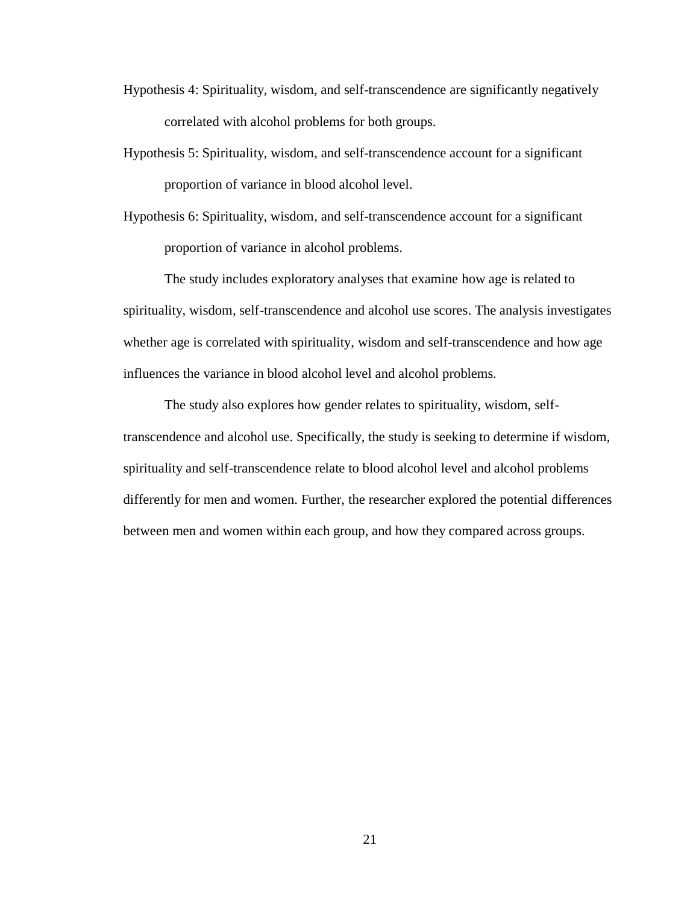- Hypothesis 4: Spirituality, wisdom, and self-transcendence are significantly negatively correlated with alcohol problems for both groups.
- Hypothesis 5: Spirituality, wisdom, and self-transcendence account for a significant proportion of variance in blood alcohol level.
- Hypothesis 6: Spirituality, wisdom, and self-transcendence account for a significant proportion of variance in alcohol problems.

The study includes exploratory analyses that examine how age is related to spirituality, wisdom, self-transcendence and alcohol use scores. The analysis investigates whether age is correlated with spirituality, wisdom and self-transcendence and how age influences the variance in blood alcohol level and alcohol problems.

The study also explores how gender relates to spirituality, wisdom, selftranscendence and alcohol use. Specifically, the study is seeking to determine if wisdom, spirituality and self-transcendence relate to blood alcohol level and alcohol problems differently for men and women. Further, the researcher explored the potential differences between men and women within each group, and how they compared across groups.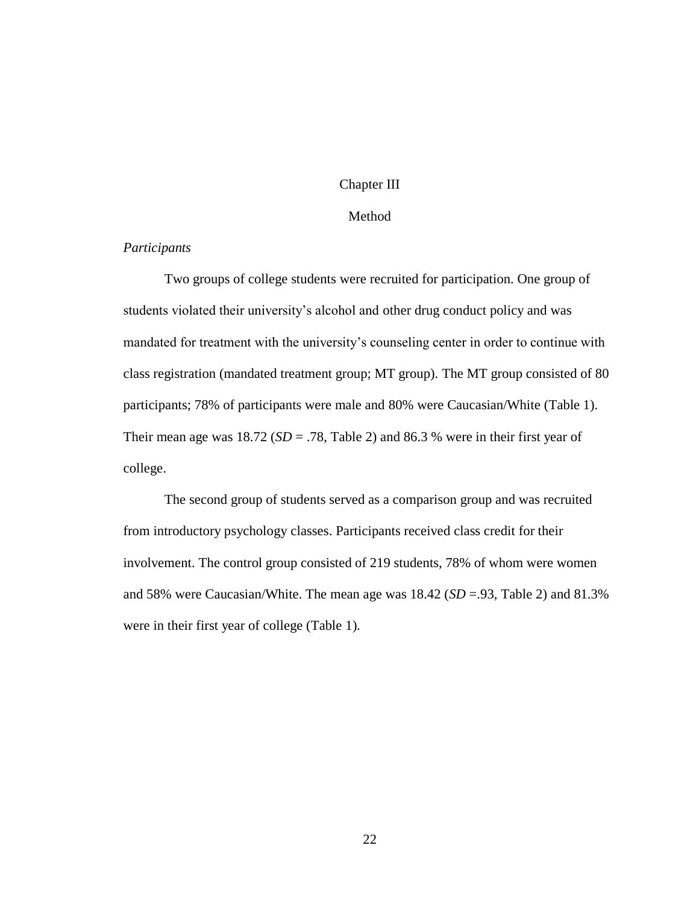## Chapter III

## Method

# *Participants*

Two groups of college students were recruited for participation. One group of students violated their university's alcohol and other drug conduct policy and was mandated for treatment with the university's counseling center in order to continue with class registration (mandated treatment group; MT group). The MT group consisted of 80 participants; 78% of participants were male and 80% were Caucasian/White (Table 1). Their mean age was  $18.72$  (*SD* = .78, Table 2) and 86.3 % were in their first year of college.

The second group of students served as a comparison group and was recruited from introductory psychology classes. Participants received class credit for their involvement. The control group consisted of 219 students, 78% of whom were women and 58% were Caucasian/White. The mean age was 18.42 (*SD* =.93, Table 2) and 81.3% were in their first year of college (Table 1).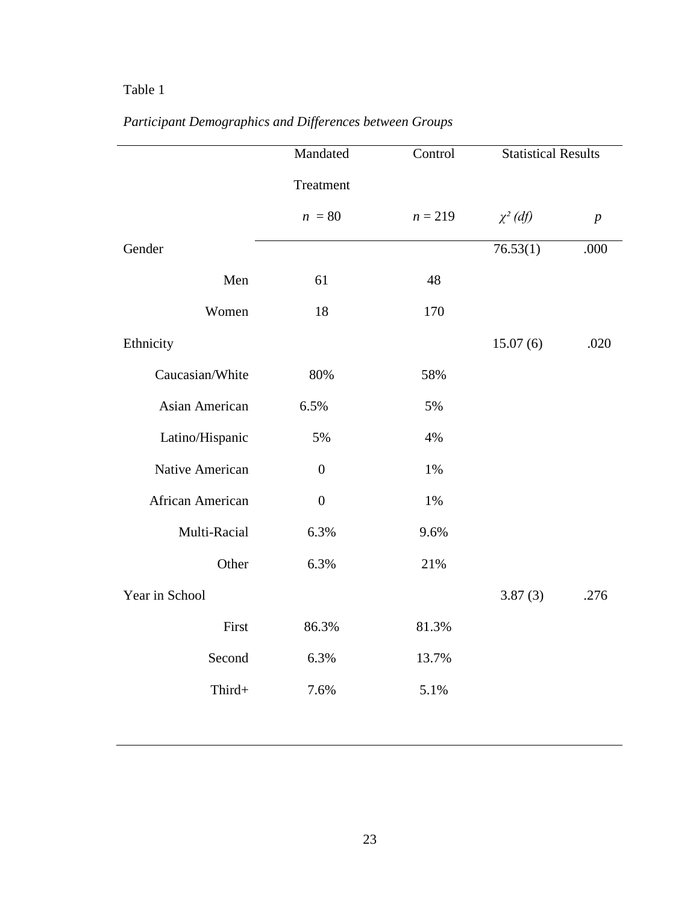# Table 1

|                  | Mandated         | Control   | <b>Statistical Results</b> |                  |
|------------------|------------------|-----------|----------------------------|------------------|
|                  | Treatment        |           |                            |                  |
|                  | $n = 80$         | $n = 219$ | $\chi^2$ (df)              | $\boldsymbol{p}$ |
| Gender           |                  |           | 76.53(1)                   | .000             |
| Men              | 61               | 48        |                            |                  |
| Women            | 18               | 170       |                            |                  |
| Ethnicity        |                  |           | 15.07(6)                   | .020             |
| Caucasian/White  | 80%              | 58%       |                            |                  |
| Asian American   | 6.5%             | 5%        |                            |                  |
| Latino/Hispanic  | 5%               | 4%        |                            |                  |
| Native American  | $\boldsymbol{0}$ | 1%        |                            |                  |
| African American | $\boldsymbol{0}$ | 1%        |                            |                  |
| Multi-Racial     | 6.3%             | 9.6%      |                            |                  |
| Other            | 6.3%             | 21%       |                            |                  |
| Year in School   |                  |           | 3.87(3)                    | .276             |
| First            | 86.3%            | 81.3%     |                            |                  |
| Second           | 6.3%             | 13.7%     |                            |                  |
| Third+           | 7.6%             | 5.1%      |                            |                  |
|                  |                  |           |                            |                  |

# *Participant Demographics and Differences between Groups*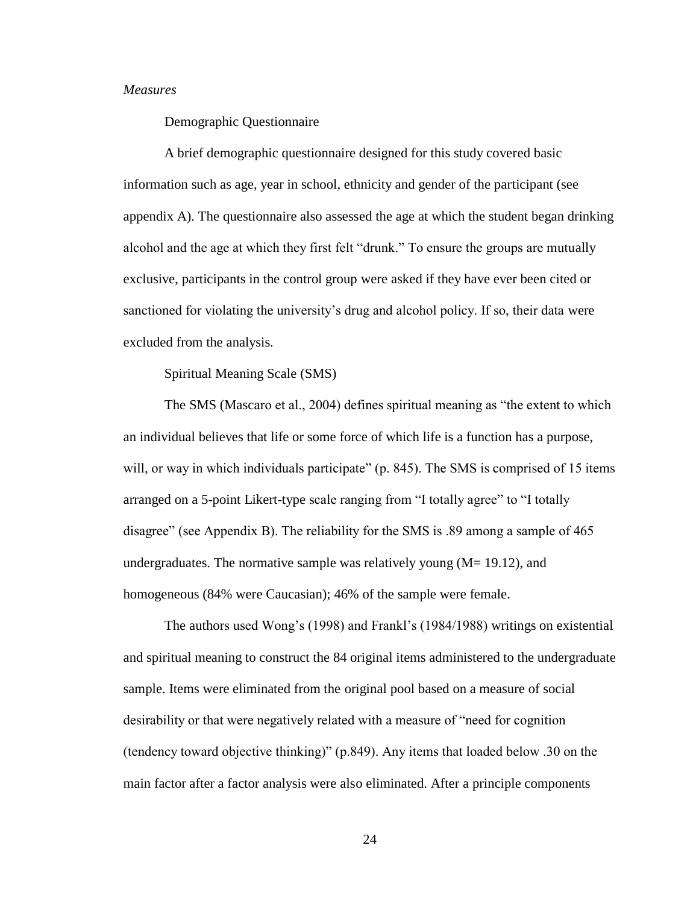## *Measures*

Demographic Questionnaire

A brief demographic questionnaire designed for this study covered basic information such as age, year in school, ethnicity and gender of the participant (see appendix A). The questionnaire also assessed the age at which the student began drinking alcohol and the age at which they first felt "drunk." To ensure the groups are mutually exclusive, participants in the control group were asked if they have ever been cited or sanctioned for violating the university's drug and alcohol policy. If so, their data were excluded from the analysis.

Spiritual Meaning Scale (SMS)

The SMS (Mascaro et al., 2004) defines spiritual meaning as "the extent to which an individual believes that life or some force of which life is a function has a purpose, will, or way in which individuals participate" (p. 845). The SMS is comprised of 15 items arranged on a 5-point Likert-type scale ranging from "I totally agree" to "I totally disagree" (see Appendix B). The reliability for the SMS is .89 among a sample of 465 undergraduates. The normative sample was relatively young  $(M= 19.12)$ , and homogeneous (84% were Caucasian); 46% of the sample were female.

The authors used Wong's (1998) and Frankl's (1984/1988) writings on existential and spiritual meaning to construct the 84 original items administered to the undergraduate sample. Items were eliminated from the original pool based on a measure of social desirability or that were negatively related with a measure of "need for cognition (tendency toward objective thinking)" (p.849). Any items that loaded below .30 on the main factor after a factor analysis were also eliminated. After a principle components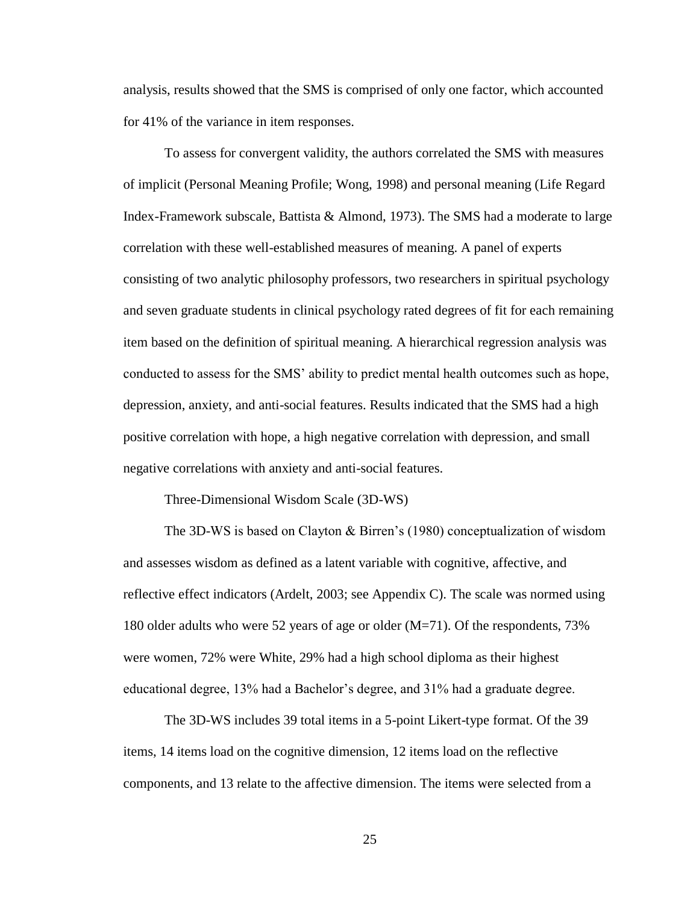analysis, results showed that the SMS is comprised of only one factor, which accounted for 41% of the variance in item responses.

To assess for convergent validity, the authors correlated the SMS with measures of implicit (Personal Meaning Profile; Wong, 1998) and personal meaning (Life Regard Index-Framework subscale, Battista & Almond, 1973). The SMS had a moderate to large correlation with these well-established measures of meaning. A panel of experts consisting of two analytic philosophy professors, two researchers in spiritual psychology and seven graduate students in clinical psychology rated degrees of fit for each remaining item based on the definition of spiritual meaning. A hierarchical regression analysis was conducted to assess for the SMS' ability to predict mental health outcomes such as hope, depression, anxiety, and anti-social features. Results indicated that the SMS had a high positive correlation with hope, a high negative correlation with depression, and small negative correlations with anxiety and anti-social features.

Three-Dimensional Wisdom Scale (3D-WS)

The 3D-WS is based on Clayton & Birren's (1980) conceptualization of wisdom and assesses wisdom as defined as a latent variable with cognitive, affective, and reflective effect indicators (Ardelt, 2003; see Appendix C). The scale was normed using 180 older adults who were 52 years of age or older (M=71). Of the respondents, 73% were women, 72% were White, 29% had a high school diploma as their highest educational degree, 13% had a Bachelor's degree, and 31% had a graduate degree.

The 3D-WS includes 39 total items in a 5-point Likert-type format. Of the 39 items, 14 items load on the cognitive dimension, 12 items load on the reflective components, and 13 relate to the affective dimension. The items were selected from a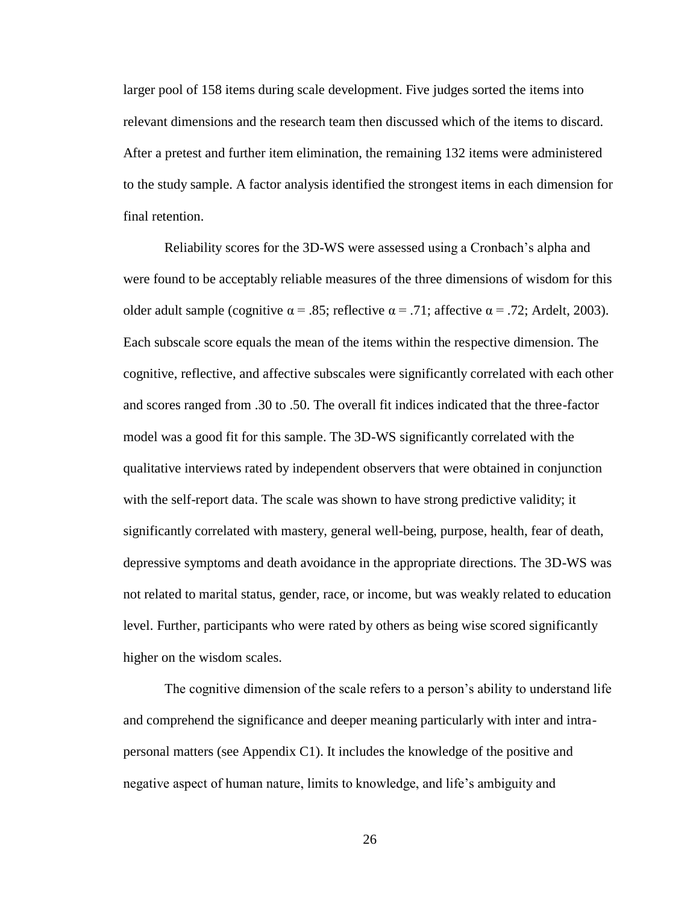larger pool of 158 items during scale development. Five judges sorted the items into relevant dimensions and the research team then discussed which of the items to discard. After a pretest and further item elimination, the remaining 132 items were administered to the study sample. A factor analysis identified the strongest items in each dimension for final retention.

Reliability scores for the 3D-WS were assessed using a Cronbach's alpha and were found to be acceptably reliable measures of the three dimensions of wisdom for this older adult sample (cognitive  $\alpha = .85$ ; reflective  $\alpha = .71$ ; affective  $\alpha = .72$ ; Ardelt, 2003). Each subscale score equals the mean of the items within the respective dimension. The cognitive, reflective, and affective subscales were significantly correlated with each other and scores ranged from .30 to .50. The overall fit indices indicated that the three-factor model was a good fit for this sample. The 3D-WS significantly correlated with the qualitative interviews rated by independent observers that were obtained in conjunction with the self-report data. The scale was shown to have strong predictive validity; it significantly correlated with mastery, general well-being, purpose, health, fear of death, depressive symptoms and death avoidance in the appropriate directions. The 3D-WS was not related to marital status, gender, race, or income, but was weakly related to education level. Further, participants who were rated by others as being wise scored significantly higher on the wisdom scales.

The cognitive dimension of the scale refers to a person's ability to understand life and comprehend the significance and deeper meaning particularly with inter and intrapersonal matters (see Appendix C1). It includes the knowledge of the positive and negative aspect of human nature, limits to knowledge, and life's ambiguity and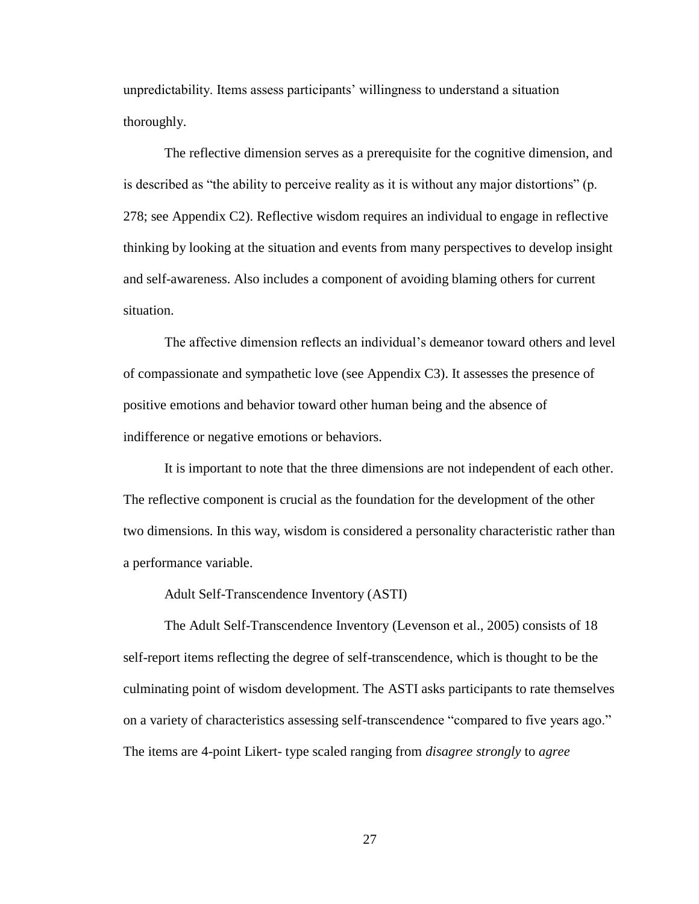unpredictability. Items assess participants' willingness to understand a situation thoroughly.

The reflective dimension serves as a prerequisite for the cognitive dimension, and is described as "the ability to perceive reality as it is without any major distortions" (p. 278; see Appendix C2). Reflective wisdom requires an individual to engage in reflective thinking by looking at the situation and events from many perspectives to develop insight and self-awareness. Also includes a component of avoiding blaming others for current situation.

The affective dimension reflects an individual's demeanor toward others and level of compassionate and sympathetic love (see Appendix C3). It assesses the presence of positive emotions and behavior toward other human being and the absence of indifference or negative emotions or behaviors.

It is important to note that the three dimensions are not independent of each other. The reflective component is crucial as the foundation for the development of the other two dimensions. In this way, wisdom is considered a personality characteristic rather than a performance variable.

Adult Self-Transcendence Inventory (ASTI)

The Adult Self-Transcendence Inventory (Levenson et al., 2005) consists of 18 self-report items reflecting the degree of self-transcendence, which is thought to be the culminating point of wisdom development. The ASTI asks participants to rate themselves on a variety of characteristics assessing self-transcendence "compared to five years ago." The items are 4-point Likert- type scaled ranging from *disagree strongly* to *agree*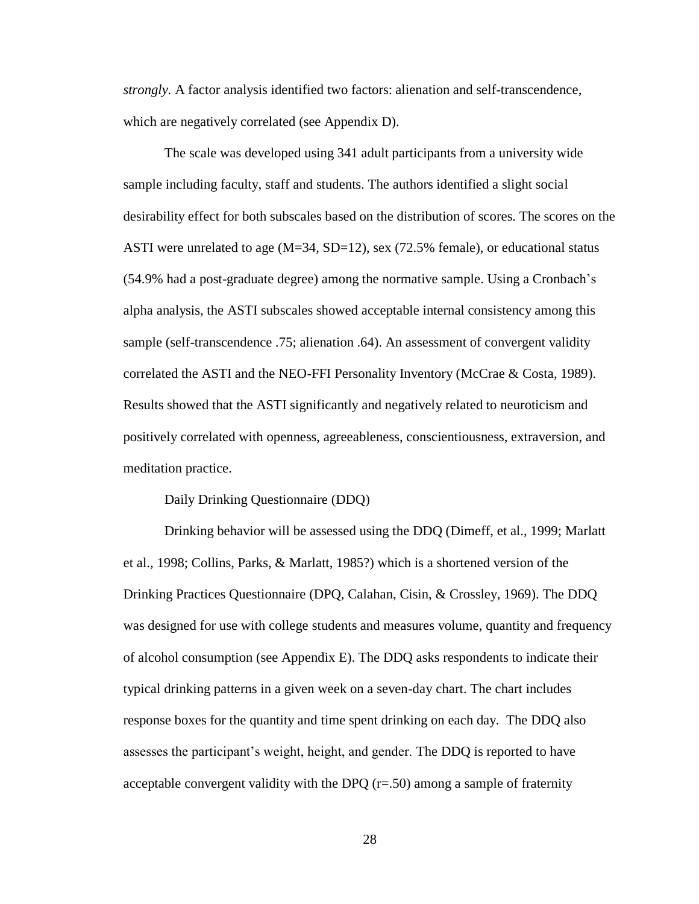*strongly.* A factor analysis identified two factors: alienation and self-transcendence, which are negatively correlated (see Appendix D).

The scale was developed using 341 adult participants from a university wide sample including faculty, staff and students. The authors identified a slight social desirability effect for both subscales based on the distribution of scores. The scores on the ASTI were unrelated to age  $(M=34, SD=12)$ , sex (72.5% female), or educational status (54.9% had a post-graduate degree) among the normative sample. Using a Cronbach's alpha analysis, the ASTI subscales showed acceptable internal consistency among this sample (self-transcendence .75; alienation .64). An assessment of convergent validity correlated the ASTI and the NEO-FFI Personality Inventory (McCrae & Costa, 1989). Results showed that the ASTI significantly and negatively related to neuroticism and positively correlated with openness, agreeableness, conscientiousness, extraversion, and meditation practice.

#### Daily Drinking Questionnaire (DDQ)

Drinking behavior will be assessed using the DDQ (Dimeff, et al., 1999; Marlatt et al., 1998; Collins, Parks, & Marlatt, 1985?) which is a shortened version of the Drinking Practices Questionnaire (DPQ, Calahan, Cisin, & Crossley, 1969). The DDQ was designed for use with college students and measures volume, quantity and frequency of alcohol consumption (see Appendix E). The DDQ asks respondents to indicate their typical drinking patterns in a given week on a seven-day chart. The chart includes response boxes for the quantity and time spent drinking on each day. The DDQ also assesses the participant's weight, height, and gender. The DDQ is reported to have acceptable convergent validity with the DPQ  $(r=50)$  among a sample of fraternity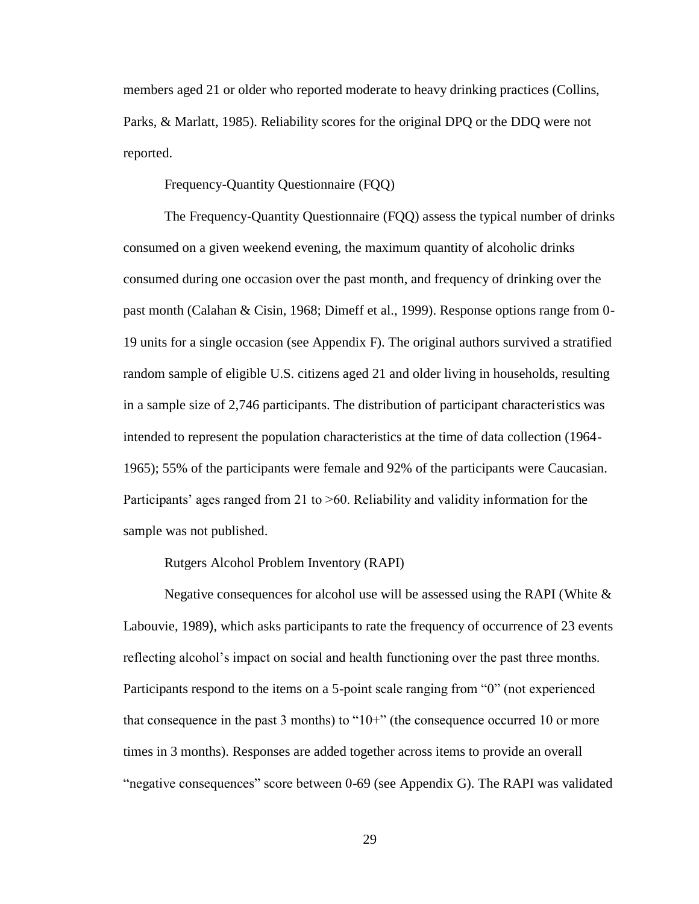members aged 21 or older who reported moderate to heavy drinking practices (Collins, Parks, & Marlatt, 1985). Reliability scores for the original DPQ or the DDQ were not reported.

Frequency-Quantity Questionnaire (FQQ)

The Frequency-Quantity Questionnaire (FQQ) assess the typical number of drinks consumed on a given weekend evening, the maximum quantity of alcoholic drinks consumed during one occasion over the past month, and frequency of drinking over the past month (Calahan & Cisin, 1968; Dimeff et al., 1999). Response options range from 0- 19 units for a single occasion (see Appendix F). The original authors survived a stratified random sample of eligible U.S. citizens aged 21 and older living in households, resulting in a sample size of 2,746 participants. The distribution of participant characteristics was intended to represent the population characteristics at the time of data collection (1964- 1965); 55% of the participants were female and 92% of the participants were Caucasian. Participants' ages ranged from 21 to >60. Reliability and validity information for the sample was not published.

Rutgers Alcohol Problem Inventory (RAPI)

Negative consequences for alcohol use will be assessed using the RAPI (White  $\&$ Labouvie, 1989), which asks participants to rate the frequency of occurrence of 23 events reflecting alcohol's impact on social and health functioning over the past three months. Participants respond to the items on a 5-point scale ranging from "0" (not experienced that consequence in the past 3 months) to "10+" (the consequence occurred 10 or more times in 3 months). Responses are added together across items to provide an overall "negative consequences" score between 0-69 (see Appendix G). The RAPI was validated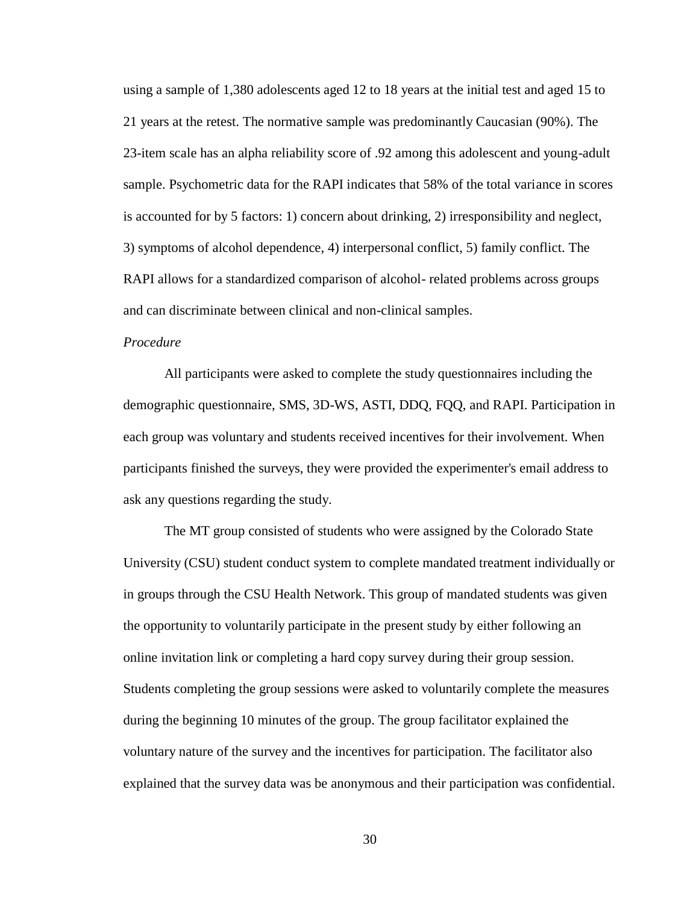using a sample of 1,380 adolescents aged 12 to 18 years at the initial test and aged 15 to 21 years at the retest. The normative sample was predominantly Caucasian (90%). The 23-item scale has an alpha reliability score of .92 among this adolescent and young-adult sample. Psychometric data for the RAPI indicates that 58% of the total variance in scores is accounted for by 5 factors: 1) concern about drinking, 2) irresponsibility and neglect, 3) symptoms of alcohol dependence, 4) interpersonal conflict, 5) family conflict. The RAPI allows for a standardized comparison of alcohol- related problems across groups and can discriminate between clinical and non-clinical samples.

### *Procedure*

All participants were asked to complete the study questionnaires including the demographic questionnaire, SMS, 3D-WS, ASTI, DDQ, FQQ, and RAPI. Participation in each group was voluntary and students received incentives for their involvement. When participants finished the surveys, they were provided the experimenter's email address to ask any questions regarding the study.

The MT group consisted of students who were assigned by the Colorado State University (CSU) student conduct system to complete mandated treatment individually or in groups through the CSU Health Network. This group of mandated students was given the opportunity to voluntarily participate in the present study by either following an online invitation link or completing a hard copy survey during their group session. Students completing the group sessions were asked to voluntarily complete the measures during the beginning 10 minutes of the group. The group facilitator explained the voluntary nature of the survey and the incentives for participation. The facilitator also explained that the survey data was be anonymous and their participation was confidential.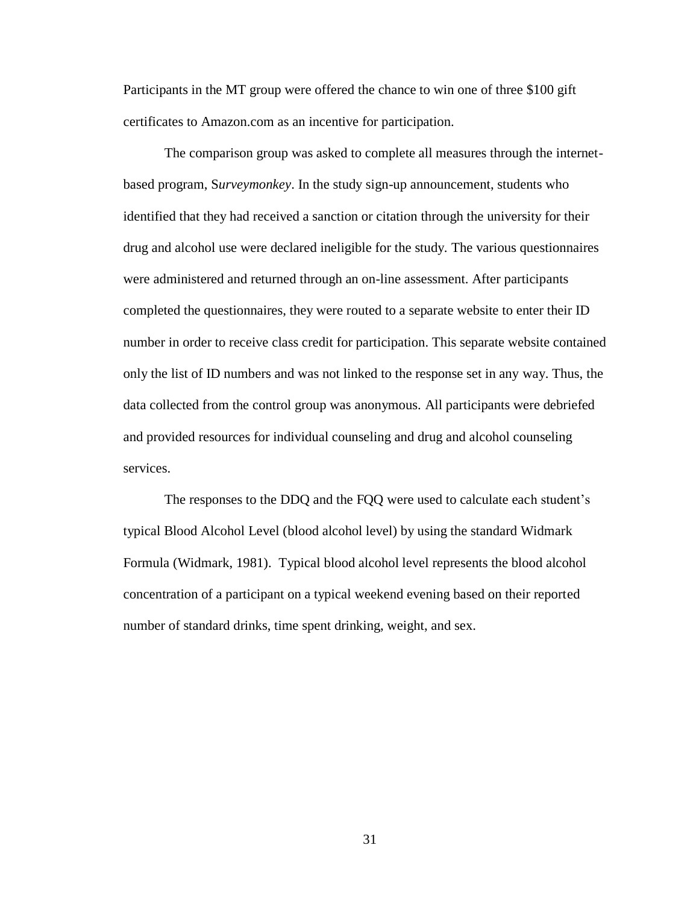Participants in the MT group were offered the chance to win one of three \$100 gift certificates to Amazon.com as an incentive for participation.

The comparison group was asked to complete all measures through the internetbased program, S*urveymonkey*. In the study sign-up announcement, students who identified that they had received a sanction or citation through the university for their drug and alcohol use were declared ineligible for the study. The various questionnaires were administered and returned through an on-line assessment. After participants completed the questionnaires, they were routed to a separate website to enter their ID number in order to receive class credit for participation. This separate website contained only the list of ID numbers and was not linked to the response set in any way. Thus, the data collected from the control group was anonymous. All participants were debriefed and provided resources for individual counseling and drug and alcohol counseling services.

The responses to the DDQ and the FQQ were used to calculate each student's typical Blood Alcohol Level (blood alcohol level) by using the standard Widmark Formula (Widmark, 1981). Typical blood alcohol level represents the blood alcohol concentration of a participant on a typical weekend evening based on their reported number of standard drinks, time spent drinking, weight, and sex.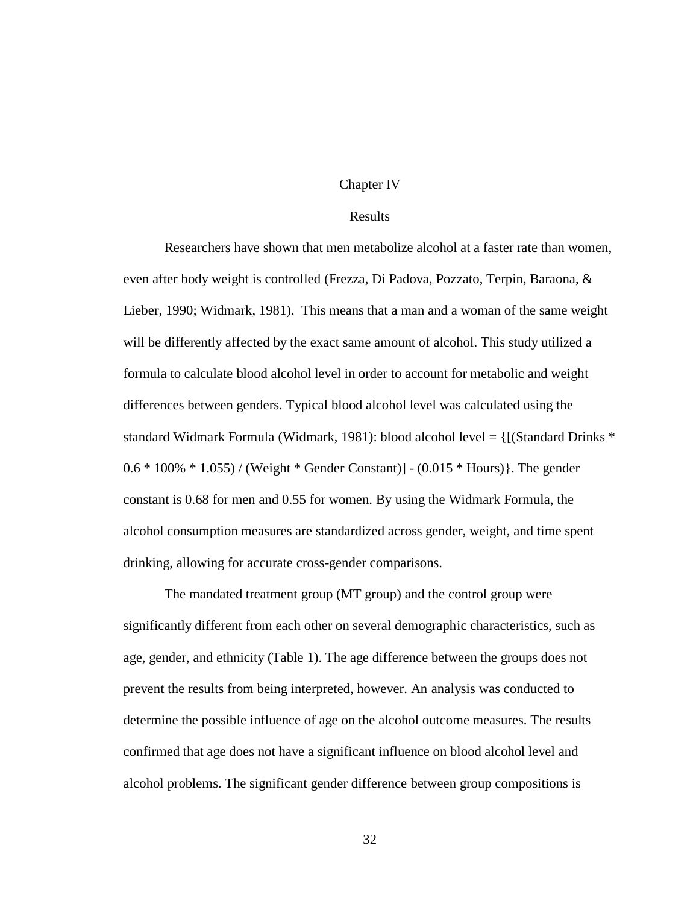### Chapter IV

### Results

Researchers have shown that men metabolize alcohol at a faster rate than women, even after body weight is controlled (Frezza, Di Padova, Pozzato, Terpin, Baraona, & Lieber, 1990; Widmark, 1981). This means that a man and a woman of the same weight will be differently affected by the exact same amount of alcohol. This study utilized a formula to calculate blood alcohol level in order to account for metabolic and weight differences between genders. Typical blood alcohol level was calculated using the standard Widmark Formula (Widmark, 1981): blood alcohol level = {[(Standard Drinks \* 0.6 \* 100% \* 1.055) / (Weight \* Gender Constant)] - (0.015 \* Hours)}. The gender constant is 0.68 for men and 0.55 for women. By using the Widmark Formula, the alcohol consumption measures are standardized across gender, weight, and time spent drinking, allowing for accurate cross-gender comparisons.

The mandated treatment group (MT group) and the control group were significantly different from each other on several demographic characteristics, such as age, gender, and ethnicity (Table 1). The age difference between the groups does not prevent the results from being interpreted, however. An analysis was conducted to determine the possible influence of age on the alcohol outcome measures. The results confirmed that age does not have a significant influence on blood alcohol level and alcohol problems. The significant gender difference between group compositions is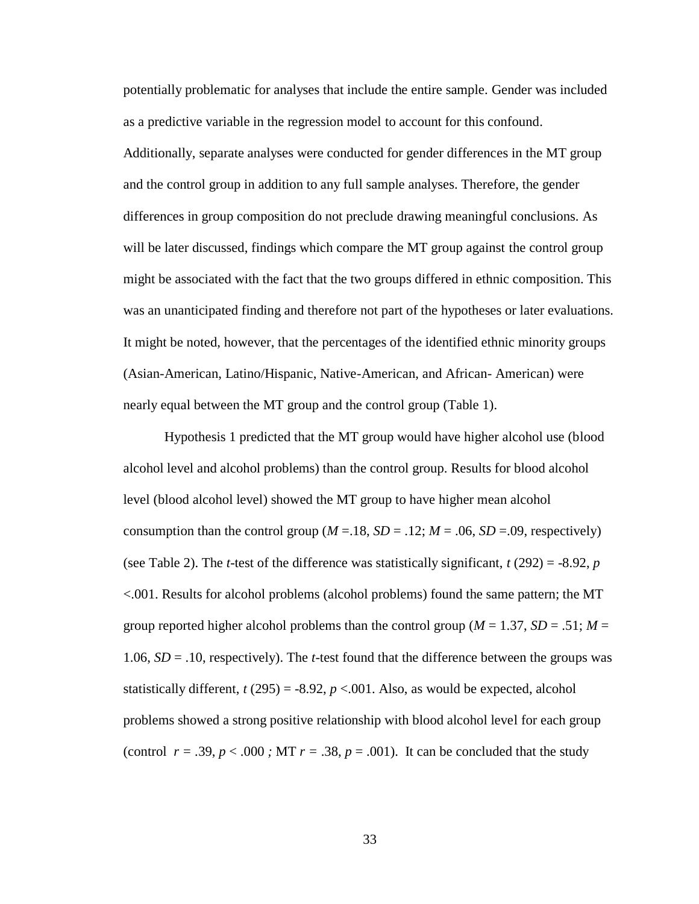potentially problematic for analyses that include the entire sample. Gender was included as a predictive variable in the regression model to account for this confound. Additionally, separate analyses were conducted for gender differences in the MT group and the control group in addition to any full sample analyses. Therefore, the gender differences in group composition do not preclude drawing meaningful conclusions. As will be later discussed, findings which compare the MT group against the control group might be associated with the fact that the two groups differed in ethnic composition. This was an unanticipated finding and therefore not part of the hypotheses or later evaluations. It might be noted, however, that the percentages of the identified ethnic minority groups (Asian-American, Latino/Hispanic, Native-American, and African- American) were nearly equal between the MT group and the control group (Table 1).

Hypothesis 1 predicted that the MT group would have higher alcohol use (blood alcohol level and alcohol problems) than the control group. Results for blood alcohol level (blood alcohol level) showed the MT group to have higher mean alcohol consumption than the control group ( $M = 0.18$ ,  $SD = 0.12$ ;  $M = 0.06$ ,  $SD = 0.09$ , respectively) (see Table 2). The *t*-test of the difference was statistically significant,  $t(292) = -8.92$ , *p* <.001. Results for alcohol problems (alcohol problems) found the same pattern; the MT group reported higher alcohol problems than the control group ( $M = 1.37$ ,  $SD = .51$ ;  $M =$ 1.06, *SD* = .10, respectively). The *t*-test found that the difference between the groups was statistically different,  $t(295) = -8.92$ ,  $p < .001$ . Also, as would be expected, alcohol problems showed a strong positive relationship with blood alcohol level for each group (control  $r = .39$ ,  $p < .000$ ; MT  $r = .38$ ,  $p = .001$ ). It can be concluded that the study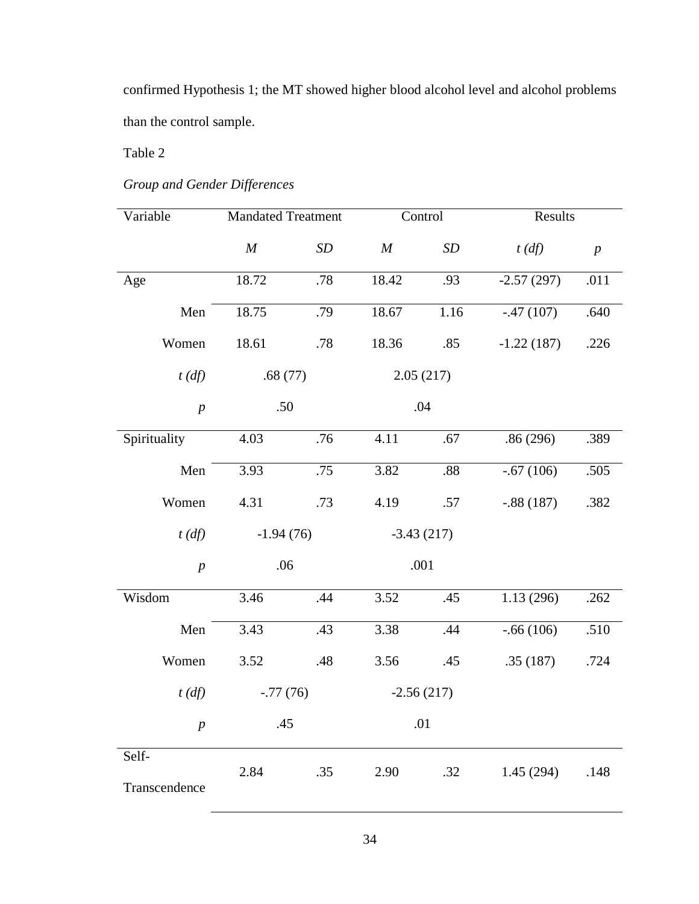confirmed Hypothesis 1; the MT showed higher blood alcohol level and alcohol problems than the control sample.

Table 2

# *Group and Gender Differences*

| Variable               | <b>Mandated Treatment</b> |     |                  | Control   | Results            |                  |  |
|------------------------|---------------------------|-----|------------------|-----------|--------------------|------------------|--|
|                        | $\boldsymbol{M}$          | SD  | $\boldsymbol{M}$ | <b>SD</b> | $t(d\mathfrak{f})$ | $\boldsymbol{p}$ |  |
| Age                    | 18.72                     | .78 | 18.42            | .93       | $-2.57(297)$       | .011             |  |
| Men                    | 18.75                     | .79 | 18.67            | 1.16      | $-.47(107)$        | .640             |  |
| Women                  | 18.61                     | .78 | 18.36            | .85       | $-1.22(187)$       | .226             |  |
| $t(d\mathfrak{f})$     | .68(77)                   |     |                  | 2.05(217) |                    |                  |  |
| $\boldsymbol{p}$       | .50                       |     |                  | .04       |                    |                  |  |
| Spirituality           | 4.03                      | .76 | 4.11             | .67       | .86(296)           | .389             |  |
| Men                    | 3.93                      | .75 | 3.82             | .88       | $-.67(106)$        | .505             |  |
| Women                  | 4.31                      | .73 | 4.19             | .57       | $-.88(187)$        | .382             |  |
| $t(d\mathfrak{f})$     | $-1.94(76)$               |     | $-3.43(217)$     |           |                    |                  |  |
| $\boldsymbol{p}$       | .06                       |     |                  | .001      |                    |                  |  |
| Wisdom                 | 3.46                      | .44 | 3.52             | .45       | 1.13(296)          | .262             |  |
| Men                    | 3.43                      | .43 | 3.38             | .44       | $-.66(106)$        | .510             |  |
| Women                  | 3.52                      | .48 | 3.56             | .45       | .35(187)           | .724             |  |
| $t(d\mathfrak{f})$     | $-.77(76)$                |     | $-2.56(217)$     |           |                    |                  |  |
| $\boldsymbol{p}$       | .45                       |     | .01              |           |                    |                  |  |
| Self-<br>Transcendence | 2.84                      | .35 | 2.90             | .32       | 1.45(294)          | .148             |  |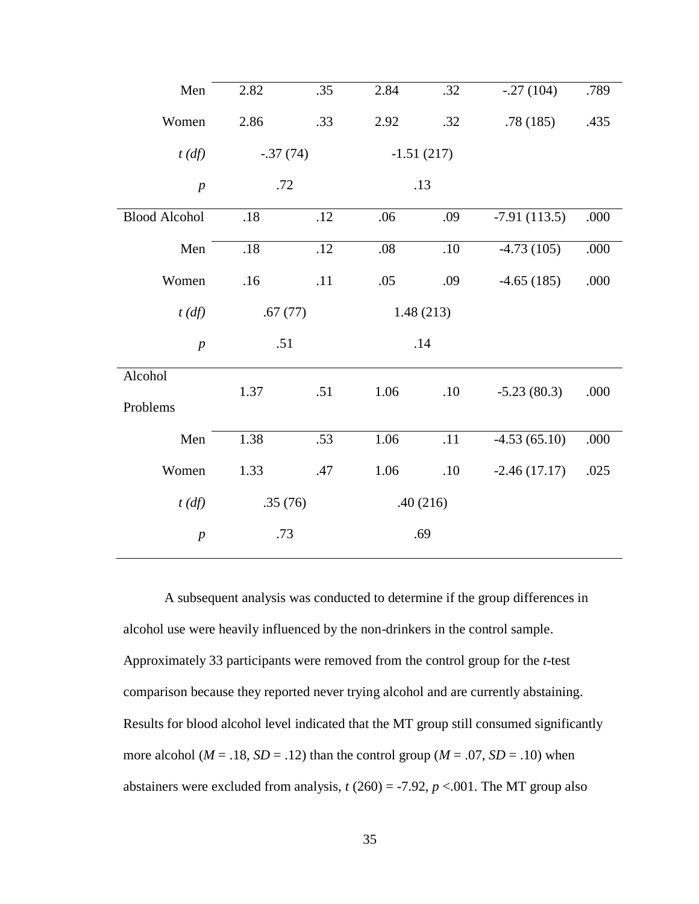| Men                  | 2.82       | .35 | 2.84    | .32          | $-.27(104)$    | .789 |
|----------------------|------------|-----|---------|--------------|----------------|------|
| Women                | 2.86       | .33 | 2.92    | .32          | .78(185)       | .435 |
| $t$ (df)             | $-.37(74)$ |     |         | $-1.51(217)$ |                |      |
| $\boldsymbol{p}$     | .72        |     |         | .13          |                |      |
| <b>Blood Alcohol</b> | .18        | .12 | .06     | .09          | $-7.91(113.5)$ | .000 |
| Men                  | $.18\,$    | .12 | $.08\,$ | $.10\,$      | $-4.73(105)$   | .000 |
| Women                | .16        | .11 | .05     | .09          | $-4.65(185)$   | .000 |
| $t(d\mathfrak{f})$   | .67(77)    |     |         | 1.48(213)    |                |      |
| $\boldsymbol{p}$     | .51        |     | .14     |              |                |      |
| Alcohol              |            |     |         |              |                |      |
| Problems             | 1.37       | .51 | 1.06    | .10          | $-5.23(80.3)$  | .000 |
| Men                  | 1.38       | .53 | 1.06    | .11          | $-4.53(65.10)$ | .000 |
| Women                | 1.33       | .47 | 1.06    | .10          | $-2.46(17.17)$ | .025 |
| $t(d\mathfrak{f})$   | .35(76)    |     |         | .40(216)     |                |      |
| $\boldsymbol{p}$     | .73        |     |         | .69          |                |      |

A subsequent analysis was conducted to determine if the group differences in alcohol use were heavily influenced by the non-drinkers in the control sample. Approximately 33 participants were removed from the control group for the *t*-test comparison because they reported never trying alcohol and are currently abstaining. Results for blood alcohol level indicated that the MT group still consumed significantly more alcohol ( $M = .18$ ,  $SD = .12$ ) than the control group ( $M = .07$ ,  $SD = .10$ ) when abstainers were excluded from analysis,  $t(260) = -7.92$ ,  $p < .001$ . The MT group also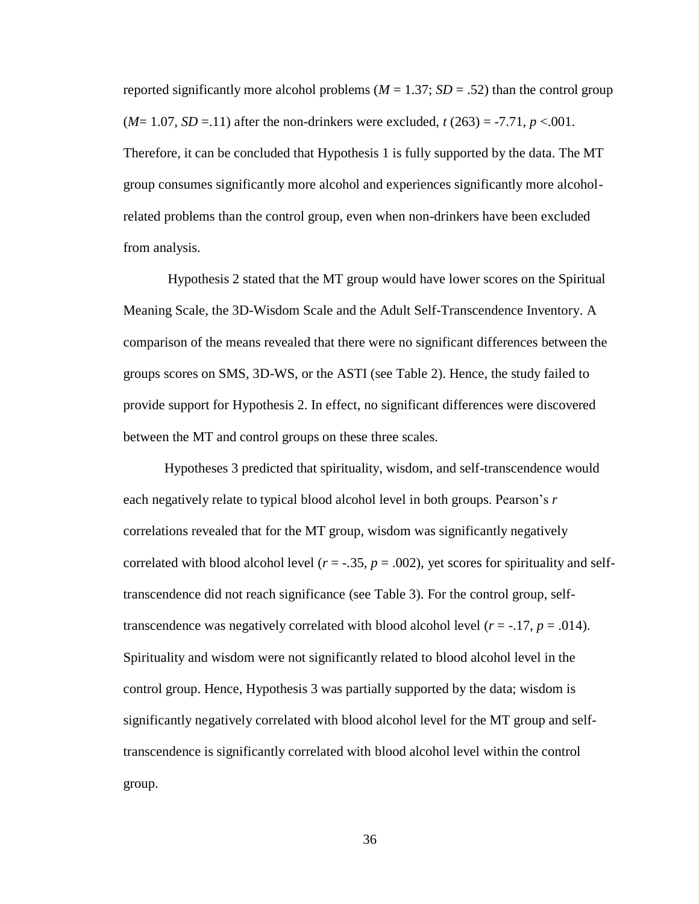reported significantly more alcohol problems ( $M = 1.37$ ;  $SD = .52$ ) than the control group  $(M=1.07, SD=11)$  after the non-drinkers were excluded,  $t(263) = -7.71, p < 0.001$ . Therefore, it can be concluded that Hypothesis 1 is fully supported by the data. The MT group consumes significantly more alcohol and experiences significantly more alcoholrelated problems than the control group, even when non-drinkers have been excluded from analysis.

Hypothesis 2 stated that the MT group would have lower scores on the Spiritual Meaning Scale, the 3D-Wisdom Scale and the Adult Self-Transcendence Inventory. A comparison of the means revealed that there were no significant differences between the groups scores on SMS, 3D-WS, or the ASTI (see Table 2). Hence, the study failed to provide support for Hypothesis 2. In effect, no significant differences were discovered between the MT and control groups on these three scales.

Hypotheses 3 predicted that spirituality, wisdom, and self-transcendence would each negatively relate to typical blood alcohol level in both groups. Pearson's *r*  correlations revealed that for the MT group, wisdom was significantly negatively correlated with blood alcohol level  $(r = -.35, p = .002)$ , yet scores for spirituality and selftranscendence did not reach significance (see Table 3). For the control group, selftranscendence was negatively correlated with blood alcohol level  $(r = -17, p = .014)$ . Spirituality and wisdom were not significantly related to blood alcohol level in the control group. Hence, Hypothesis 3 was partially supported by the data; wisdom is significantly negatively correlated with blood alcohol level for the MT group and selftranscendence is significantly correlated with blood alcohol level within the control group.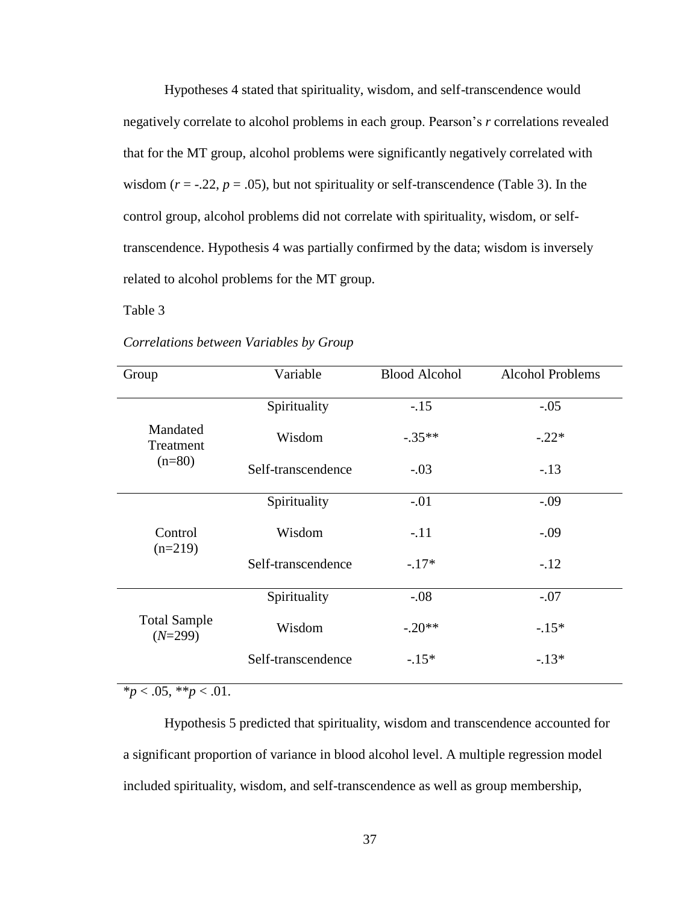Hypotheses 4 stated that spirituality, wisdom, and self-transcendence would negatively correlate to alcohol problems in each group. Pearson's *r* correlations revealed that for the MT group, alcohol problems were significantly negatively correlated with wisdom  $(r = -.22, p = .05)$ , but not spirituality or self-transcendence (Table 3). In the control group, alcohol problems did not correlate with spirituality, wisdom, or selftranscendence. Hypothesis 4 was partially confirmed by the data; wisdom is inversely related to alcohol problems for the MT group.

Table 3

| Group                            | Variable           | <b>Blood Alcohol</b> | <b>Alcohol Problems</b> |
|----------------------------------|--------------------|----------------------|-------------------------|
|                                  | Spirituality       | $-.15$               | $-.05$                  |
| Mandated<br>Treatment            | Wisdom             | $-.35**$             | $-.22*$                 |
| $(n=80)$                         | Self-transcendence | $-.03$               | $-.13$                  |
|                                  | Spirituality       | $-.01$               | $-.09$                  |
| Control<br>$(n=219)$             | Wisdom             | $-.11$               | $-.09$                  |
|                                  | Self-transcendence | $-.17*$              | $-.12$                  |
|                                  | Spirituality       | $-.08$               | $-.07$                  |
| <b>Total Sample</b><br>$(N=299)$ | Wisdom             | $-.20**$             | $-.15*$                 |
|                                  | Self-transcendence | $-.15*$              | $-.13*$                 |

*Correlations between Variables by Group*

 $*_{p} < .05, **_{p} < .01.$ 

Hypothesis 5 predicted that spirituality, wisdom and transcendence accounted for a significant proportion of variance in blood alcohol level. A multiple regression model included spirituality, wisdom, and self-transcendence as well as group membership,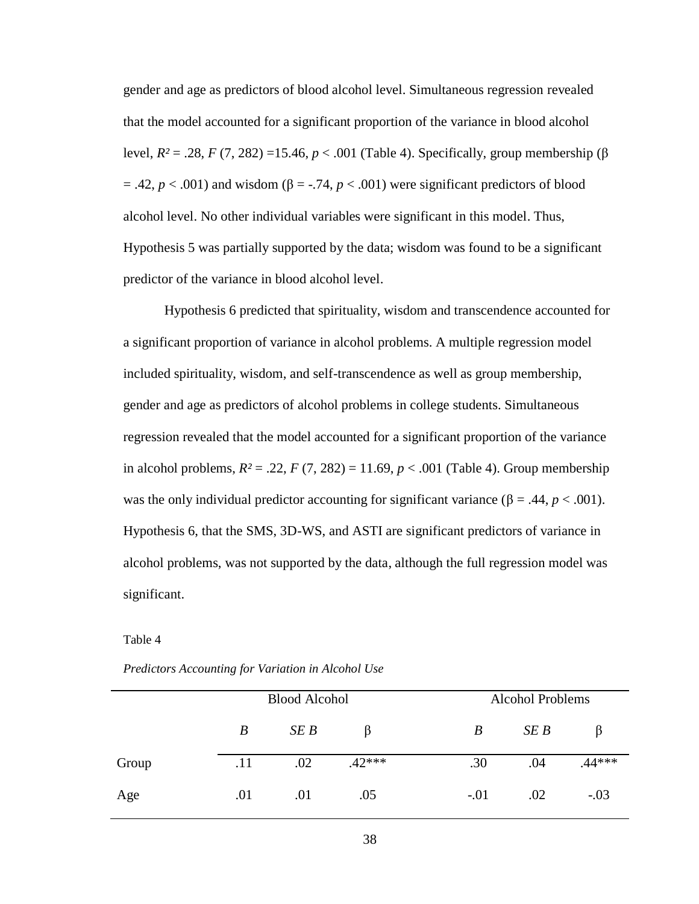gender and age as predictors of blood alcohol level. Simultaneous regression revealed that the model accounted for a significant proportion of the variance in blood alcohol level, *R²* = .28, *F* (7, 282) =15.46, *p* < .001 (Table 4). Specifically, group membership (β  $= .42, p < .001$ ) and wisdom ( $\beta = .74, p < .001$ ) were significant predictors of blood alcohol level. No other individual variables were significant in this model. Thus, Hypothesis 5 was partially supported by the data; wisdom was found to be a significant predictor of the variance in blood alcohol level.

Hypothesis 6 predicted that spirituality, wisdom and transcendence accounted for a significant proportion of variance in alcohol problems. A multiple regression model included spirituality, wisdom, and self-transcendence as well as group membership, gender and age as predictors of alcohol problems in college students. Simultaneous regression revealed that the model accounted for a significant proportion of the variance in alcohol problems,  $R^2 = .22$ ,  $F(7, 282) = 11.69$ ,  $p < .001$  (Table 4). Group membership was the only individual predictor accounting for significant variance ( $\beta$  = .44, *p* < .001). Hypothesis 6, that the SMS, 3D-WS, and ASTI are significant predictors of variance in alcohol problems, was not supported by the data, although the full regression model was significant.

Table 4

|       | <b>Blood Alcohol</b> |     |          |        | <b>Alcohol Problems</b> |        |  |
|-------|----------------------|-----|----------|--------|-------------------------|--------|--|
|       | B                    | SEB | B        | B      | SEB                     |        |  |
| Group | .11                  | .02 | $.42***$ | .30    | .04                     | .44*** |  |
| Age   | .01                  | .01 | .05      | $-.01$ | .02                     | $-.03$ |  |

*Predictors Accounting for Variation in Alcohol Use*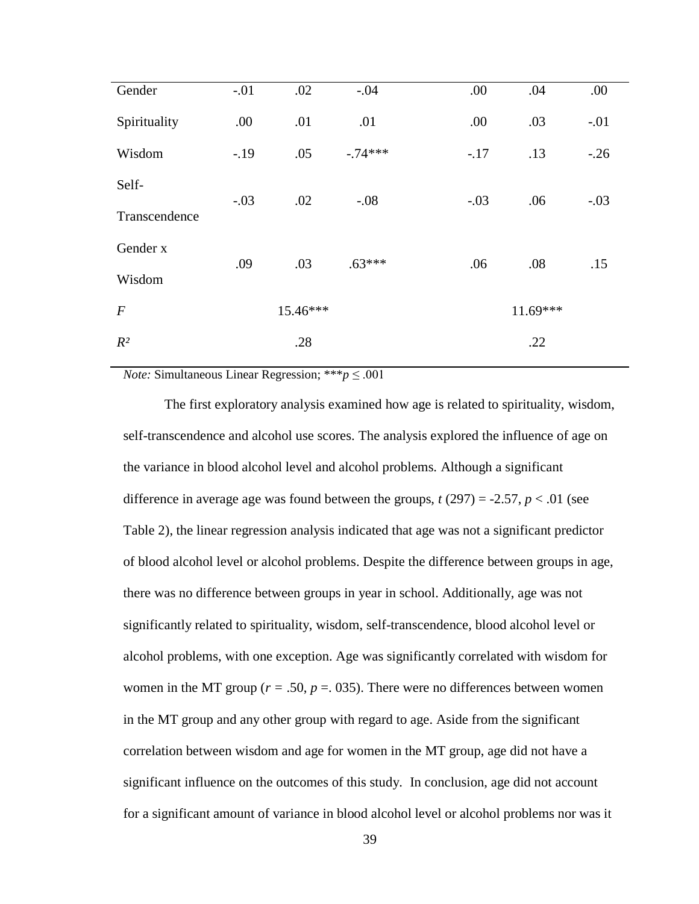| Gender           | $-.01$ | .02      | $-.04$    | .00    | .04        | .00    |
|------------------|--------|----------|-----------|--------|------------|--------|
| Spirituality     | .00    | .01      | .01       | .00    | .03        | $-.01$ |
| Wisdom           | $-19$  | .05      | $-.74***$ | $-.17$ | .13        | $-.26$ |
| Self-            |        |          |           |        |            |        |
| Transcendence    | $-.03$ | .02      | $-.08$    | $-.03$ | .06        | $-.03$ |
| Gender x         | .09    | .03      | $.63***$  | .06    | .08        | .15    |
| Wisdom           |        |          |           |        |            |        |
| $\boldsymbol{F}$ |        | 15.46*** |           |        | $11.69***$ |        |
| $R^2$            |        | .28      |           |        | .22        |        |

*Note:* Simultaneous Linear Regression; \*\*\* $p \leq .001$ 

The first exploratory analysis examined how age is related to spirituality, wisdom, self-transcendence and alcohol use scores. The analysis explored the influence of age on the variance in blood alcohol level and alcohol problems. Although a significant difference in average age was found between the groups,  $t(297) = -2.57$ ,  $p < .01$  (see Table 2), the linear regression analysis indicated that age was not a significant predictor of blood alcohol level or alcohol problems. Despite the difference between groups in age, there was no difference between groups in year in school. Additionally, age was not significantly related to spirituality, wisdom, self-transcendence, blood alcohol level or alcohol problems, with one exception. Age was significantly correlated with wisdom for women in the MT group ( $r = .50$ ,  $p = .035$ ). There were no differences between women in the MT group and any other group with regard to age. Aside from the significant correlation between wisdom and age for women in the MT group, age did not have a significant influence on the outcomes of this study. In conclusion, age did not account for a significant amount of variance in blood alcohol level or alcohol problems nor was it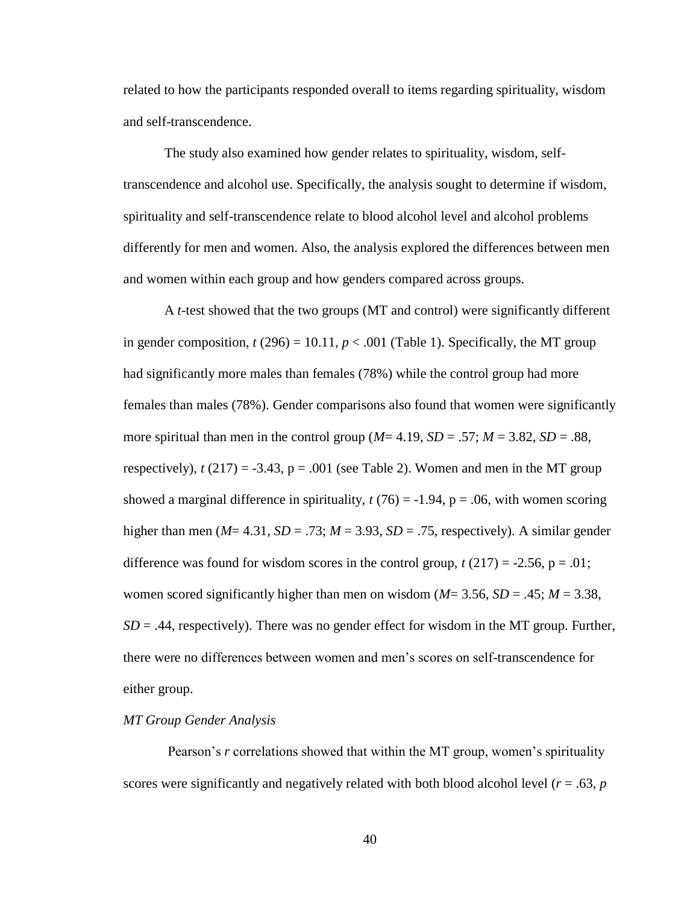related to how the participants responded overall to items regarding spirituality, wisdom and self-transcendence.

The study also examined how gender relates to spirituality, wisdom, selftranscendence and alcohol use. Specifically, the analysis sought to determine if wisdom, spirituality and self-transcendence relate to blood alcohol level and alcohol problems differently for men and women. Also, the analysis explored the differences between men and women within each group and how genders compared across groups.

A *t*-test showed that the two groups (MT and control) were significantly different in gender composition,  $t(296) = 10.11$ ,  $p < .001$  (Table 1). Specifically, the MT group had significantly more males than females (78%) while the control group had more females than males (78%). Gender comparisons also found that women were significantly more spiritual than men in the control group  $(M=4.19, SD=.57; M=.382, SD=.88$ , respectively),  $t(217) = -3.43$ ,  $p = .001$  (see Table 2). Women and men in the MT group showed a marginal difference in spirituality,  $t(76) = -1.94$ ,  $p = .06$ , with women scoring higher than men ( $M = 4.31$ ,  $SD = .73$ ;  $M = 3.93$ ,  $SD = .75$ , respectively). A similar gender difference was found for wisdom scores in the control group,  $t(217) = -2.56$ ,  $p = .01$ ; women scored significantly higher than men on wisdom  $(M=3.56, SD=.45; M=3.38,$  $SD = .44$ , respectively). There was no gender effect for wisdom in the MT group. Further, there were no differences between women and men's scores on self-transcendence for either group.

### *MT Group Gender Analysis*

Pearson's *r* correlations showed that within the MT group, women's spirituality scores were significantly and negatively related with both blood alcohol level (*r* = .63, *p*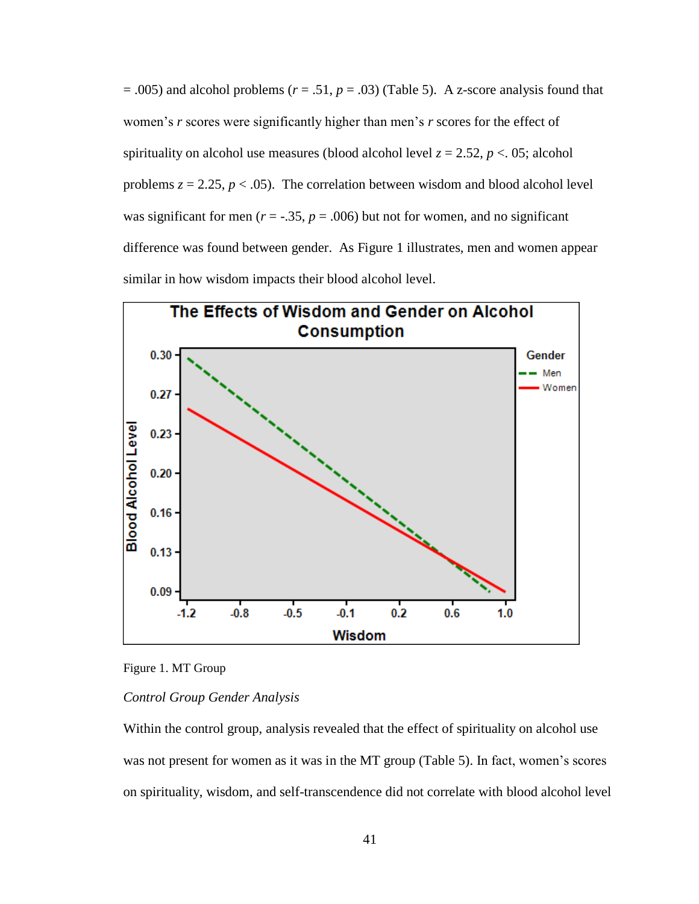$= .005$ ) and alcohol problems ( $r = .51$ ,  $p = .03$ ) (Table 5). A z-score analysis found that women's *r* scores were significantly higher than men's *r* scores for the effect of spirituality on alcohol use measures (blood alcohol level  $z = 2.52$ ,  $p < 0.05$ ; alcohol problems  $z = 2.25$ ,  $p < .05$ ). The correlation between wisdom and blood alcohol level was significant for men ( $r = -.35$ ,  $p = .006$ ) but not for women, and no significant difference was found between gender. As Figure 1 illustrates, men and women appear similar in how wisdom impacts their blood alcohol level.



Figure 1. MT Group

### *Control Group Gender Analysis*

Within the control group, analysis revealed that the effect of spirituality on alcohol use was not present for women as it was in the MT group (Table 5). In fact, women's scores on spirituality, wisdom, and self-transcendence did not correlate with blood alcohol level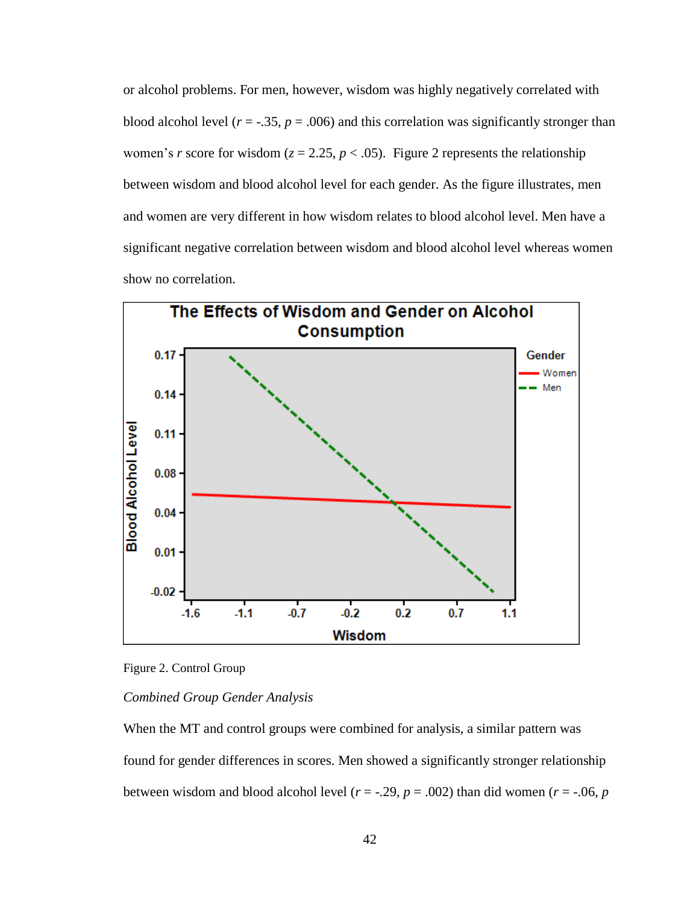or alcohol problems. For men, however, wisdom was highly negatively correlated with blood alcohol level ( $r = -0.35$ ,  $p = 0.006$ ) and this correlation was significantly stronger than women's *r* score for wisdom ( $z = 2.25$ ,  $p < .05$ ). Figure 2 represents the relationship between wisdom and blood alcohol level for each gender. As the figure illustrates, men and women are very different in how wisdom relates to blood alcohol level. Men have a significant negative correlation between wisdom and blood alcohol level whereas women show no correlation.



Figure 2. Control Group

### *Combined Group Gender Analysis*

When the MT and control groups were combined for analysis, a similar pattern was found for gender differences in scores. Men showed a significantly stronger relationship between wisdom and blood alcohol level ( $r = -.29$ ,  $p = .002$ ) than did women ( $r = -.06$ ,  $p = .002$ )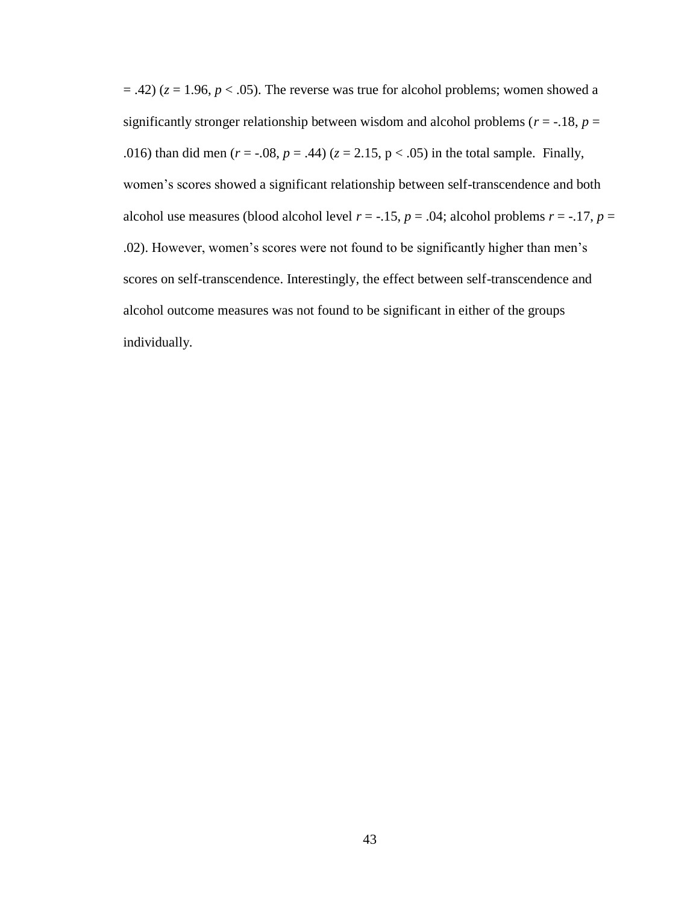$(2, 42)$  ( $z = 1.96$ ,  $p < .05$ ). The reverse was true for alcohol problems; women showed a significantly stronger relationship between wisdom and alcohol problems ( $r = -18$ ,  $p =$ .016) than did men  $(r = -.08, p = .44)$  ( $z = 2.15, p < .05$ ) in the total sample. Finally, women's scores showed a significant relationship between self-transcendence and both alcohol use measures (blood alcohol level  $r = -.15$ ,  $p = .04$ ; alcohol problems  $r = -.17$ ,  $p =$ .02). However, women's scores were not found to be significantly higher than men's scores on self-transcendence. Interestingly, the effect between self-transcendence and alcohol outcome measures was not found to be significant in either of the groups individually.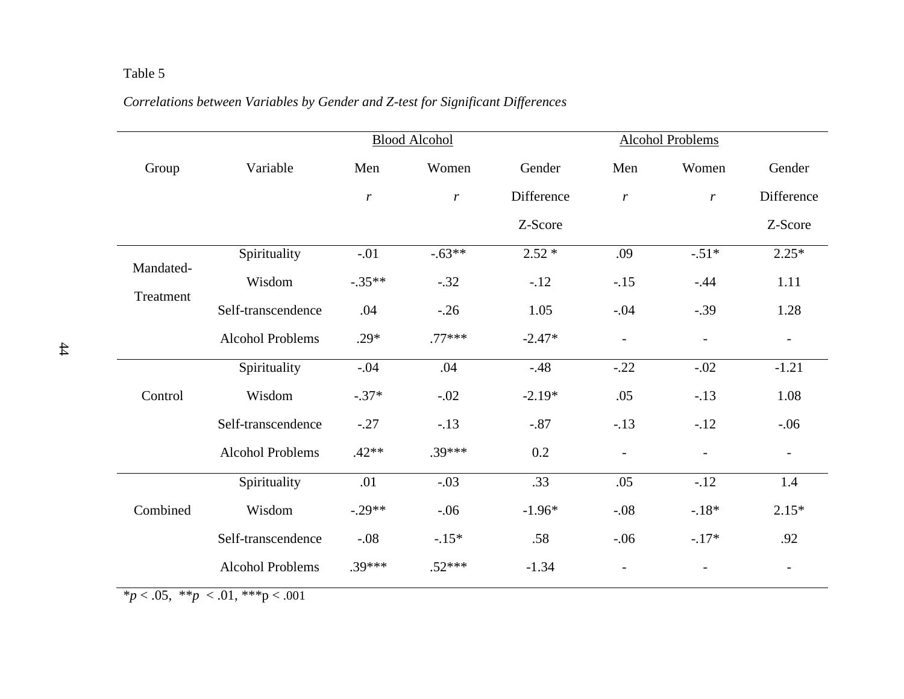# Table 5

# *Correlations between Variables by Gender and Z-test for Significant Differences*

|                         |                                                  | <b>Blood Alcohol</b> |               |            |                          |                          |                          |
|-------------------------|--------------------------------------------------|----------------------|---------------|------------|--------------------------|--------------------------|--------------------------|
| Group                   | Variable                                         | Men                  | Women         | Gender     | Men                      | Women                    | Gender                   |
|                         |                                                  | $\boldsymbol{r}$     | $\mathcal{r}$ | Difference | $\boldsymbol{r}$         | $\mathfrak{r}$           | Difference               |
|                         |                                                  |                      |               | Z-Score    |                          |                          | Z-Score                  |
| Mandated-               | Spirituality                                     | $-.01$               | $-.63**$      | $2.52*$    | .09                      | $-.51*$                  | $2.25*$                  |
|                         | Wisdom                                           | $-.35**$             | $-.32$        | $-.12$     | $-.15$                   | $-.44$                   | 1.11                     |
| Treatment               | Self-transcendence                               | .04                  | $-.26$        | 1.05       | $-.04$                   | $-.39$                   | 1.28                     |
|                         | <b>Alcohol Problems</b>                          | $.29*$               | $.77***$      | $-2.47*$   | $\overline{\phantom{a}}$ | $\qquad \qquad -$        | $\overline{\phantom{a}}$ |
|                         | Spirituality                                     | $-.04$               | .04           | $-48$      | $-.22$                   | $-.02$                   | $-1.21$                  |
| Control                 | Wisdom                                           | $-.37*$              | $-.02$        | $-2.19*$   | .05                      | $-.13$                   | 1.08                     |
|                         | Self-transcendence                               | $-.27$               | $-.13$        | $-.87$     | $-.13$                   | $-12$                    | $-.06$                   |
|                         | <b>Alcohol Problems</b>                          | $.42**$              | $.39***$      | 0.2        | $\overline{\phantom{a}}$ | $\overline{\phantom{a}}$ | $\overline{\phantom{a}}$ |
|                         | Spirituality                                     | .01                  | $-.03$        | .33        | .05                      | $-12$                    | 1.4                      |
| Combined                | Wisdom                                           | $-.29**$             | $-.06$        | $-1.96*$   | $-.08$                   | $-18*$                   | $2.15*$                  |
|                         | Self-transcendence                               | $-.08$               | $-15*$        | .58        | $-.06$                   | $-17*$                   | .92                      |
| $\bigcap_{i=1}^n$ where | <b>Alcohol Problems</b><br>$0.1$ shakes<br>0.021 | $.39***$             | $.52***$      | $-1.34$    | $\overline{\phantom{a}}$ |                          | $\overline{\phantom{a}}$ |

 $*p < .05, **p < .01, **p < .001$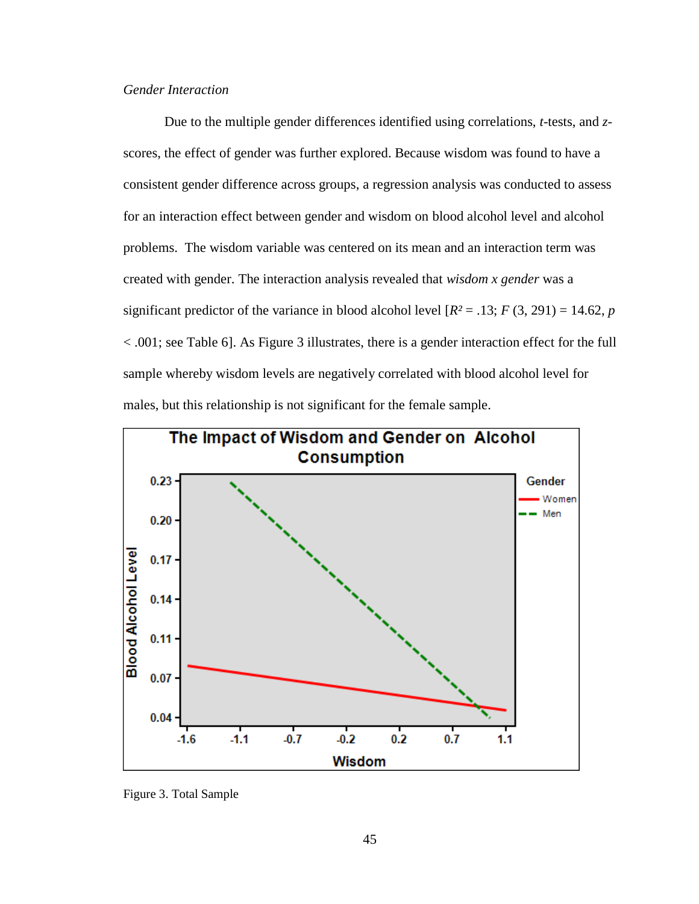## *Gender Interaction*

Due to the multiple gender differences identified using correlations, *t*-tests, and *z*scores, the effect of gender was further explored. Because wisdom was found to have a consistent gender difference across groups, a regression analysis was conducted to assess for an interaction effect between gender and wisdom on blood alcohol level and alcohol problems. The wisdom variable was centered on its mean and an interaction term was created with gender. The interaction analysis revealed that *wisdom x gender* was a significant predictor of the variance in blood alcohol level  $[R^2 = .13; F(3, 291) = 14.62, p$ < .001; see Table 6]. As Figure 3 illustrates, there is a gender interaction effect for the full sample whereby wisdom levels are negatively correlated with blood alcohol level for males, but this relationship is not significant for the female sample.



Figure 3. Total Sample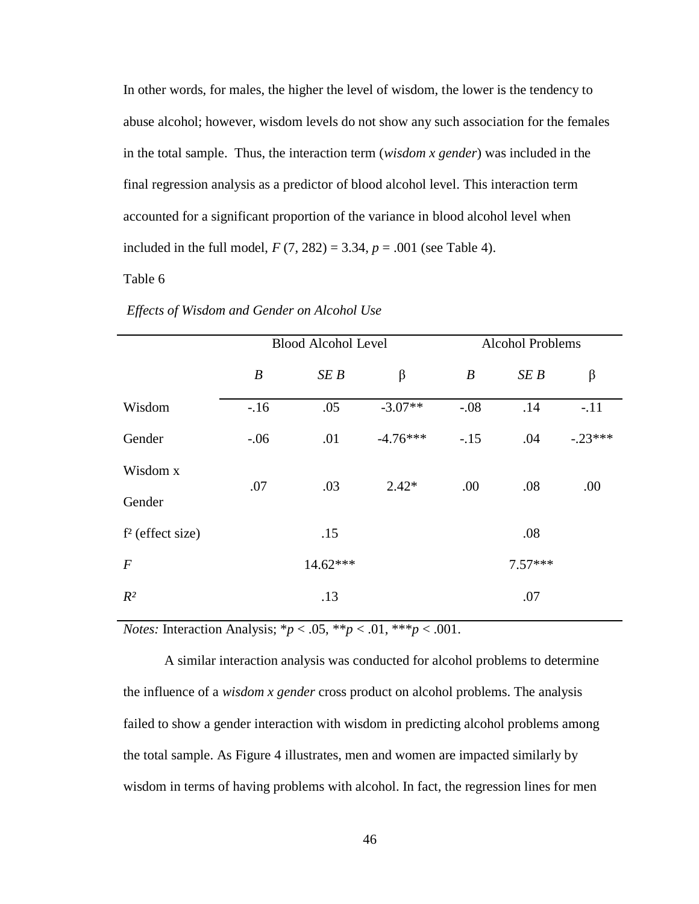In other words, for males, the higher the level of wisdom, the lower is the tendency to abuse alcohol; however, wisdom levels do not show any such association for the females in the total sample. Thus, the interaction term (*wisdom x gender*) was included in the final regression analysis as a predictor of blood alcohol level. This interaction term accounted for a significant proportion of the variance in blood alcohol level when included in the full model,  $F(7, 282) = 3.34$ ,  $p = .001$  (see Table 4).

Table 6

|                    |                  | <b>Blood Alcohol Level</b> |            | <b>Alcohol Problems</b> |           |           |  |
|--------------------|------------------|----------------------------|------------|-------------------------|-----------|-----------|--|
|                    | $\boldsymbol{B}$ | SE B                       | $\beta$    | $\boldsymbol{B}$        | SE B      | $\beta$   |  |
| Wisdom             | $-16$            | .05                        | $-3.07**$  | $-.08$                  | .14       | $-.11$    |  |
| Gender             | $-0.06$          | .01                        | $-4.76***$ | $-.15$                  | .04       | $-.23***$ |  |
| Wisdom x           | .07              | .03                        | $2.42*$    | .00                     | .08       | .00       |  |
| Gender             |                  |                            |            |                         |           |           |  |
| $f2$ (effect size) |                  | .15                        |            |                         | .08       |           |  |
| $\boldsymbol{F}$   |                  | $14.62***$                 |            |                         | $7.57***$ |           |  |
| $R^2$              |                  | .13                        |            |                         | .07       |           |  |

*Effects of Wisdom and Gender on Alcohol Use* 

*Notes:* Interaction Analysis; \* $p < .05$ , \*\* $p < .01$ , \*\*\* $p < .001$ .

A similar interaction analysis was conducted for alcohol problems to determine the influence of a *wisdom x gender* cross product on alcohol problems. The analysis failed to show a gender interaction with wisdom in predicting alcohol problems among the total sample. As Figure 4 illustrates, men and women are impacted similarly by wisdom in terms of having problems with alcohol. In fact, the regression lines for men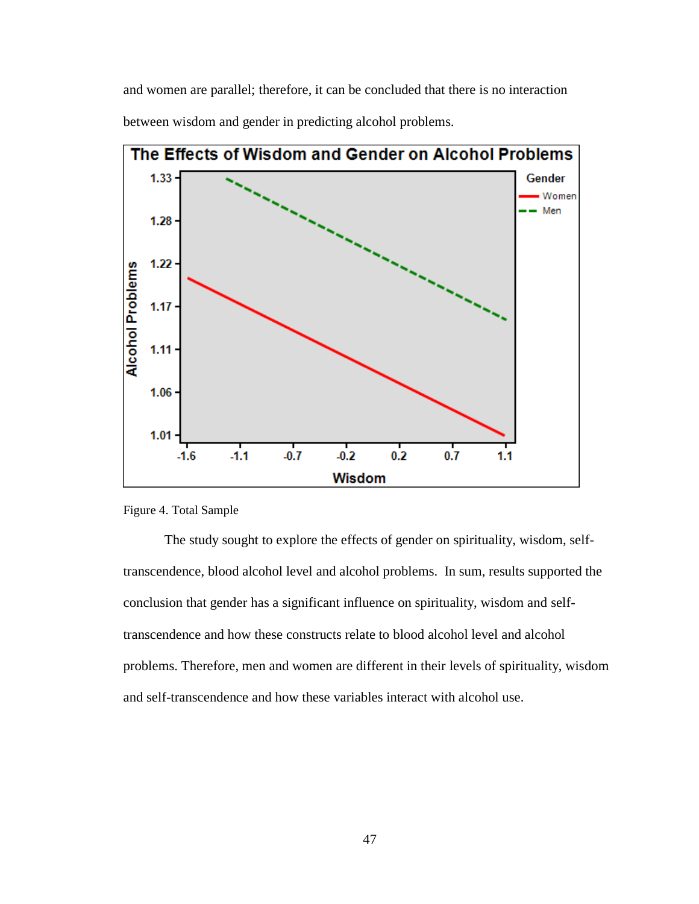and women are parallel; therefore, it can be concluded that there is no interaction between wisdom and gender in predicting alcohol problems.



Figure 4. Total Sample

The study sought to explore the effects of gender on spirituality, wisdom, selftranscendence, blood alcohol level and alcohol problems. In sum, results supported the conclusion that gender has a significant influence on spirituality, wisdom and selftranscendence and how these constructs relate to blood alcohol level and alcohol problems. Therefore, men and women are different in their levels of spirituality, wisdom and self-transcendence and how these variables interact with alcohol use.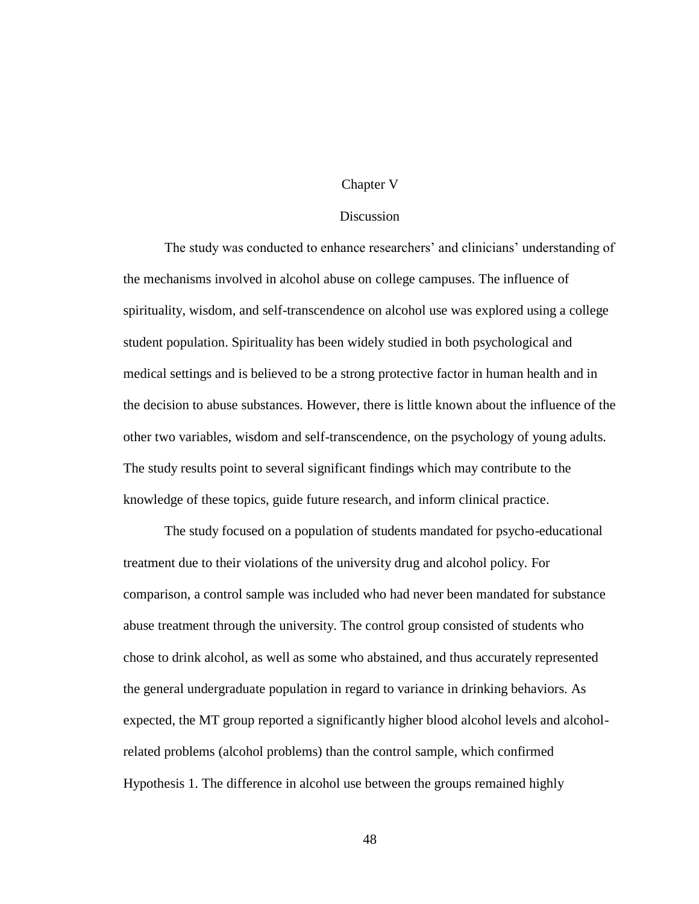### Chapter V

### Discussion

The study was conducted to enhance researchers' and clinicians' understanding of the mechanisms involved in alcohol abuse on college campuses. The influence of spirituality, wisdom, and self-transcendence on alcohol use was explored using a college student population. Spirituality has been widely studied in both psychological and medical settings and is believed to be a strong protective factor in human health and in the decision to abuse substances. However, there is little known about the influence of the other two variables, wisdom and self-transcendence, on the psychology of young adults. The study results point to several significant findings which may contribute to the knowledge of these topics, guide future research, and inform clinical practice.

The study focused on a population of students mandated for psycho-educational treatment due to their violations of the university drug and alcohol policy. For comparison, a control sample was included who had never been mandated for substance abuse treatment through the university. The control group consisted of students who chose to drink alcohol, as well as some who abstained, and thus accurately represented the general undergraduate population in regard to variance in drinking behaviors. As expected, the MT group reported a significantly higher blood alcohol levels and alcoholrelated problems (alcohol problems) than the control sample, which confirmed Hypothesis 1. The difference in alcohol use between the groups remained highly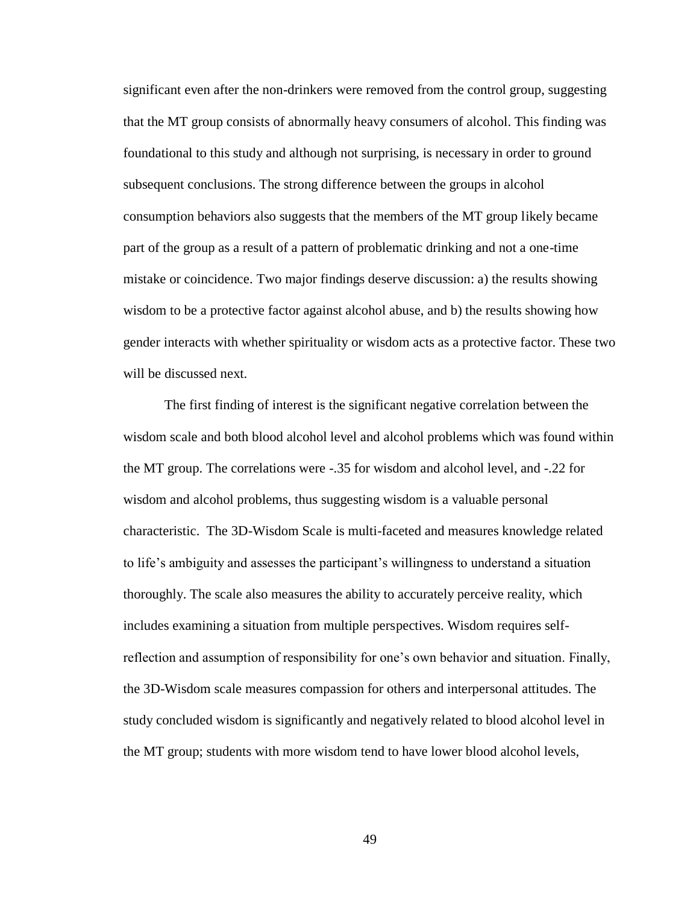significant even after the non-drinkers were removed from the control group, suggesting that the MT group consists of abnormally heavy consumers of alcohol. This finding was foundational to this study and although not surprising, is necessary in order to ground subsequent conclusions. The strong difference between the groups in alcohol consumption behaviors also suggests that the members of the MT group likely became part of the group as a result of a pattern of problematic drinking and not a one-time mistake or coincidence. Two major findings deserve discussion: a) the results showing wisdom to be a protective factor against alcohol abuse, and b) the results showing how gender interacts with whether spirituality or wisdom acts as a protective factor. These two will be discussed next.

The first finding of interest is the significant negative correlation between the wisdom scale and both blood alcohol level and alcohol problems which was found within the MT group. The correlations were -.35 for wisdom and alcohol level, and -.22 for wisdom and alcohol problems, thus suggesting wisdom is a valuable personal characteristic. The 3D-Wisdom Scale is multi-faceted and measures knowledge related to life's ambiguity and assesses the participant's willingness to understand a situation thoroughly. The scale also measures the ability to accurately perceive reality, which includes examining a situation from multiple perspectives. Wisdom requires selfreflection and assumption of responsibility for one's own behavior and situation. Finally, the 3D-Wisdom scale measures compassion for others and interpersonal attitudes. The study concluded wisdom is significantly and negatively related to blood alcohol level in the MT group; students with more wisdom tend to have lower blood alcohol levels,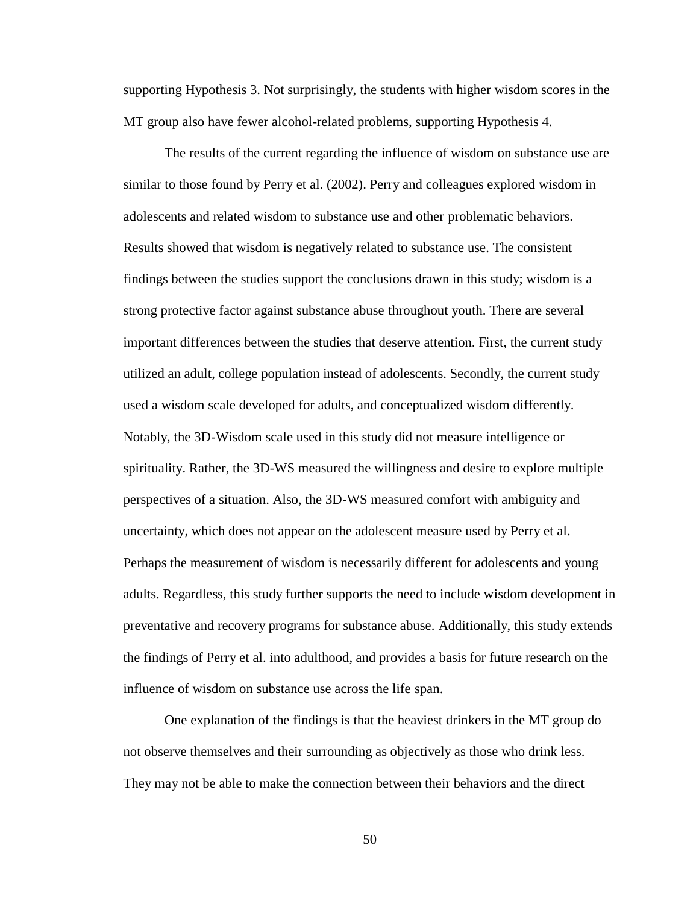supporting Hypothesis 3. Not surprisingly, the students with higher wisdom scores in the MT group also have fewer alcohol-related problems, supporting Hypothesis 4.

The results of the current regarding the influence of wisdom on substance use are similar to those found by Perry et al. (2002). Perry and colleagues explored wisdom in adolescents and related wisdom to substance use and other problematic behaviors. Results showed that wisdom is negatively related to substance use. The consistent findings between the studies support the conclusions drawn in this study; wisdom is a strong protective factor against substance abuse throughout youth. There are several important differences between the studies that deserve attention. First, the current study utilized an adult, college population instead of adolescents. Secondly, the current study used a wisdom scale developed for adults, and conceptualized wisdom differently. Notably, the 3D-Wisdom scale used in this study did not measure intelligence or spirituality. Rather, the 3D-WS measured the willingness and desire to explore multiple perspectives of a situation. Also, the 3D-WS measured comfort with ambiguity and uncertainty, which does not appear on the adolescent measure used by Perry et al. Perhaps the measurement of wisdom is necessarily different for adolescents and young adults. Regardless, this study further supports the need to include wisdom development in preventative and recovery programs for substance abuse. Additionally, this study extends the findings of Perry et al. into adulthood, and provides a basis for future research on the influence of wisdom on substance use across the life span.

One explanation of the findings is that the heaviest drinkers in the MT group do not observe themselves and their surrounding as objectively as those who drink less. They may not be able to make the connection between their behaviors and the direct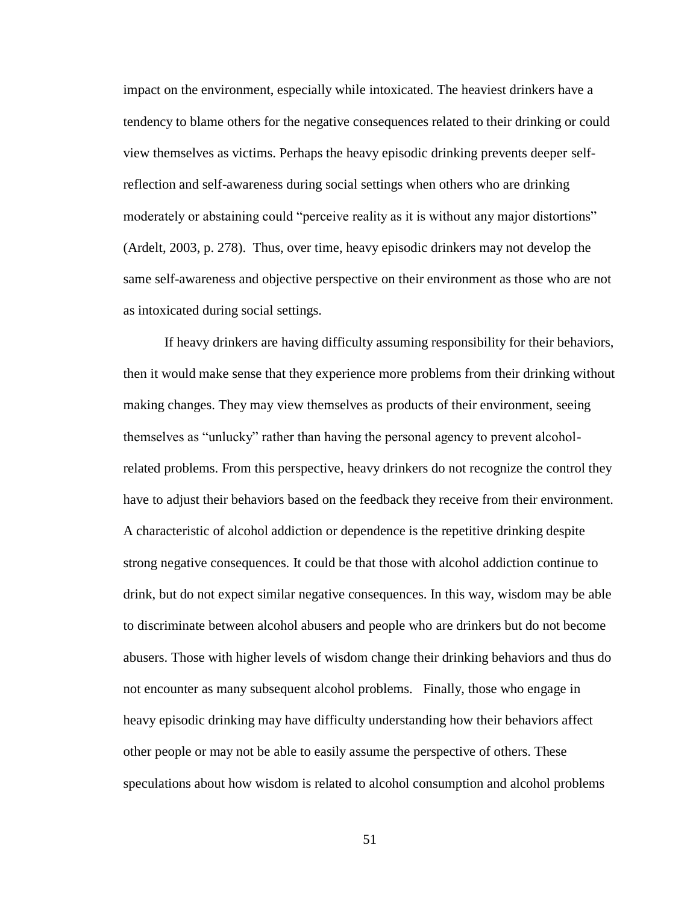impact on the environment, especially while intoxicated. The heaviest drinkers have a tendency to blame others for the negative consequences related to their drinking or could view themselves as victims. Perhaps the heavy episodic drinking prevents deeper selfreflection and self-awareness during social settings when others who are drinking moderately or abstaining could "perceive reality as it is without any major distortions" (Ardelt, 2003, p. 278). Thus, over time, heavy episodic drinkers may not develop the same self-awareness and objective perspective on their environment as those who are not as intoxicated during social settings.

If heavy drinkers are having difficulty assuming responsibility for their behaviors, then it would make sense that they experience more problems from their drinking without making changes. They may view themselves as products of their environment, seeing themselves as "unlucky" rather than having the personal agency to prevent alcoholrelated problems. From this perspective, heavy drinkers do not recognize the control they have to adjust their behaviors based on the feedback they receive from their environment. A characteristic of alcohol addiction or dependence is the repetitive drinking despite strong negative consequences. It could be that those with alcohol addiction continue to drink, but do not expect similar negative consequences. In this way, wisdom may be able to discriminate between alcohol abusers and people who are drinkers but do not become abusers. Those with higher levels of wisdom change their drinking behaviors and thus do not encounter as many subsequent alcohol problems. Finally, those who engage in heavy episodic drinking may have difficulty understanding how their behaviors affect other people or may not be able to easily assume the perspective of others. These speculations about how wisdom is related to alcohol consumption and alcohol problems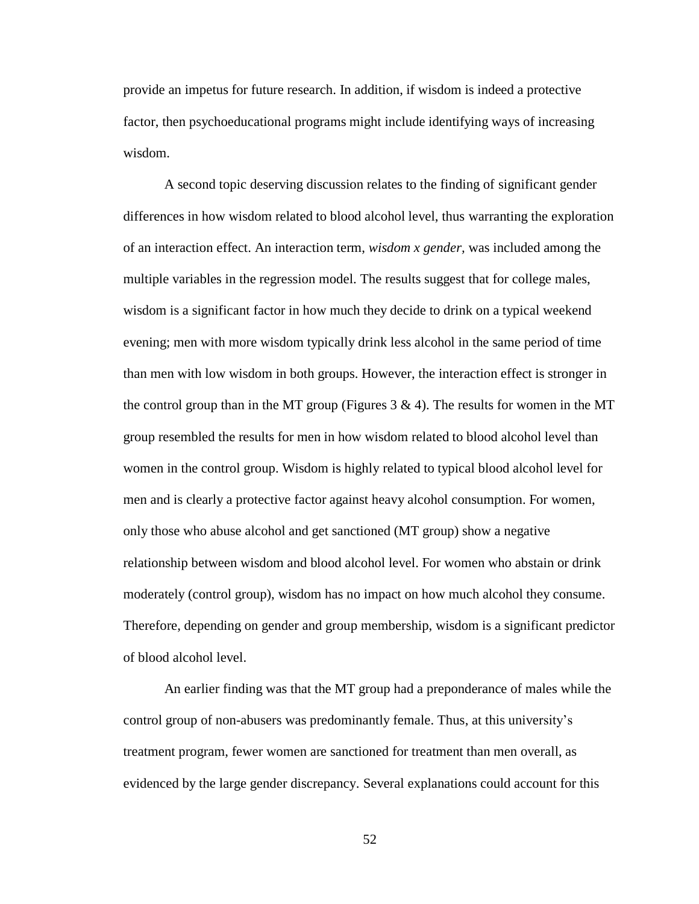provide an impetus for future research. In addition, if wisdom is indeed a protective factor, then psychoeducational programs might include identifying ways of increasing wisdom.

A second topic deserving discussion relates to the finding of significant gender differences in how wisdom related to blood alcohol level, thus warranting the exploration of an interaction effect. An interaction term, *wisdom x gender,* was included among the multiple variables in the regression model. The results suggest that for college males, wisdom is a significant factor in how much they decide to drink on a typical weekend evening; men with more wisdom typically drink less alcohol in the same period of time than men with low wisdom in both groups. However, the interaction effect is stronger in the control group than in the MT group (Figures  $3 \& 4$ ). The results for women in the MT group resembled the results for men in how wisdom related to blood alcohol level than women in the control group. Wisdom is highly related to typical blood alcohol level for men and is clearly a protective factor against heavy alcohol consumption. For women, only those who abuse alcohol and get sanctioned (MT group) show a negative relationship between wisdom and blood alcohol level. For women who abstain or drink moderately (control group), wisdom has no impact on how much alcohol they consume. Therefore, depending on gender and group membership, wisdom is a significant predictor of blood alcohol level.

An earlier finding was that the MT group had a preponderance of males while the control group of non-abusers was predominantly female. Thus, at this university's treatment program, fewer women are sanctioned for treatment than men overall, as evidenced by the large gender discrepancy. Several explanations could account for this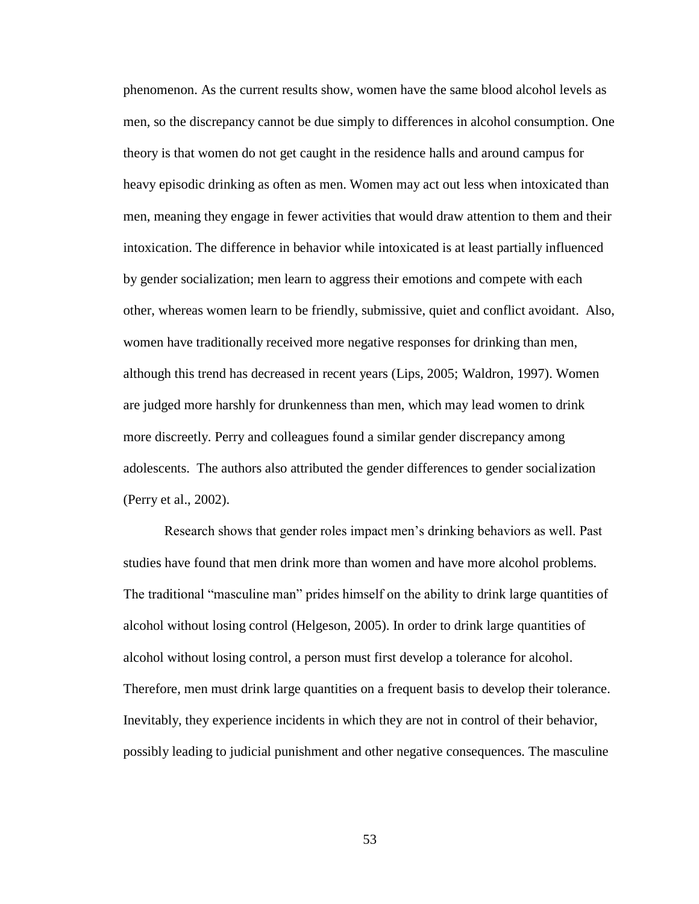phenomenon. As the current results show, women have the same blood alcohol levels as men, so the discrepancy cannot be due simply to differences in alcohol consumption. One theory is that women do not get caught in the residence halls and around campus for heavy episodic drinking as often as men. Women may act out less when intoxicated than men, meaning they engage in fewer activities that would draw attention to them and their intoxication. The difference in behavior while intoxicated is at least partially influenced by gender socialization; men learn to aggress their emotions and compete with each other, whereas women learn to be friendly, submissive, quiet and conflict avoidant. Also, women have traditionally received more negative responses for drinking than men, although this trend has decreased in recent years (Lips, 2005; Waldron, 1997). Women are judged more harshly for drunkenness than men, which may lead women to drink more discreetly. Perry and colleagues found a similar gender discrepancy among adolescents. The authors also attributed the gender differences to gender socialization (Perry et al., 2002).

Research shows that gender roles impact men's drinking behaviors as well. Past studies have found that men drink more than women and have more alcohol problems. The traditional "masculine man" prides himself on the ability to drink large quantities of alcohol without losing control (Helgeson, 2005). In order to drink large quantities of alcohol without losing control, a person must first develop a tolerance for alcohol. Therefore, men must drink large quantities on a frequent basis to develop their tolerance. Inevitably, they experience incidents in which they are not in control of their behavior, possibly leading to judicial punishment and other negative consequences. The masculine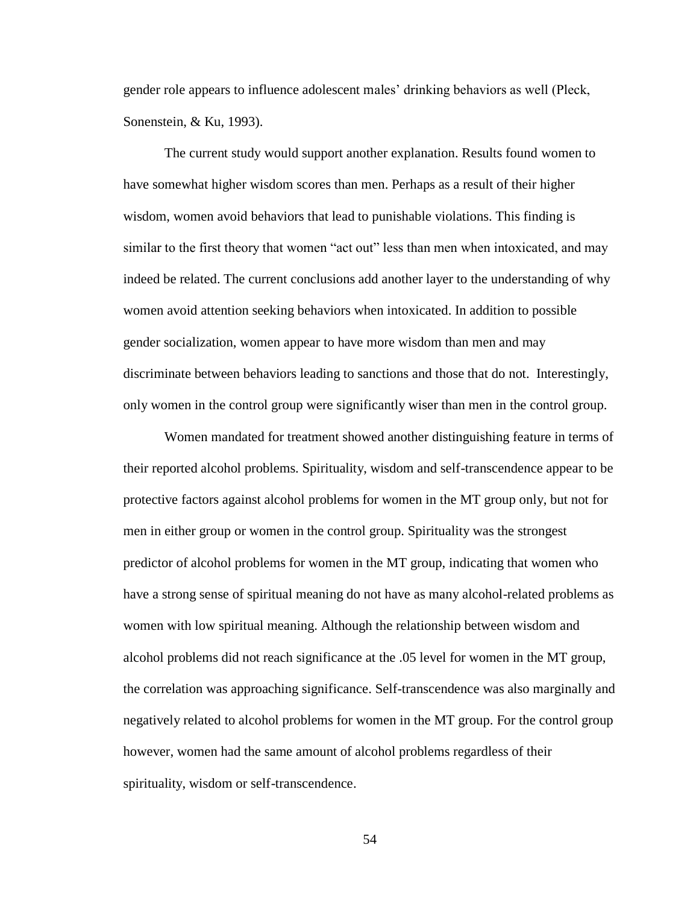gender role appears to influence adolescent males' drinking behaviors as well (Pleck, Sonenstein, & Ku, 1993).

The current study would support another explanation. Results found women to have somewhat higher wisdom scores than men. Perhaps as a result of their higher wisdom, women avoid behaviors that lead to punishable violations. This finding is similar to the first theory that women "act out" less than men when intoxicated, and may indeed be related. The current conclusions add another layer to the understanding of why women avoid attention seeking behaviors when intoxicated. In addition to possible gender socialization, women appear to have more wisdom than men and may discriminate between behaviors leading to sanctions and those that do not. Interestingly, only women in the control group were significantly wiser than men in the control group.

Women mandated for treatment showed another distinguishing feature in terms of their reported alcohol problems. Spirituality, wisdom and self-transcendence appear to be protective factors against alcohol problems for women in the MT group only, but not for men in either group or women in the control group. Spirituality was the strongest predictor of alcohol problems for women in the MT group, indicating that women who have a strong sense of spiritual meaning do not have as many alcohol-related problems as women with low spiritual meaning. Although the relationship between wisdom and alcohol problems did not reach significance at the .05 level for women in the MT group, the correlation was approaching significance. Self-transcendence was also marginally and negatively related to alcohol problems for women in the MT group. For the control group however, women had the same amount of alcohol problems regardless of their spirituality, wisdom or self-transcendence.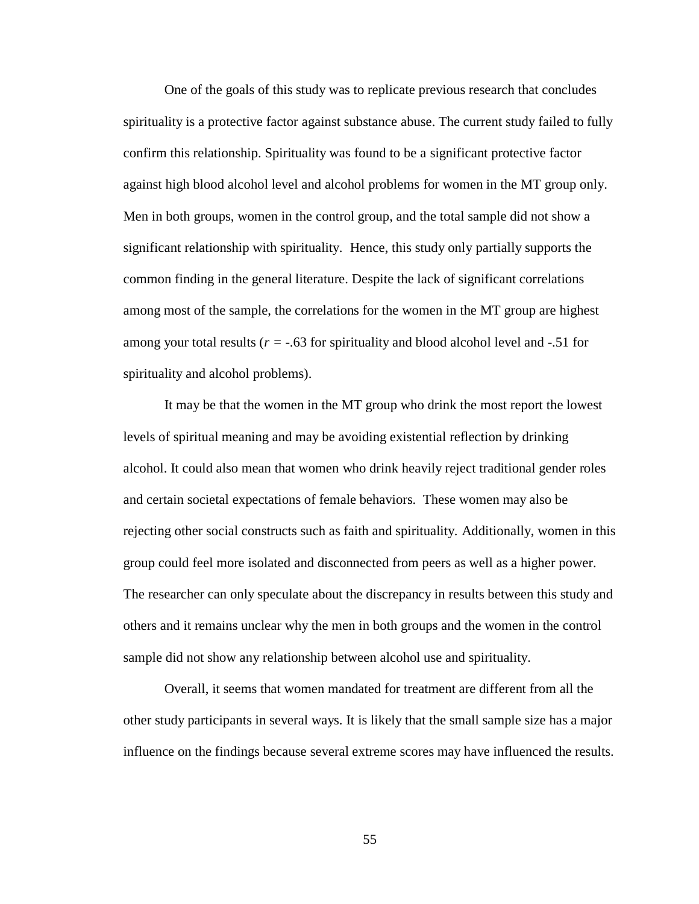One of the goals of this study was to replicate previous research that concludes spirituality is a protective factor against substance abuse. The current study failed to fully confirm this relationship. Spirituality was found to be a significant protective factor against high blood alcohol level and alcohol problems for women in the MT group only. Men in both groups, women in the control group, and the total sample did not show a significant relationship with spirituality. Hence, this study only partially supports the common finding in the general literature. Despite the lack of significant correlations among most of the sample, the correlations for the women in the MT group are highest among your total results ( $r = -0.63$  for spirituality and blood alcohol level and  $-0.51$  for spirituality and alcohol problems).

It may be that the women in the MT group who drink the most report the lowest levels of spiritual meaning and may be avoiding existential reflection by drinking alcohol. It could also mean that women who drink heavily reject traditional gender roles and certain societal expectations of female behaviors. These women may also be rejecting other social constructs such as faith and spirituality. Additionally, women in this group could feel more isolated and disconnected from peers as well as a higher power. The researcher can only speculate about the discrepancy in results between this study and others and it remains unclear why the men in both groups and the women in the control sample did not show any relationship between alcohol use and spirituality.

Overall, it seems that women mandated for treatment are different from all the other study participants in several ways. It is likely that the small sample size has a major influence on the findings because several extreme scores may have influenced the results.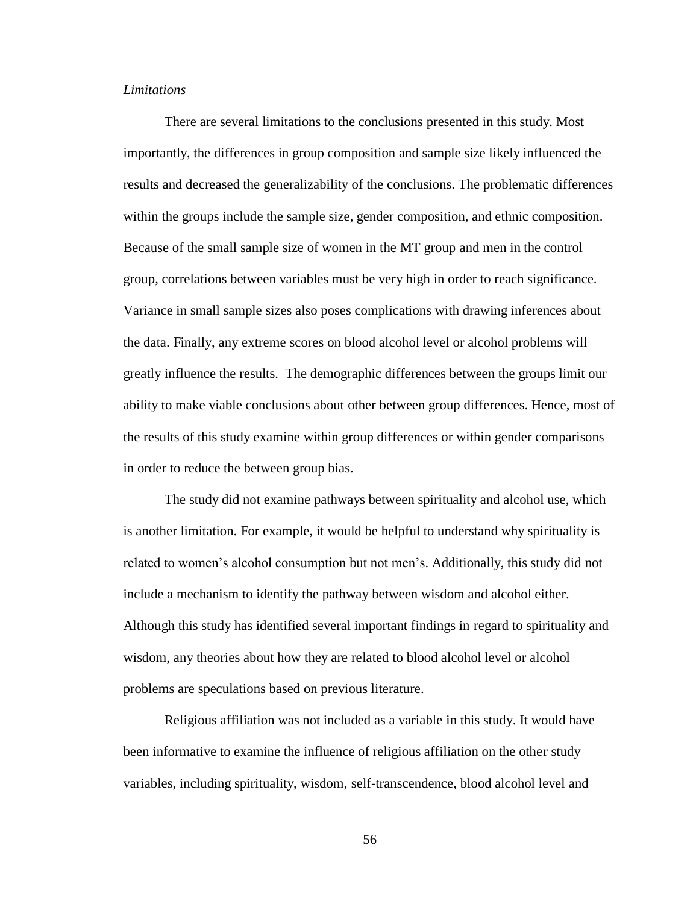### *Limitations*

There are several limitations to the conclusions presented in this study. Most importantly, the differences in group composition and sample size likely influenced the results and decreased the generalizability of the conclusions. The problematic differences within the groups include the sample size, gender composition, and ethnic composition. Because of the small sample size of women in the MT group and men in the control group, correlations between variables must be very high in order to reach significance. Variance in small sample sizes also poses complications with drawing inferences about the data. Finally, any extreme scores on blood alcohol level or alcohol problems will greatly influence the results. The demographic differences between the groups limit our ability to make viable conclusions about other between group differences. Hence, most of the results of this study examine within group differences or within gender comparisons in order to reduce the between group bias.

The study did not examine pathways between spirituality and alcohol use, which is another limitation. For example, it would be helpful to understand why spirituality is related to women's alcohol consumption but not men's. Additionally, this study did not include a mechanism to identify the pathway between wisdom and alcohol either. Although this study has identified several important findings in regard to spirituality and wisdom, any theories about how they are related to blood alcohol level or alcohol problems are speculations based on previous literature.

Religious affiliation was not included as a variable in this study. It would have been informative to examine the influence of religious affiliation on the other study variables, including spirituality, wisdom, self-transcendence, blood alcohol level and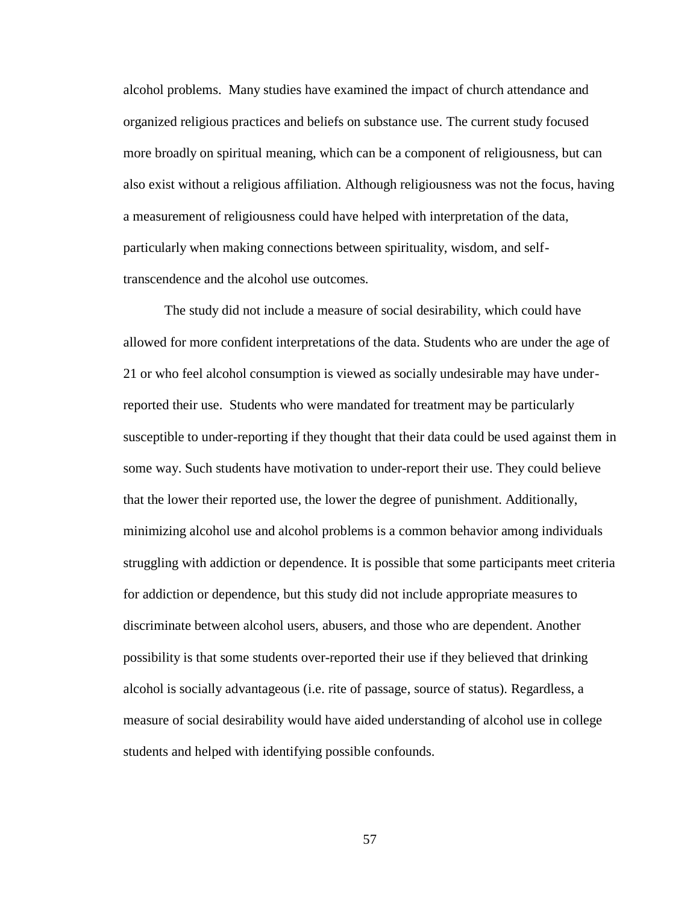alcohol problems. Many studies have examined the impact of church attendance and organized religious practices and beliefs on substance use. The current study focused more broadly on spiritual meaning, which can be a component of religiousness, but can also exist without a religious affiliation. Although religiousness was not the focus, having a measurement of religiousness could have helped with interpretation of the data, particularly when making connections between spirituality, wisdom, and selftranscendence and the alcohol use outcomes.

The study did not include a measure of social desirability, which could have allowed for more confident interpretations of the data. Students who are under the age of 21 or who feel alcohol consumption is viewed as socially undesirable may have underreported their use. Students who were mandated for treatment may be particularly susceptible to under-reporting if they thought that their data could be used against them in some way. Such students have motivation to under-report their use. They could believe that the lower their reported use, the lower the degree of punishment. Additionally, minimizing alcohol use and alcohol problems is a common behavior among individuals struggling with addiction or dependence. It is possible that some participants meet criteria for addiction or dependence, but this study did not include appropriate measures to discriminate between alcohol users, abusers, and those who are dependent. Another possibility is that some students over-reported their use if they believed that drinking alcohol is socially advantageous (i.e. rite of passage, source of status). Regardless, a measure of social desirability would have aided understanding of alcohol use in college students and helped with identifying possible confounds.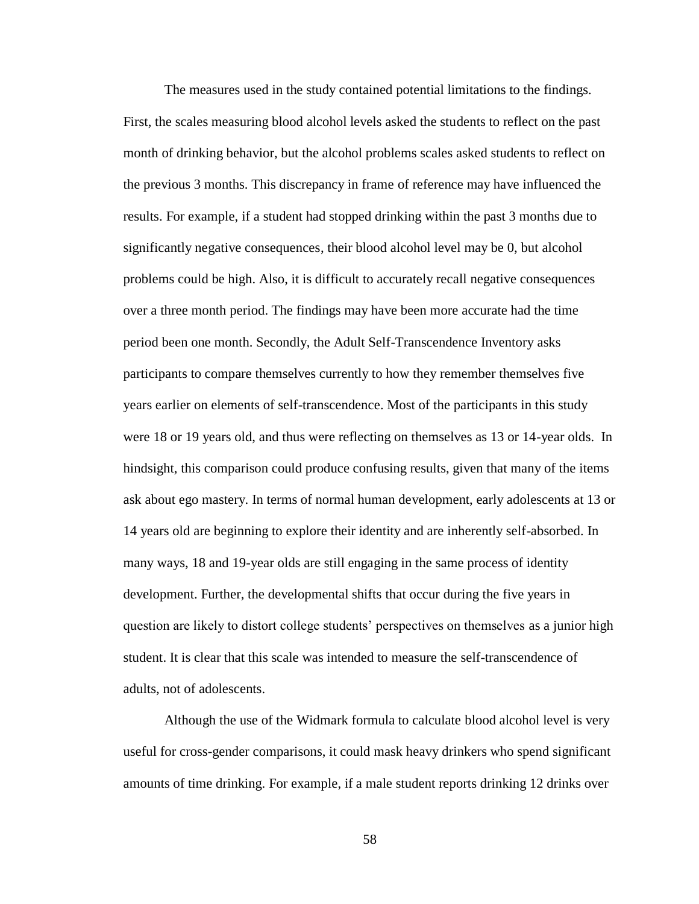The measures used in the study contained potential limitations to the findings. First, the scales measuring blood alcohol levels asked the students to reflect on the past month of drinking behavior, but the alcohol problems scales asked students to reflect on the previous 3 months. This discrepancy in frame of reference may have influenced the results. For example, if a student had stopped drinking within the past 3 months due to significantly negative consequences, their blood alcohol level may be 0, but alcohol problems could be high. Also, it is difficult to accurately recall negative consequences over a three month period. The findings may have been more accurate had the time period been one month. Secondly, the Adult Self-Transcendence Inventory asks participants to compare themselves currently to how they remember themselves five years earlier on elements of self-transcendence. Most of the participants in this study were 18 or 19 years old, and thus were reflecting on themselves as 13 or 14-year olds. In hindsight, this comparison could produce confusing results, given that many of the items ask about ego mastery. In terms of normal human development, early adolescents at 13 or 14 years old are beginning to explore their identity and are inherently self-absorbed. In many ways, 18 and 19-year olds are still engaging in the same process of identity development. Further, the developmental shifts that occur during the five years in question are likely to distort college students' perspectives on themselves as a junior high student. It is clear that this scale was intended to measure the self-transcendence of adults, not of adolescents.

Although the use of the Widmark formula to calculate blood alcohol level is very useful for cross-gender comparisons, it could mask heavy drinkers who spend significant amounts of time drinking. For example, if a male student reports drinking 12 drinks over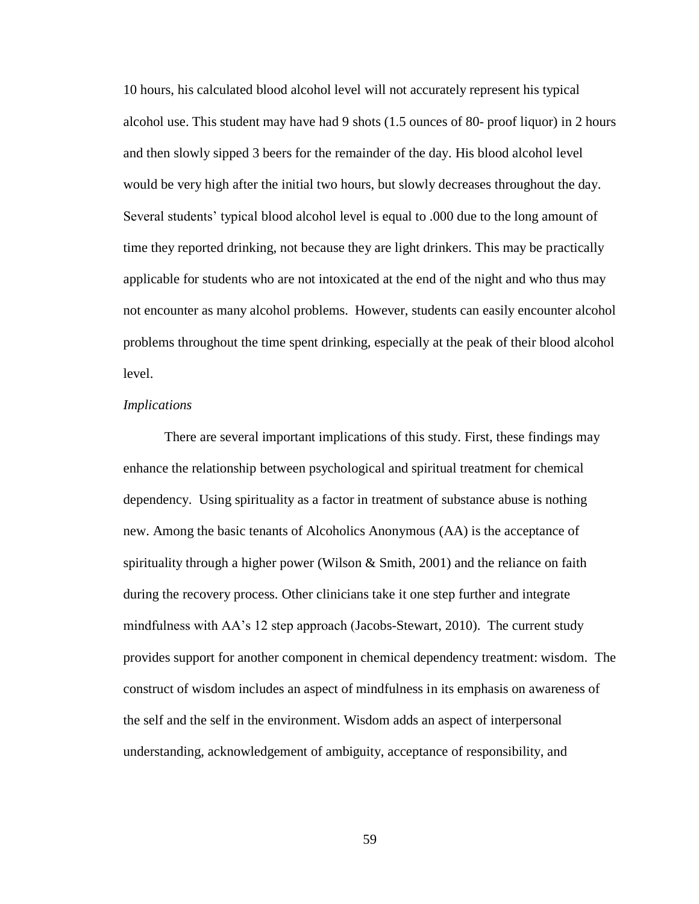10 hours, his calculated blood alcohol level will not accurately represent his typical alcohol use. This student may have had 9 shots (1.5 ounces of 80- proof liquor) in 2 hours and then slowly sipped 3 beers for the remainder of the day. His blood alcohol level would be very high after the initial two hours, but slowly decreases throughout the day. Several students' typical blood alcohol level is equal to .000 due to the long amount of time they reported drinking, not because they are light drinkers. This may be practically applicable for students who are not intoxicated at the end of the night and who thus may not encounter as many alcohol problems. However, students can easily encounter alcohol problems throughout the time spent drinking, especially at the peak of their blood alcohol level.

#### *Implications*

There are several important implications of this study. First, these findings may enhance the relationship between psychological and spiritual treatment for chemical dependency. Using spirituality as a factor in treatment of substance abuse is nothing new. Among the basic tenants of Alcoholics Anonymous (AA) is the acceptance of spirituality through a higher power (Wilson  $\&$  Smith, 2001) and the reliance on faith during the recovery process. Other clinicians take it one step further and integrate mindfulness with AA's 12 step approach (Jacobs-Stewart, 2010). The current study provides support for another component in chemical dependency treatment: wisdom. The construct of wisdom includes an aspect of mindfulness in its emphasis on awareness of the self and the self in the environment. Wisdom adds an aspect of interpersonal understanding, acknowledgement of ambiguity, acceptance of responsibility, and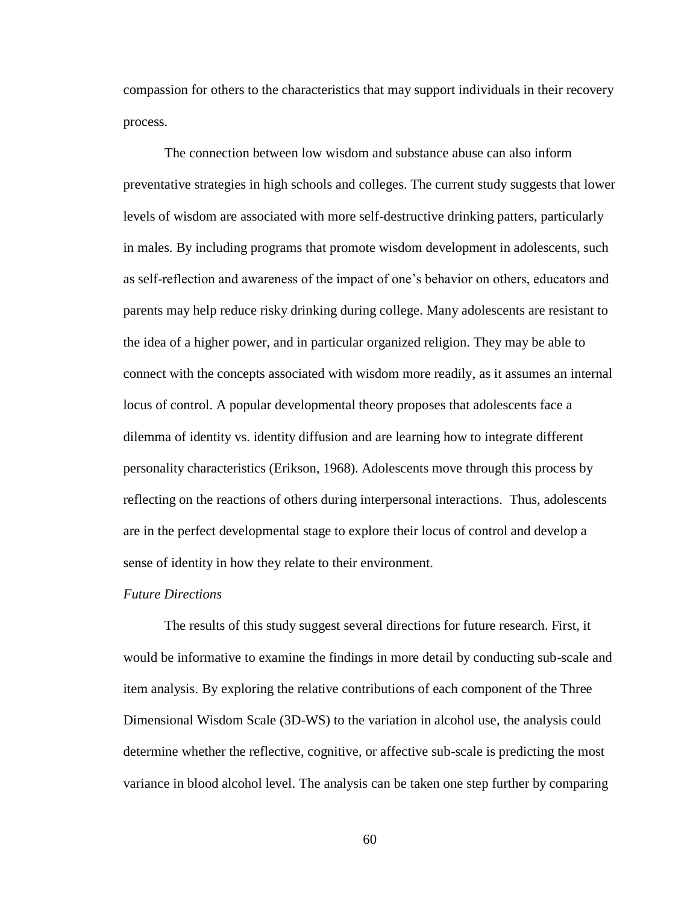compassion for others to the characteristics that may support individuals in their recovery process.

The connection between low wisdom and substance abuse can also inform preventative strategies in high schools and colleges. The current study suggests that lower levels of wisdom are associated with more self-destructive drinking patters, particularly in males. By including programs that promote wisdom development in adolescents, such as self-reflection and awareness of the impact of one's behavior on others, educators and parents may help reduce risky drinking during college. Many adolescents are resistant to the idea of a higher power, and in particular organized religion. They may be able to connect with the concepts associated with wisdom more readily, as it assumes an internal locus of control. A popular developmental theory proposes that adolescents face a dilemma of identity vs. identity diffusion and are learning how to integrate different personality characteristics (Erikson, 1968). Adolescents move through this process by reflecting on the reactions of others during interpersonal interactions. Thus, adolescents are in the perfect developmental stage to explore their locus of control and develop a sense of identity in how they relate to their environment.

#### *Future Directions*

The results of this study suggest several directions for future research. First, it would be informative to examine the findings in more detail by conducting sub-scale and item analysis. By exploring the relative contributions of each component of the Three Dimensional Wisdom Scale (3D-WS) to the variation in alcohol use, the analysis could determine whether the reflective, cognitive, or affective sub-scale is predicting the most variance in blood alcohol level. The analysis can be taken one step further by comparing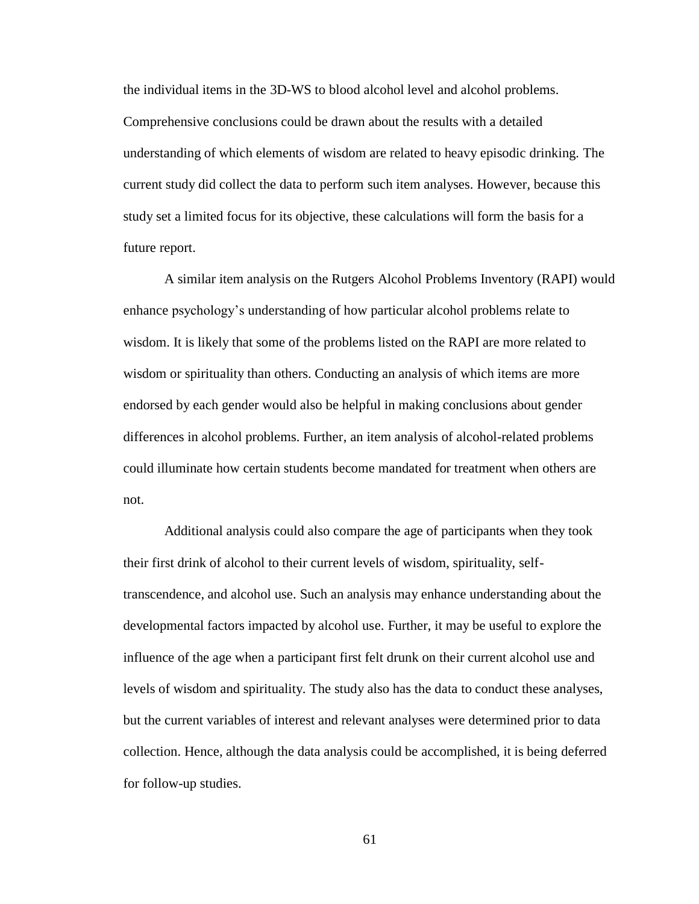the individual items in the 3D-WS to blood alcohol level and alcohol problems. Comprehensive conclusions could be drawn about the results with a detailed understanding of which elements of wisdom are related to heavy episodic drinking. The current study did collect the data to perform such item analyses. However, because this study set a limited focus for its objective, these calculations will form the basis for a future report.

A similar item analysis on the Rutgers Alcohol Problems Inventory (RAPI) would enhance psychology's understanding of how particular alcohol problems relate to wisdom. It is likely that some of the problems listed on the RAPI are more related to wisdom or spirituality than others. Conducting an analysis of which items are more endorsed by each gender would also be helpful in making conclusions about gender differences in alcohol problems. Further, an item analysis of alcohol-related problems could illuminate how certain students become mandated for treatment when others are not.

Additional analysis could also compare the age of participants when they took their first drink of alcohol to their current levels of wisdom, spirituality, selftranscendence, and alcohol use. Such an analysis may enhance understanding about the developmental factors impacted by alcohol use. Further, it may be useful to explore the influence of the age when a participant first felt drunk on their current alcohol use and levels of wisdom and spirituality. The study also has the data to conduct these analyses, but the current variables of interest and relevant analyses were determined prior to data collection. Hence, although the data analysis could be accomplished, it is being deferred for follow-up studies.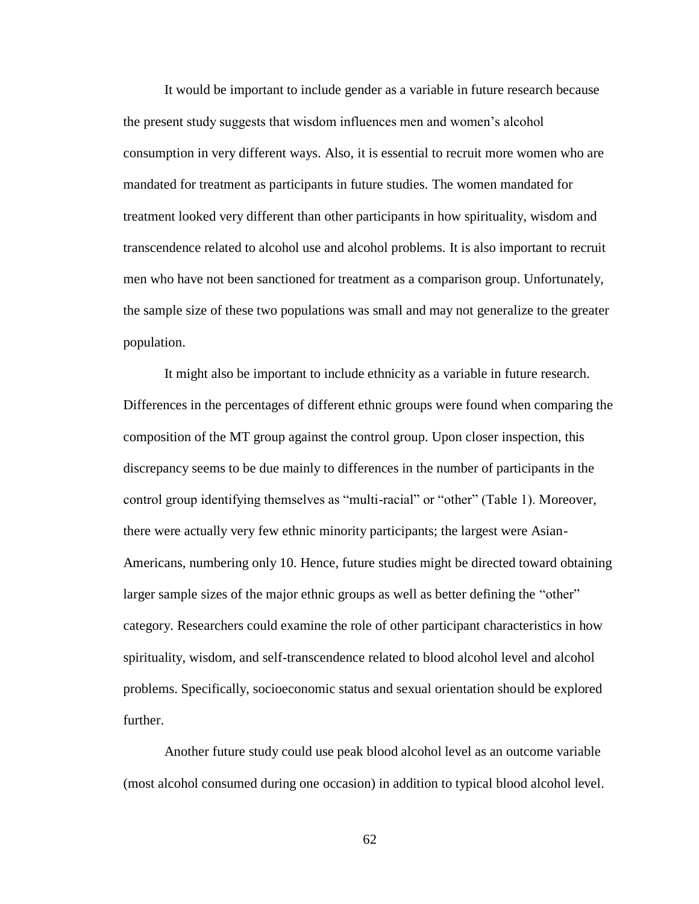It would be important to include gender as a variable in future research because the present study suggests that wisdom influences men and women's alcohol consumption in very different ways. Also, it is essential to recruit more women who are mandated for treatment as participants in future studies. The women mandated for treatment looked very different than other participants in how spirituality, wisdom and transcendence related to alcohol use and alcohol problems. It is also important to recruit men who have not been sanctioned for treatment as a comparison group. Unfortunately, the sample size of these two populations was small and may not generalize to the greater population.

It might also be important to include ethnicity as a variable in future research. Differences in the percentages of different ethnic groups were found when comparing the composition of the MT group against the control group. Upon closer inspection, this discrepancy seems to be due mainly to differences in the number of participants in the control group identifying themselves as "multi-racial" or "other" (Table 1). Moreover, there were actually very few ethnic minority participants; the largest were Asian-Americans, numbering only 10. Hence, future studies might be directed toward obtaining larger sample sizes of the major ethnic groups as well as better defining the "other" category. Researchers could examine the role of other participant characteristics in how spirituality, wisdom, and self-transcendence related to blood alcohol level and alcohol problems. Specifically, socioeconomic status and sexual orientation should be explored further.

Another future study could use peak blood alcohol level as an outcome variable (most alcohol consumed during one occasion) in addition to typical blood alcohol level.

62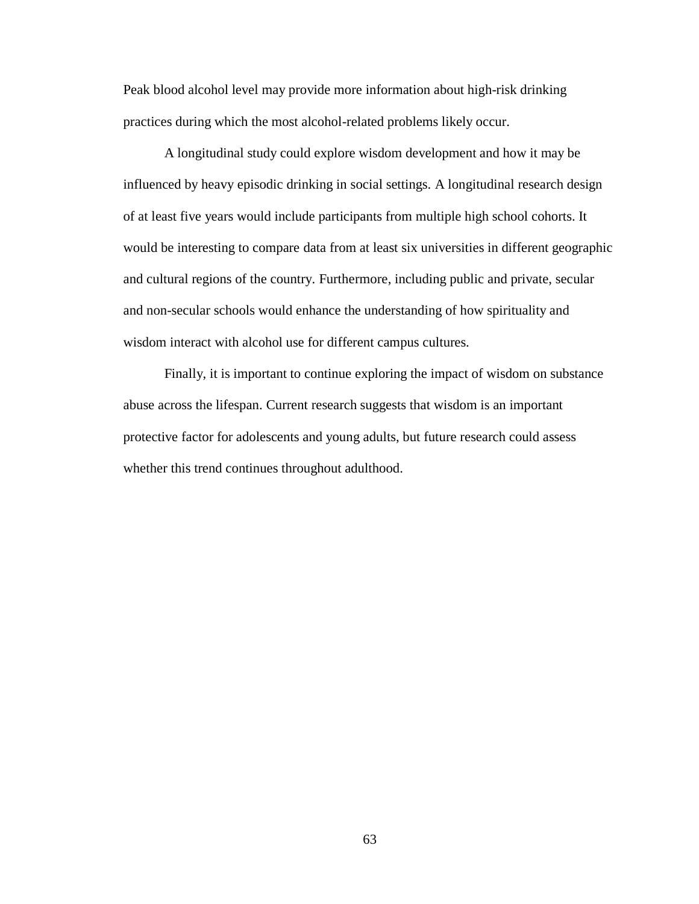Peak blood alcohol level may provide more information about high-risk drinking practices during which the most alcohol-related problems likely occur.

A longitudinal study could explore wisdom development and how it may be influenced by heavy episodic drinking in social settings. A longitudinal research design of at least five years would include participants from multiple high school cohorts. It would be interesting to compare data from at least six universities in different geographic and cultural regions of the country. Furthermore, including public and private, secular and non-secular schools would enhance the understanding of how spirituality and wisdom interact with alcohol use for different campus cultures.

Finally, it is important to continue exploring the impact of wisdom on substance abuse across the lifespan. Current research suggests that wisdom is an important protective factor for adolescents and young adults, but future research could assess whether this trend continues throughout adulthood.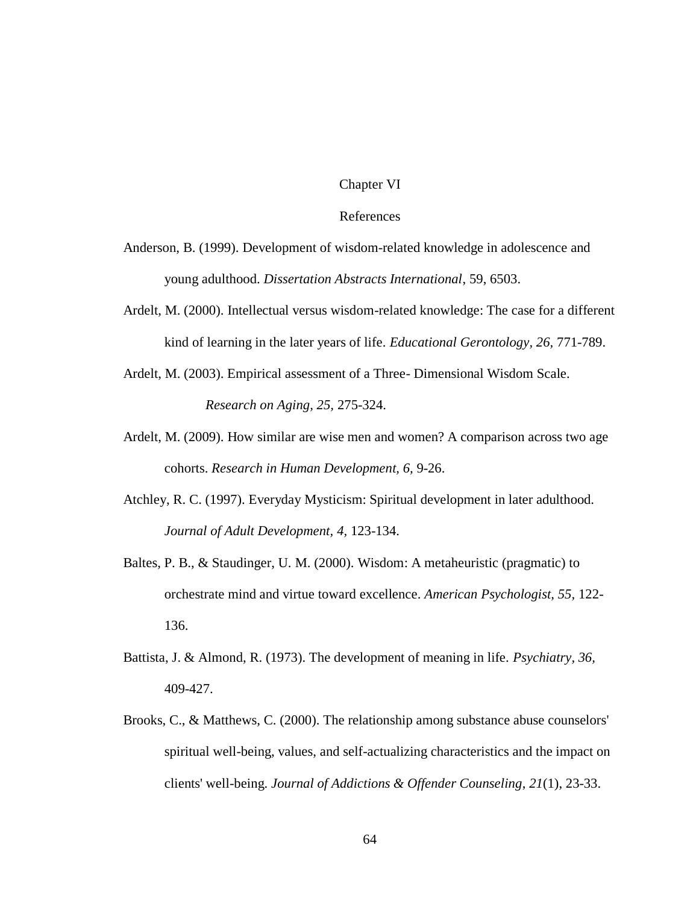#### Chapter VI

#### References

- Anderson, B. (1999). Development of wisdom-related knowledge in adolescence and young adulthood. *Dissertation Abstracts International*, 59, 6503.
- Ardelt, M. (2000). Intellectual versus wisdom-related knowledge: The case for a different kind of learning in the later years of life. *Educational Gerontology, 26,* 771-789.
- Ardelt, M. (2003). Empirical assessment of a Three- Dimensional Wisdom Scale. *Research on Aging, 25,* 275-324.
- Ardelt, M. (2009). How similar are wise men and women? A comparison across two age cohorts. *Research in Human Development, 6,* 9-26.
- Atchley, R. C. (1997). Everyday Mysticism: Spiritual development in later adulthood. *Journal of Adult Development, 4,* 123-134.
- Baltes, P. B., & Staudinger, U. M. (2000). Wisdom: A metaheuristic (pragmatic) to orchestrate mind and virtue toward excellence. *American Psychologist, 55,* 122- 136.
- Battista, J. & Almond, R. (1973). The development of meaning in life. *Psychiatry, 36,*  409-427.
- Brooks, C., & Matthews, C. (2000). The relationship among substance abuse counselors' spiritual well-being, values, and self-actualizing characteristics and the impact on clients' well-being. *Journal of Addictions & Offender Counseling*, *21*(1), 23-33.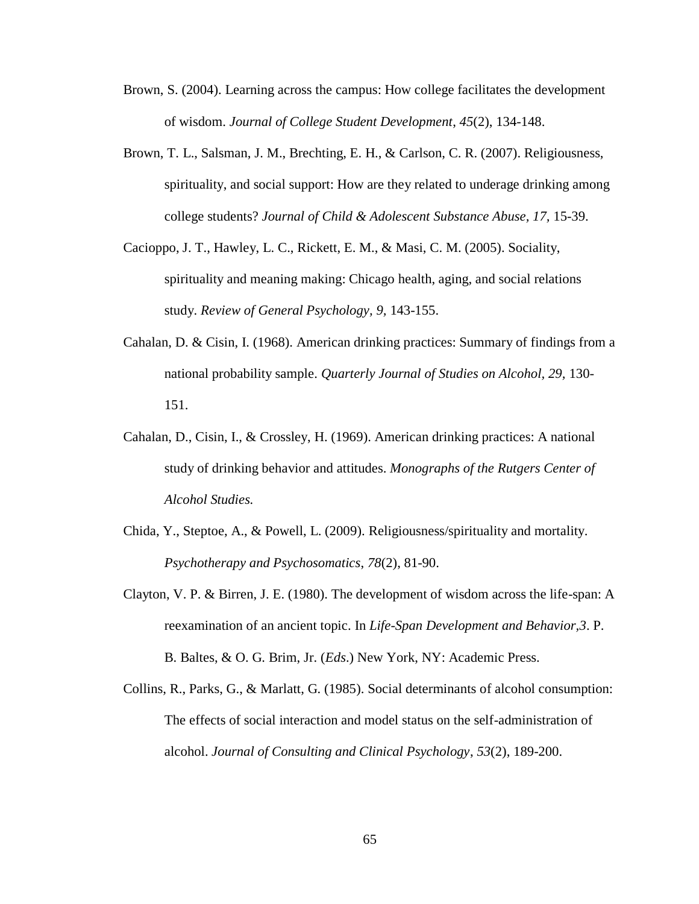- Brown, S. (2004). Learning across the campus: How college facilitates the development of wisdom. *Journal of College Student Development*, *45*(2), 134-148.
- Brown, T. L., Salsman, J. M., Brechting, E. H., & Carlson, C. R. (2007). Religiousness, spirituality, and social support: How are they related to underage drinking among college students? *Journal of Child & Adolescent Substance Abuse, 17,* 15-39.
- Cacioppo, J. T., Hawley, L. C., Rickett, E. M., & Masi, C. M. (2005). Sociality, spirituality and meaning making: Chicago health, aging, and social relations study. *Review of General Psychology, 9,* 143-155.
- Cahalan, D. & Cisin, I. (1968). American drinking practices: Summary of findings from a national probability sample. *Quarterly Journal of Studies on Alcohol, 29,* 130- 151.
- Cahalan, D., Cisin, I., & Crossley, H. (1969). American drinking practices: A national study of drinking behavior and attitudes. *Monographs of the Rutgers Center of Alcohol Studies.*
- Chida, Y., Steptoe, A., & Powell, L. (2009). Religiousness/spirituality and mortality. *Psychotherapy and Psychosomatics*, *78*(2), 81-90.
- Clayton, V. P. & Birren, J. E. (1980). The development of wisdom across the life-span: A reexamination of an ancient topic. In *Life-Span Development and Behavior,3*. P. B. Baltes, & O. G. Brim, Jr. (*Eds*.) New York, NY: Academic Press.
- Collins, R., Parks, G., & Marlatt, G. (1985). Social determinants of alcohol consumption: The effects of social interaction and model status on the self-administration of alcohol. *Journal of Consulting and Clinical Psychology*, *53*(2), 189-200.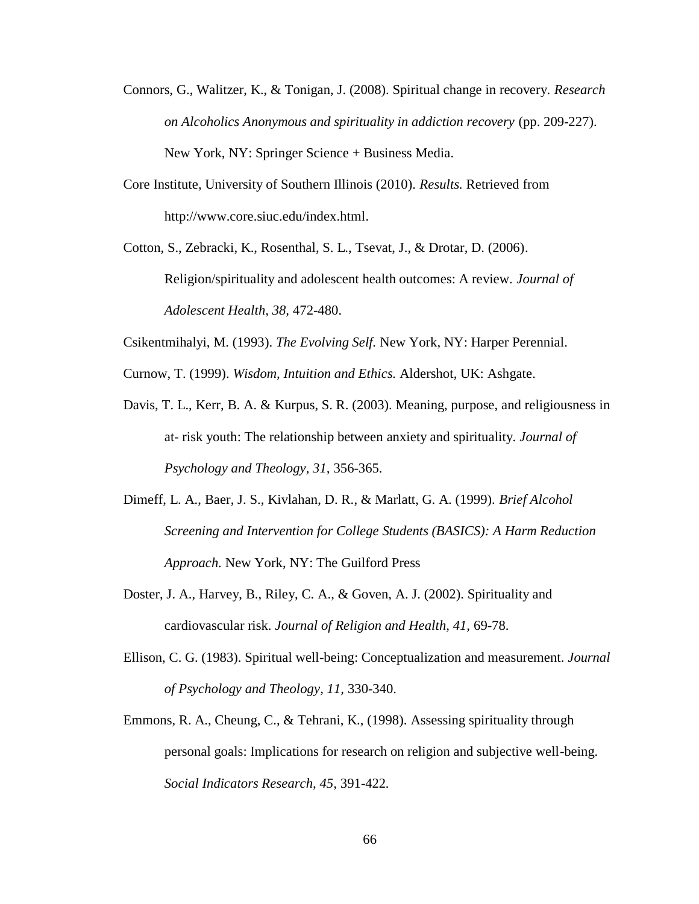- Connors, G., Walitzer, K., & Tonigan, J. (2008). Spiritual change in recovery. *Research on Alcoholics Anonymous and spirituality in addiction recovery* (pp. 209-227). New York, NY: Springer Science + Business Media.
- Core Institute, University of Southern Illinois (2010). *Results.* Retrieved from [http://www.core.siuc.edu/index.html.](http://www.core.siuc.edu/index.html)
- Cotton, S., Zebracki, K., Rosenthal, S. L., Tsevat, J., & Drotar, D. (2006). Religion/spirituality and adolescent health outcomes: A review. *Journal of Adolescent Health, 38,* 472-480.
- Csikentmihalyi, M. (1993). *The Evolving Self.* New York, NY: Harper Perennial.
- Curnow, T. (1999). *Wisdom, Intuition and Ethics.* Aldershot, UK: Ashgate.
- Davis, T. L., Kerr, B. A. & Kurpus, S. R. (2003). Meaning, purpose, and religiousness in at- risk youth: The relationship between anxiety and spirituality. *Journal of Psychology and Theology, 31,* 356-365.
- Dimeff, L. A., Baer, J. S., Kivlahan, D. R., & Marlatt, G. A. (1999). *Brief Alcohol Screening and Intervention for College Students (BASICS): A Harm Reduction Approach.* New York, NY: The Guilford Press
- Doster, J. A., Harvey, B., Riley, C. A., & Goven, A. J. (2002). Spirituality and cardiovascular risk. *Journal of Religion and Health, 41,* 69-78.
- Ellison, C. G. (1983). Spiritual well-being: Conceptualization and measurement. *Journal of Psychology and Theology, 11,* 330-340.
- Emmons, R. A., Cheung, C., & Tehrani, K., (1998). Assessing spirituality through personal goals: Implications for research on religion and subjective well-being. *Social Indicators Research, 45,* 391-422*.*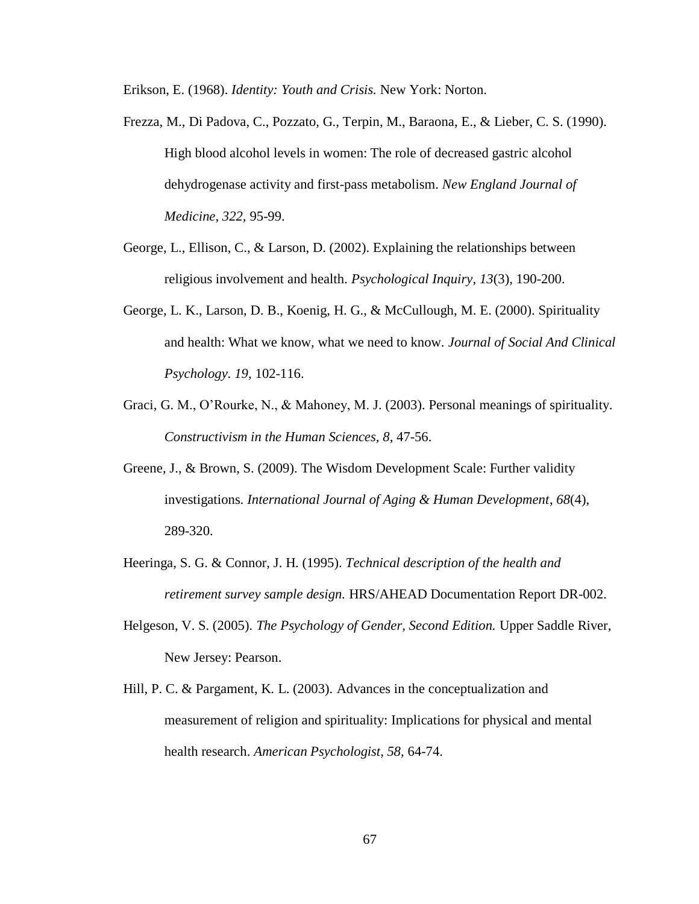Erikson, E. (1968). *Identity: Youth and Crisis.* New York: Norton.

- Frezza, M., Di Padova, C., Pozzato, G., Terpin, M., Baraona, E., & Lieber, C. S. (1990). High blood alcohol levels in women: The role of decreased gastric alcohol dehydrogenase activity and first-pass metabolism. *New England Journal of Medicine, 322,* 95-99.
- George, L., Ellison, C., & Larson, D. (2002). Explaining the relationships between religious involvement and health. *Psychological Inquiry*, *13*(3), 190-200.
- George, L. K., Larson, D. B., Koenig, H. G., & McCullough, M. E. (2000). Spirituality and health: What we know, what we need to know. *Journal of Social And Clinical Psychology. 19,* 102-116.
- Graci, G. M., O'Rourke, N., & Mahoney, M. J. (2003). Personal meanings of spirituality. *Constructivism in the Human Sciences, 8*, 47-56.
- Greene, J., & Brown, S. (2009). The Wisdom Development Scale: Further validity investigations. *International Journal of Aging & Human Development*, *68*(4), 289-320.
- Heeringa, S. G. & Connor, J. H. (1995). *Technical description of the health and retirement survey sample design.* HRS/AHEAD Documentation Report DR-002.
- Helgeson, V. S. (2005). *The Psychology of Gender, Second Edition.* Upper Saddle River, New Jersey: Pearson.
- Hill, P. C. & Pargament, K. L. (2003). Advances in the conceptualization and measurement of religion and spirituality: Implications for physical and mental health research. *American Psychologist, 58,* 64-74.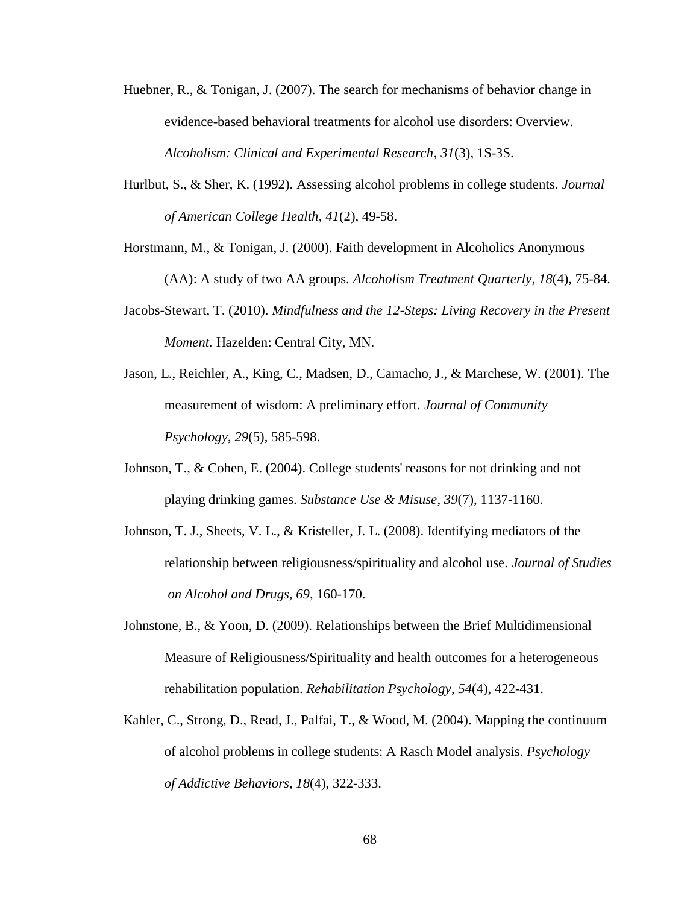- Huebner, R., & Tonigan, J. (2007). The search for mechanisms of behavior change in evidence-based behavioral treatments for alcohol use disorders: Overview. *Alcoholism: Clinical and Experimental Research*, *31*(3), 1S-3S.
- Hurlbut, S., & Sher, K. (1992). Assessing alcohol problems in college students. *Journal of American College Health*, *41*(2), 49-58.
- Horstmann, M., & Tonigan, J. (2000). Faith development in Alcoholics Anonymous (AA): A study of two AA groups. *Alcoholism Treatment Quarterly*, *18*(4), 75-84.
- Jacobs-Stewart, T. (2010). *Mindfulness and the 12-Steps: Living Recovery in the Present Moment.* Hazelden: Central City, MN.
- Jason, L., Reichler, A., King, C., Madsen, D., Camacho, J., & Marchese, W. (2001). The measurement of wisdom: A preliminary effort. *Journal of Community Psychology*, *29*(5), 585-598.
- Johnson, T., & Cohen, E. (2004). College students' reasons for not drinking and not playing drinking games. *Substance Use & Misuse*, *39*(7), 1137-1160.
- Johnson, T. J., Sheets, V. L., & Kristeller, J. L. (2008). Identifying mediators of the relationship between religiousness/spirituality and alcohol use. *Journal of Studies on Alcohol and Drugs, 69,* 160-170.
- Johnstone, B., & Yoon, D. (2009). Relationships between the Brief Multidimensional Measure of Religiousness/Spirituality and health outcomes for a heterogeneous rehabilitation population. *Rehabilitation Psychology*, *54*(4), 422-431.
- Kahler, C., Strong, D., Read, J., Palfai, T., & Wood, M. (2004). Mapping the continuum of alcohol problems in college students: A Rasch Model analysis. *Psychology of Addictive Behaviors*, *18*(4), 322-333.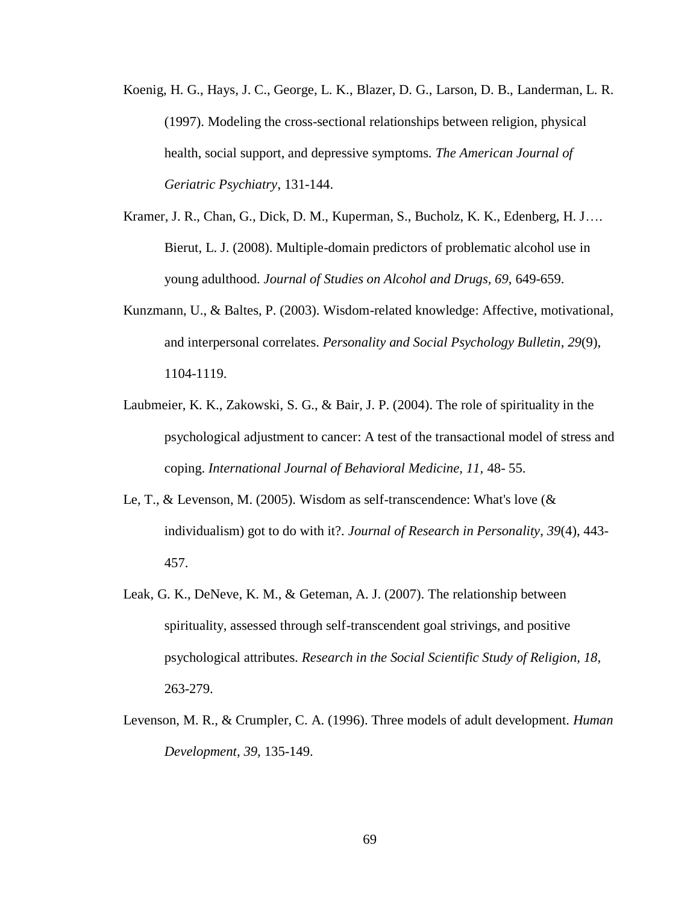- Koenig, H. G., Hays, J. C., George, L. K., Blazer, D. G., Larson, D. B., Landerman, L. R. (1997). Modeling the cross-sectional relationships between religion, physical health, social support, and depressive symptoms. *The American Journal of Geriatric Psychiatry*, 131-144.
- Kramer, J. R., Chan, G., Dick, D. M., Kuperman, S., Bucholz, K. K., Edenberg, H. J…. Bierut, L. J. (2008). Multiple-domain predictors of problematic alcohol use in young adulthood. *Journal of Studies on Alcohol and Drugs, 69,* 649-659.
- Kunzmann, U., & Baltes, P. (2003). Wisdom-related knowledge: Affective, motivational, and interpersonal correlates. *Personality and Social Psychology Bulletin*, *29*(9), 1104-1119.
- Laubmeier, K. K., Zakowski, S. G., & Bair, J. P. (2004). The role of spirituality in the psychological adjustment to cancer: A test of the transactional model of stress and coping. *International Journal of Behavioral Medicine, 11,* 48- 55.
- Le, T., & Levenson, M. (2005). Wisdom as self-transcendence: What's love (& individualism) got to do with it?. *Journal of Research in Personality*, *39*(4), 443- 457.
- Leak, G. K., DeNeve, K. M., & Geteman, A. J. (2007). The relationship between spirituality, assessed through self-transcendent goal strivings, and positive psychological attributes. *Research in the Social Scientific Study of Religion, 18,*  263-279.
- Levenson, M. R., & Crumpler, C. A. (1996). Three models of adult development. *Human Development, 39,* 135-149.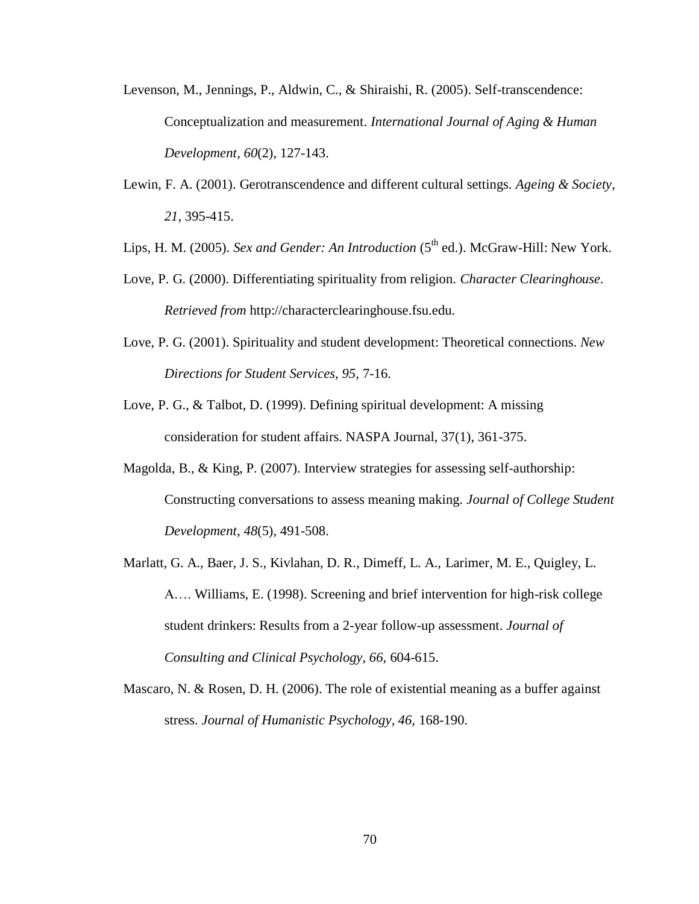- Levenson, M., Jennings, P., Aldwin, C., & Shiraishi, R. (2005). Self-transcendence: Conceptualization and measurement. *International Journal of Aging & Human Development*, *60*(2), 127-143.
- Lewin, F. A. (2001). Gerotranscendence and different cultural settings. *Ageing & Society, 21,* 395-415.
- Lips, H. M. (2005). *Sex and Gender: An Introduction* (5<sup>th</sup> ed.). McGraw-Hill: New York.
- Love, P. G. (2000). Differentiating spirituality from religion. *Character Clearinghouse. Retrieved from* [http://characterclearinghouse.fsu.edu](http://characterclearinghouse.fsu.edu/)*.*
- Love, P. G. (2001). Spirituality and student development: Theoretical connections. *New Directions for Student Services, 95,* 7-16.
- Love, P. G., & Talbot, D. (1999). Defining spiritual development: A missing consideration for student affairs. NASPA Journal, 37(1), 361-375.
- Magolda, B., & King, P. (2007). Interview strategies for assessing self-authorship: Constructing conversations to assess meaning making. *Journal of College Student Development*, *48*(5), 491-508.
- Marlatt, G. A., Baer, J. S., Kivlahan, D. R., Dimeff, L. A., Larimer, M. E., Quigley, L. A…. Williams, E. (1998). Screening and brief intervention for high-risk college student drinkers: Results from a 2-year follow-up assessment. *Journal of Consulting and Clinical Psychology, 66,* 604-615.
- Mascaro, N. & Rosen, D. H. (2006). The role of existential meaning as a buffer against stress. *Journal of Humanistic Psychology, 46,* 168-190.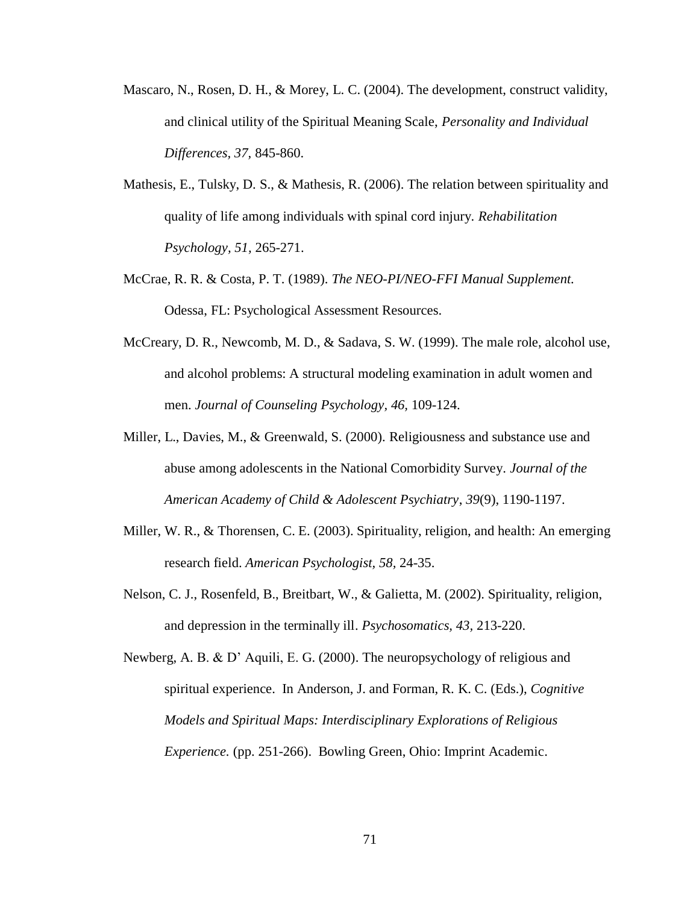- Mascaro, N., Rosen, D. H., & Morey, L. C. (2004). The development, construct validity, and clinical utility of the Spiritual Meaning Scale, *Personality and Individual Differences, 37,* 845-860.
- Mathesis, E., Tulsky, D. S., & Mathesis, R. (2006). The relation between spirituality and quality of life among individuals with spinal cord injury. *Rehabilitation Psychology, 51,* 265-271.
- McCrae, R. R. & Costa, P. T. (1989). *The NEO-PI/NEO-FFI Manual Supplement.*  Odessa, FL: Psychological Assessment Resources.
- McCreary, D. R., Newcomb, M. D., & Sadava, S. W. (1999). The male role, alcohol use, and alcohol problems: A structural modeling examination in adult women and men. *Journal of Counseling Psychology, 46,* 109-124.
- Miller, L., Davies, M., & Greenwald, S. (2000). Religiousness and substance use and abuse among adolescents in the National Comorbidity Survey. *Journal of the American Academy of Child & Adolescent Psychiatry*, *39*(9), 1190-1197.
- Miller, W. R., & Thorensen, C. E. (2003). Spirituality, religion, and health: An emerging research field. *American Psychologist, 58,* 24-35.
- Nelson, C. J., Rosenfeld, B., Breitbart, W., & Galietta, M. (2002). Spirituality, religion, and depression in the terminally ill. *Psychosomatics, 43,* 213-220.
- Newberg, A. B. & D' Aquili, E. G. (2000). The neuropsychology of religious and spiritual experience. In Anderson, J. and Forman, R. K. C. (Eds.), *Cognitive Models and Spiritual Maps: Interdisciplinary Explorations of Religious Experience.* (pp. 251-266). Bowling Green, Ohio: Imprint Academic.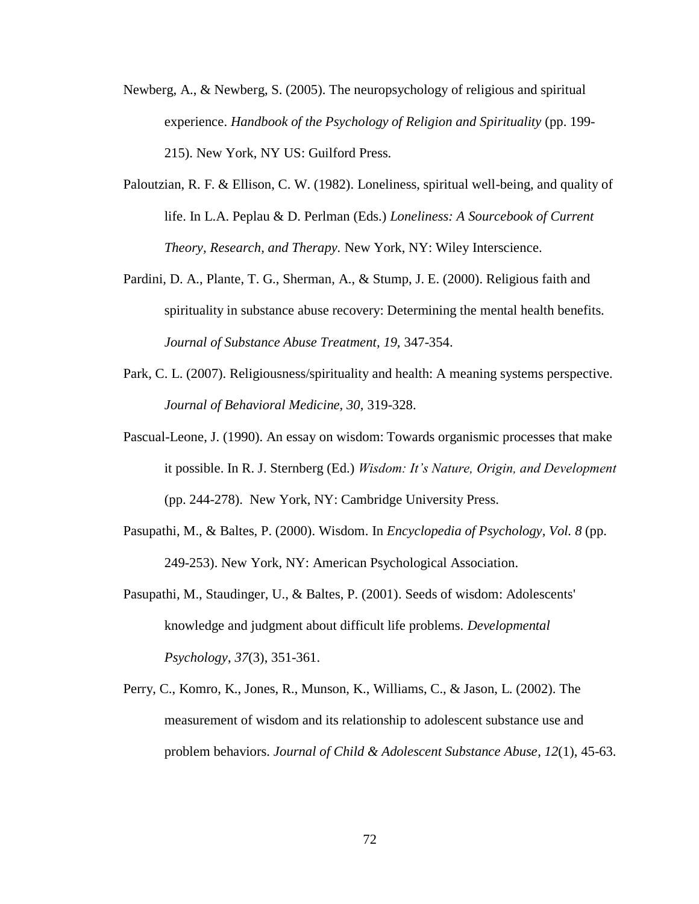- Newberg, A., & Newberg, S. (2005). The neuropsychology of religious and spiritual experience. *Handbook of the Psychology of Religion and Spirituality* (pp. 199- 215). New York, NY US: Guilford Press.
- Paloutzian, R. F. & Ellison, C. W. (1982). Loneliness, spiritual well-being, and quality of life. In L.A. Peplau & D. Perlman (Eds.) *Loneliness: A Sourcebook of Current Theory, Research, and Therapy.* New York, NY: Wiley Interscience.
- Pardini, D. A., Plante, T. G., Sherman, A., & Stump, J. E. (2000). Religious faith and spirituality in substance abuse recovery: Determining the mental health benefits. *Journal of Substance Abuse Treatment, 19,* 347-354.
- Park, C. L. (2007). Religiousness/spirituality and health: A meaning systems perspective. *Journal of Behavioral Medicine, 30,* 319-328.
- Pascual-Leone, J. (1990). An essay on wisdom: Towards organismic processes that make it possible. In R. J. Sternberg (Ed.) *Wisdom: It's Nature, Origin, and Development* (pp. 244-278). New York, NY: Cambridge University Press.
- Pasupathi, M., & Baltes, P. (2000). Wisdom. In *Encyclopedia of Psychology, Vol. 8* (pp. 249-253). New York, NY: American Psychological Association.
- Pasupathi, M., Staudinger, U., & Baltes, P. (2001). Seeds of wisdom: Adolescents' knowledge and judgment about difficult life problems. *Developmental Psychology*, *37*(3), 351-361.
- Perry, C., Komro, K., Jones, R., Munson, K., Williams, C., & Jason, L. (2002). The measurement of wisdom and its relationship to adolescent substance use and problem behaviors. *Journal of Child & Adolescent Substance Abuse*, *12*(1), 45-63.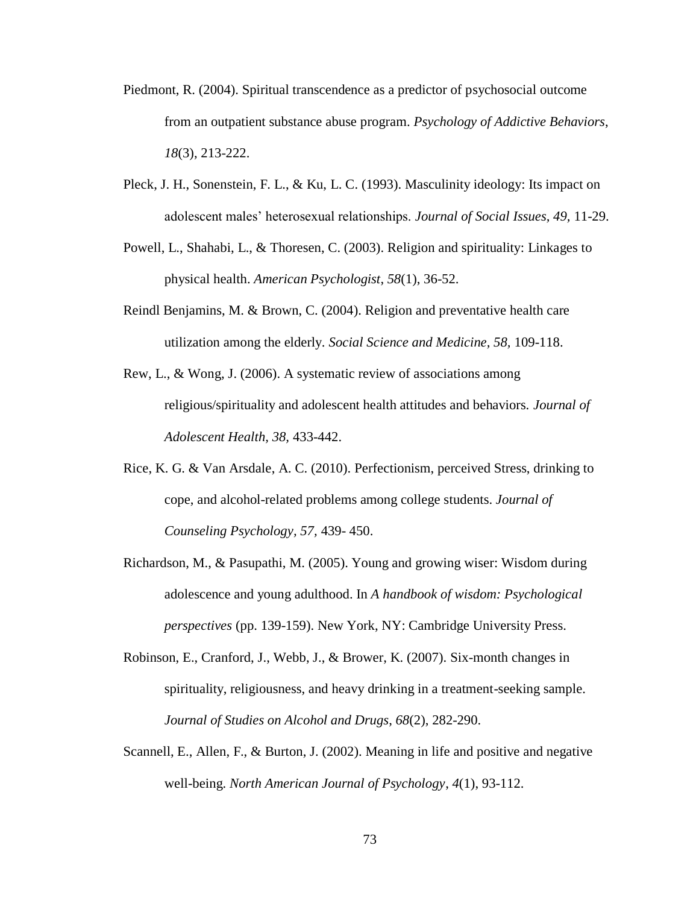- Piedmont, R. (2004). Spiritual transcendence as a predictor of psychosocial outcome from an outpatient substance abuse program. *Psychology of Addictive Behaviors*, *18*(3), 213-222.
- Pleck, J. H., Sonenstein, F. L., & Ku, L. C. (1993). Masculinity ideology: Its impact on adolescent males' heterosexual relationships. *Journal of Social Issues, 49,* 11-29.
- Powell, L., Shahabi, L., & Thoresen, C. (2003). Religion and spirituality: Linkages to physical health. *American Psychologist*, *58*(1), 36-52.
- Reindl Benjamins, M. & Brown, C. (2004). Religion and preventative health care utilization among the elderly. *Social Science and Medicine, 58,* 109-118.
- Rew, L., & Wong, J. (2006). A systematic review of associations among religious/spirituality and adolescent health attitudes and behaviors. *Journal of Adolescent Health, 38,* 433-442.
- Rice, K. G. & Van Arsdale, A. C. (2010). Perfectionism, perceived Stress, drinking to cope, and alcohol-related problems among college students. *Journal of Counseling Psychology, 57,* 439- 450.
- Richardson, M., & Pasupathi, M. (2005). Young and growing wiser: Wisdom during adolescence and young adulthood. In *A handbook of wisdom: Psychological perspectives* (pp. 139-159). New York, NY: Cambridge University Press.
- Robinson, E., Cranford, J., Webb, J., & Brower, K. (2007). Six-month changes in spirituality, religiousness, and heavy drinking in a treatment-seeking sample. *Journal of Studies on Alcohol and Drugs*, *68*(2), 282-290.
- Scannell, E., Allen, F., & Burton, J. (2002). Meaning in life and positive and negative well-being. *North American Journal of Psychology*, *4*(1), 93-112.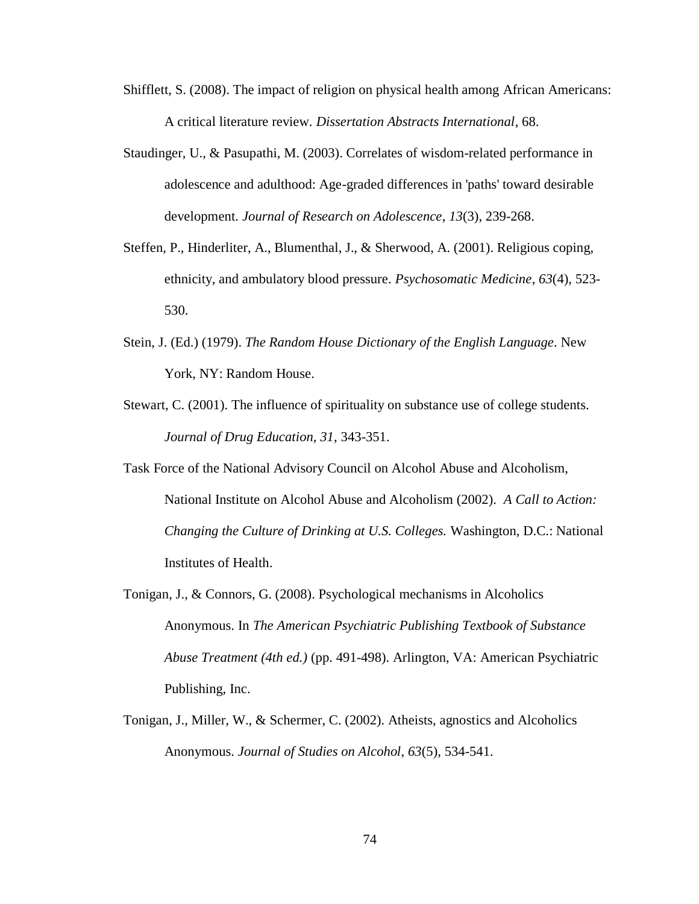- Shifflett, S. (2008). The impact of religion on physical health among African Americans: A critical literature review. *Dissertation Abstracts International*, 68.
- Staudinger, U., & Pasupathi, M. (2003). Correlates of wisdom-related performance in adolescence and adulthood: Age-graded differences in 'paths' toward desirable development. *Journal of Research on Adolescence*, *13*(3), 239-268.
- Steffen, P., Hinderliter, A., Blumenthal, J., & Sherwood, A. (2001). Religious coping, ethnicity, and ambulatory blood pressure. *Psychosomatic Medicine*, *63*(4), 523- 530.
- Stein, J. (Ed.) (1979). *The Random House Dictionary of the English Language*. New York, NY: Random House.
- Stewart, C. (2001). The influence of spirituality on substance use of college students. *Journal of Drug Education, 31,* 343-351.
- Task Force of the National Advisory Council on Alcohol Abuse and Alcoholism, National Institute on Alcohol Abuse and Alcoholism (2002). *A Call to Action: Changing the Culture of Drinking at U.S. Colleges.* Washington, D.C.: National Institutes of Health.
- Tonigan, J., & Connors, G. (2008). Psychological mechanisms in Alcoholics Anonymous. In *The American Psychiatric Publishing Textbook of Substance Abuse Treatment (4th ed.)* (pp. 491-498). Arlington, VA: American Psychiatric Publishing, Inc.
- Tonigan, J., Miller, W., & Schermer, C. (2002). Atheists, agnostics and Alcoholics Anonymous. *Journal of Studies on Alcohol*, *63*(5), 534-541.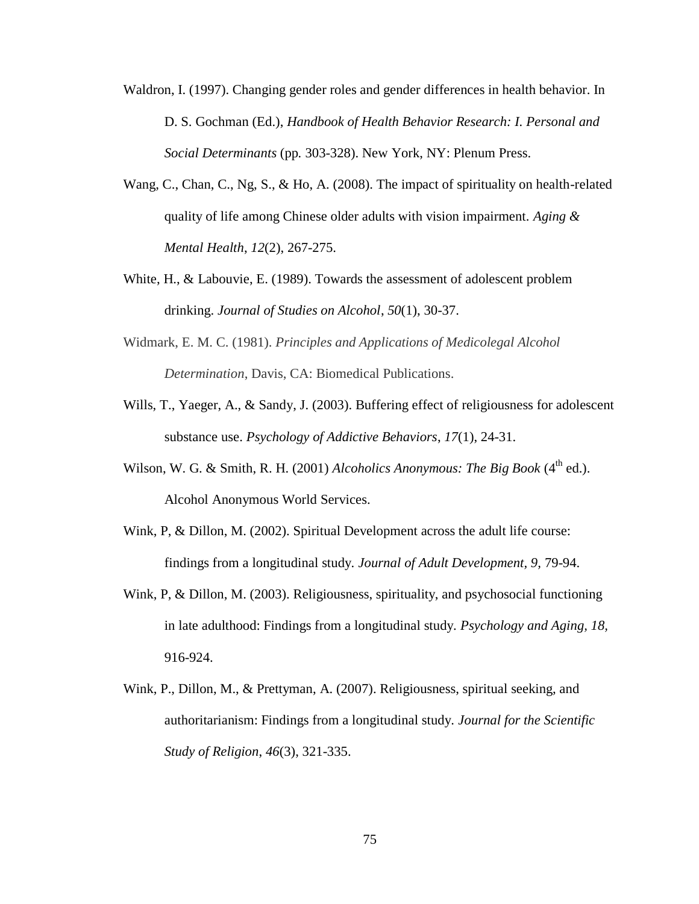- Waldron, I. (1997). Changing gender roles and gender differences in health behavior. In D. S. Gochman (Ed.), *Handbook of Health Behavior Research: I. Personal and Social Determinants* (pp*.* 303-328). New York, NY: Plenum Press.
- Wang, C., Chan, C., Ng, S., & Ho, A. (2008). The impact of spirituality on health-related quality of life among Chinese older adults with vision impairment. *Aging & Mental Health*, *12*(2), 267-275.
- White, H., & Labouvie, E. (1989). Towards the assessment of adolescent problem drinking. *Journal of Studies on Alcohol*, *50*(1), 30-37.
- Widmark, E. M. C. (1981). *Principles and Applications of Medicolegal Alcohol Determination*, Davis, CA: Biomedical Publications.
- Wills, T., Yaeger, A., & Sandy, J. (2003). Buffering effect of religiousness for adolescent substance use. *Psychology of Addictive Behaviors*, *17*(1), 24-31.
- Wilson, W. G. & Smith, R. H. (2001) *Alcoholics Anonymous: The Big Book* (4<sup>th</sup> ed.). Alcohol Anonymous World Services.
- Wink, P, & Dillon, M. (2002). Spiritual Development across the adult life course: findings from a longitudinal study. *Journal of Adult Development, 9,* 79-94.
- Wink, P, & Dillon, M. (2003). Religiousness, spirituality, and psychosocial functioning in late adulthood: Findings from a longitudinal study. *Psychology and Aging, 18,*  916-924.
- Wink, P., Dillon, M., & Prettyman, A. (2007). Religiousness, spiritual seeking, and authoritarianism: Findings from a longitudinal study. *Journal for the Scientific Study of Religion*, *46*(3), 321-335.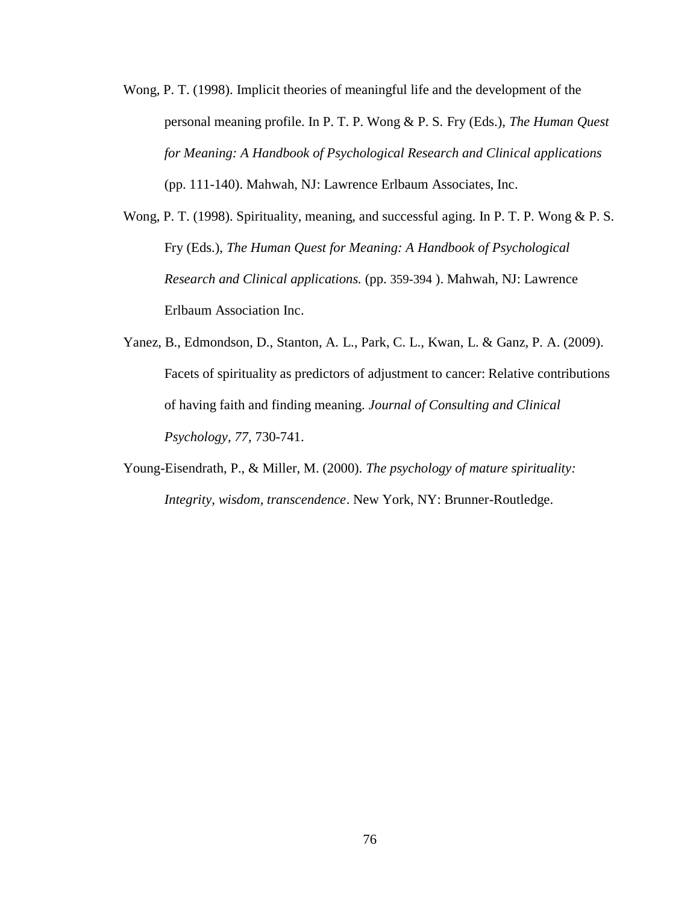- Wong, P. T. (1998). Implicit theories of meaningful life and the development of the personal meaning profile. In P. T. P. Wong & P. S. Fry (Eds.), *The Human Quest for Meaning: A Handbook of Psychological Research and Clinical applications* (pp. 111-140). Mahwah, NJ: Lawrence Erlbaum Associates, Inc.
- Wong, P. T. (1998). Spirituality, meaning, and successful aging. In P. T. P. Wong & P. S. Fry (Eds.), *The Human Quest for Meaning: A Handbook of Psychological Research and Clinical applications.* (pp. 359-394 ). Mahwah, NJ: Lawrence Erlbaum Association Inc.
- Yanez, B., Edmondson, D., Stanton, A. L., Park, C. L., Kwan, L. & Ganz, P. A. (2009). Facets of spirituality as predictors of adjustment to cancer: Relative contributions of having faith and finding meaning. *Journal of Consulting and Clinical Psychology, 77,* 730-741.
- Young-Eisendrath, P., & Miller, M. (2000). *The psychology of mature spirituality: Integrity, wisdom, transcendence*. New York, NY: Brunner-Routledge.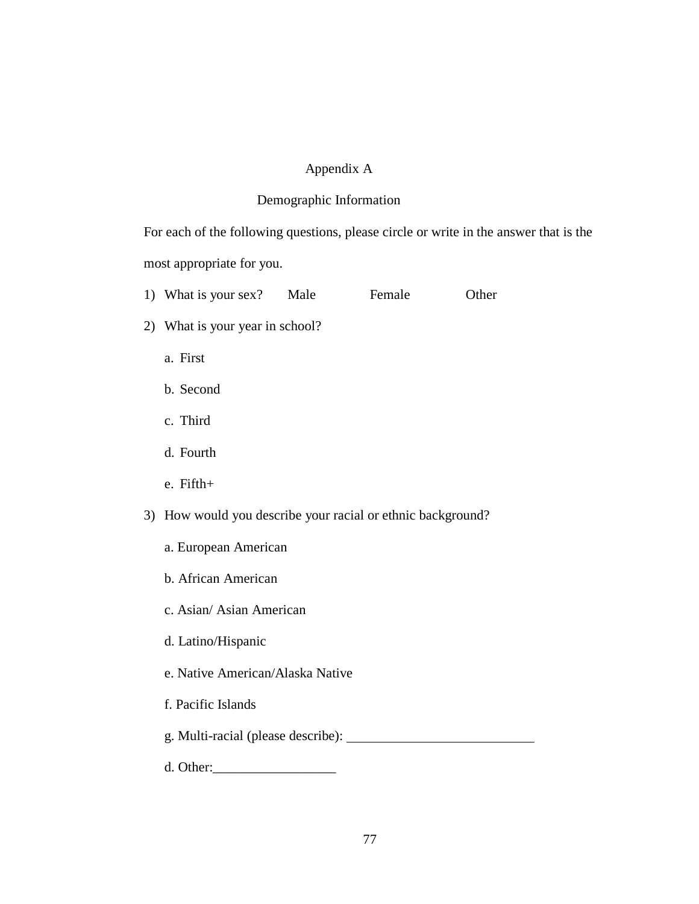#### Appendix A

#### Demographic Information

For each of the following questions, please circle or write in the answer that is the most appropriate for you.

- 1) What is your sex? Male Female Other
- 2) What is your year in school?
	- a. First
	- b. Second
	- c. Third
	- d. Fourth
	- e. Fifth+
- 3) How would you describe your racial or ethnic background?
	- a. European American
	- b. African American
	- c. Asian/ Asian American
	- d. Latino/Hispanic
	- e. Native American/Alaska Native
	- f. Pacific Islands
	- g. Multi-racial (please describe):
	- d. Other:\_\_\_\_\_\_\_\_\_\_\_\_\_\_\_\_\_\_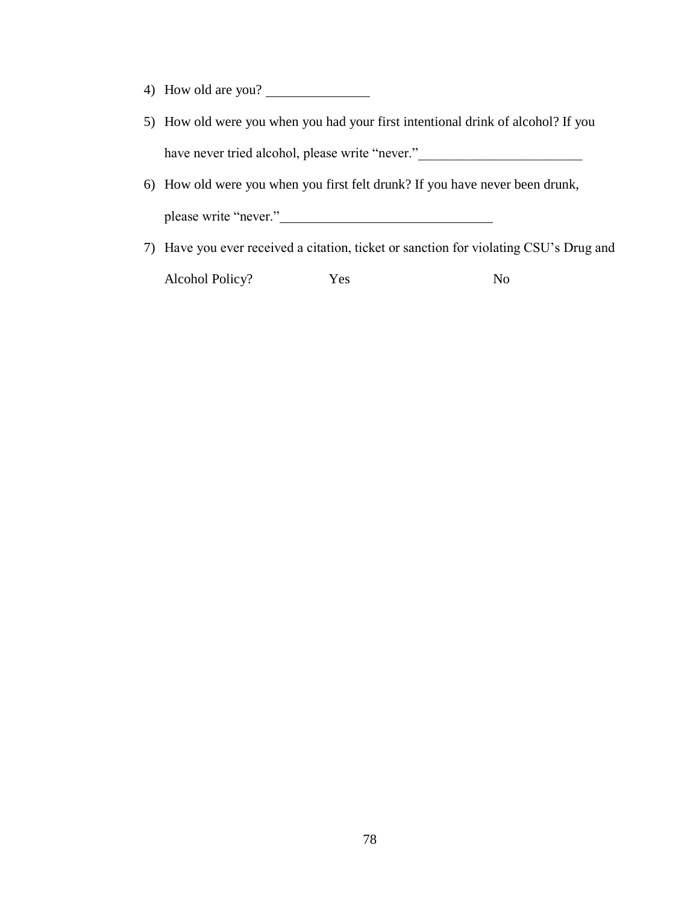- 4) How old are you?
- 5) How old were you when you had your first intentional drink of alcohol? If you have never tried alcohol, please write "never."
- 6) How old were you when you first felt drunk? If you have never been drunk, please write "never."
- 7) Have you ever received a citation, ticket or sanction for violating CSU's Drug and Alcohol Policy? Yes No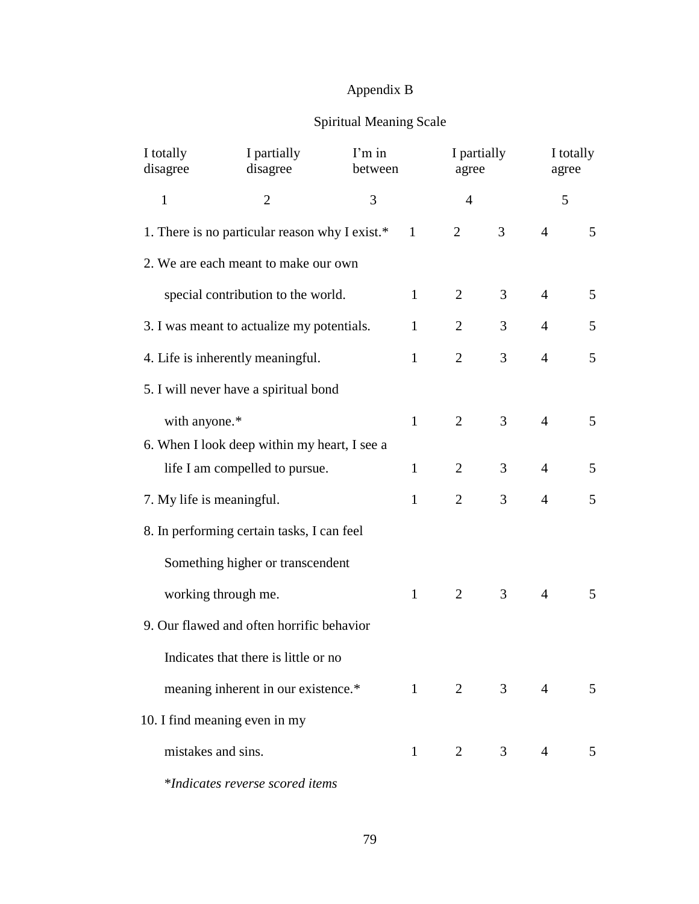## Appendix B

# Spiritual Meaning Scale

| I totally<br>disagree     | I partially<br>disagree                        | I'm in<br>between |              | I partially<br>agree |                | agree          | I totally |
|---------------------------|------------------------------------------------|-------------------|--------------|----------------------|----------------|----------------|-----------|
| $\mathbf{1}$              | $\overline{2}$                                 | 3                 |              | $\overline{4}$       |                | 5              |           |
|                           | 1. There is no particular reason why I exist.* |                   | $\mathbf{1}$ | 2                    | 3              | $\overline{4}$ | 5         |
|                           | 2. We are each meant to make our own           |                   |              |                      |                |                |           |
|                           | special contribution to the world.             |                   | $\mathbf{1}$ | 2                    | 3              | $\overline{4}$ | 5         |
|                           | 3. I was meant to actualize my potentials.     |                   | $\mathbf{1}$ | $\overline{2}$       | 3              | $\overline{4}$ | 5         |
|                           | 4. Life is inherently meaningful.              |                   | $\mathbf{1}$ | $\overline{2}$       | 3              | $\overline{4}$ | 5         |
|                           | 5. I will never have a spiritual bond          |                   |              |                      |                |                |           |
| with anyone.*             |                                                |                   | $\mathbf{1}$ | $\overline{2}$       | 3              | $\overline{4}$ | 5         |
|                           | 6. When I look deep within my heart, I see a   |                   |              |                      |                |                |           |
|                           | life I am compelled to pursue.                 |                   | $\mathbf{1}$ | 2                    | 3              | $\overline{4}$ | 5         |
| 7. My life is meaningful. |                                                |                   | $\mathbf{1}$ | 2                    | 3              | $\overline{4}$ | 5         |
|                           | 8. In performing certain tasks, I can feel     |                   |              |                      |                |                |           |
|                           | Something higher or transcendent               |                   |              |                      |                |                |           |
|                           | working through me.                            |                   | $\mathbf{1}$ | 2                    | 3              | $\overline{4}$ | 5         |
|                           | 9. Our flawed and often horrific behavior      |                   |              |                      |                |                |           |
|                           | Indicates that there is little or no           |                   |              |                      |                |                |           |
|                           | meaning inherent in our existence.*            |                   | $\mathbf{1}$ | $\overline{2}$       | $\mathfrak{Z}$ | $\overline{4}$ | 5         |
|                           | 10. I find meaning even in my                  |                   |              |                      |                |                |           |
| mistakes and sins.        |                                                |                   | $\mathbf{1}$ | $\overline{2}$       | 3              | 4              | 5         |
|                           | *Indicates reverse scored items                |                   |              |                      |                |                |           |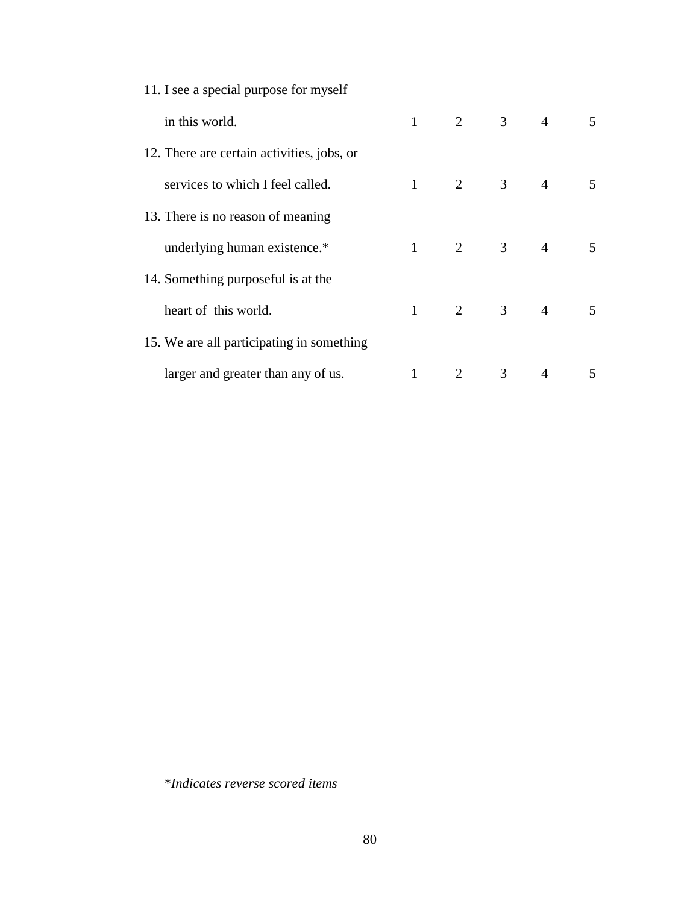| 11. I see a special purpose for myself     |              |                |                |                |   |
|--------------------------------------------|--------------|----------------|----------------|----------------|---|
| in this world.                             | $\mathbf{1}$ | $\overline{2}$ | $\mathfrak{Z}$ | $\overline{4}$ | 5 |
| 12. There are certain activities, jobs, or |              |                |                |                |   |
| services to which I feel called.           | 1            | 2              | $\mathfrak{Z}$ | $\overline{4}$ | 5 |
| 13. There is no reason of meaning          |              |                |                |                |   |
| underlying human existence.*               | $\mathbf{1}$ | 2              | 3              | $\overline{4}$ | 5 |
| 14. Something purposeful is at the         |              |                |                |                |   |
| heart of this world.                       | $\mathbf{1}$ | 2              | $\mathfrak{Z}$ | $\overline{4}$ | 5 |
| 15. We are all participating in something  |              |                |                |                |   |
| larger and greater than any of us.         | $\mathbf{1}$ | 2              | 3              | 4              | 5 |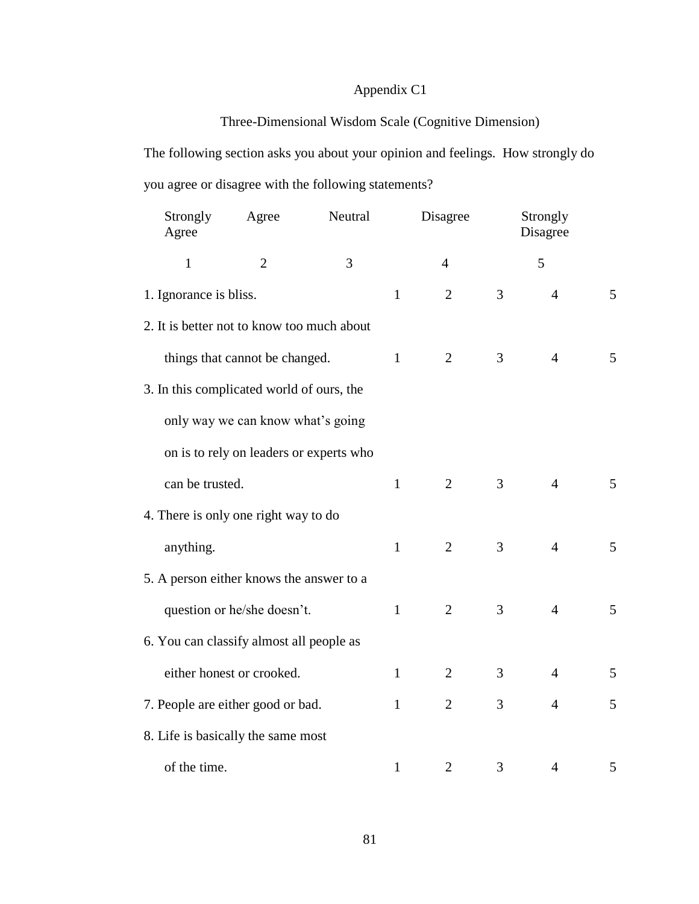## Appendix C1

# Three-Dimensional Wisdom Scale (Cognitive Dimension)

The following section asks you about your opinion and feelings. How strongly do you agree or disagree with the following statements?

| Strongly<br>Agree                          | Agree                                   | Neutral |              | Disagree       |   | Strongly<br>Disagree |   |
|--------------------------------------------|-----------------------------------------|---------|--------------|----------------|---|----------------------|---|
| $\mathbf{1}$                               | $\overline{2}$                          | 3       |              | $\overline{4}$ |   | 5                    |   |
| 1. Ignorance is bliss.                     |                                         |         | $\mathbf{1}$ | $\overline{2}$ | 3 | $\overline{4}$       | 5 |
| 2. It is better not to know too much about |                                         |         |              |                |   |                      |   |
|                                            | things that cannot be changed.          |         | $\mathbf{1}$ | $\overline{2}$ | 3 | $\overline{4}$       | 5 |
| 3. In this complicated world of ours, the  |                                         |         |              |                |   |                      |   |
|                                            | only way we can know what's going       |         |              |                |   |                      |   |
|                                            | on is to rely on leaders or experts who |         |              |                |   |                      |   |
| can be trusted.                            |                                         |         | $\mathbf{1}$ | $\overline{2}$ | 3 | $\overline{4}$       | 5 |
| 4. There is only one right way to do       |                                         |         |              |                |   |                      |   |
| anything.                                  |                                         |         | $\mathbf{1}$ | $\overline{2}$ | 3 | $\overline{4}$       | 5 |
| 5. A person either knows the answer to a   |                                         |         |              |                |   |                      |   |
|                                            | question or he/she doesn't.             |         | $\mathbf{1}$ | $\overline{2}$ | 3 | $\overline{4}$       | 5 |
| 6. You can classify almost all people as   |                                         |         |              |                |   |                      |   |
|                                            | either honest or crooked.               |         | $\mathbf{1}$ | $\overline{2}$ | 3 | $\overline{4}$       | 5 |
| 7. People are either good or bad.          |                                         |         | $\mathbf{1}$ | $\overline{2}$ | 3 | $\overline{4}$       | 5 |
| 8. Life is basically the same most         |                                         |         |              |                |   |                      |   |
| of the time.                               |                                         |         | 1            | $\overline{2}$ | 3 | $\overline{4}$       | 5 |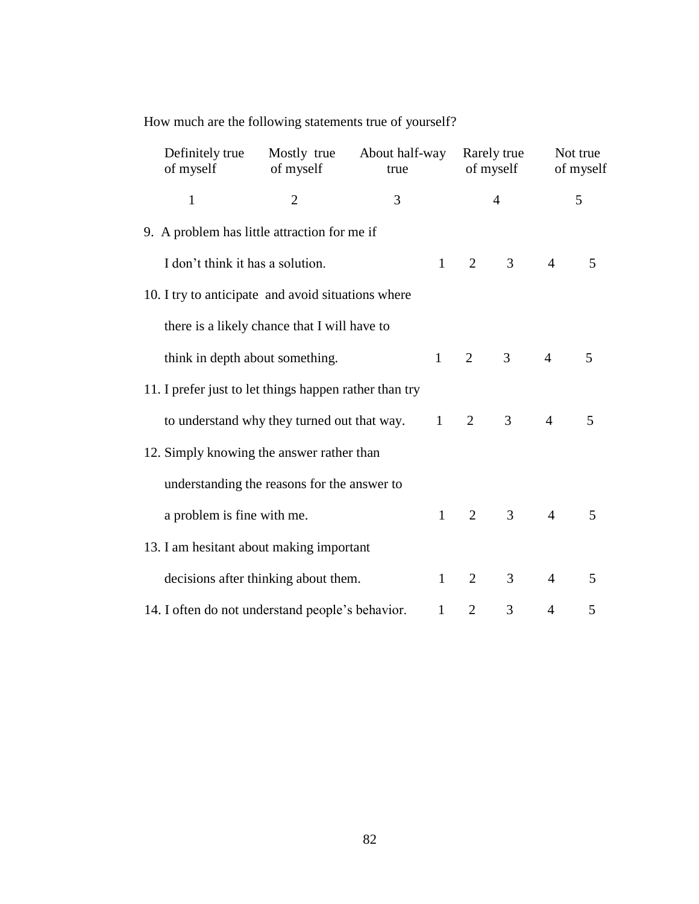How much are the following statements true of yourself?

| Definitely true<br>of myself | Mostly true<br>of myself                               | About half-way<br>true |              |                | Rarely true<br>of myself |                | Not true<br>of myself |
|------------------------------|--------------------------------------------------------|------------------------|--------------|----------------|--------------------------|----------------|-----------------------|
| $\mathbf{1}$                 | $\overline{2}$                                         | 3                      |              |                | $\overline{4}$           |                | 5                     |
|                              | 9. A problem has little attraction for me if           |                        |              |                |                          |                |                       |
|                              | I don't think it has a solution.                       |                        | $\mathbf{1}$ | $\overline{2}$ | 3                        | $\overline{4}$ | 5                     |
|                              | 10. I try to anticipate and avoid situations where     |                        |              |                |                          |                |                       |
|                              | there is a likely chance that I will have to           |                        |              |                |                          |                |                       |
|                              | think in depth about something.                        |                        | $\mathbf{1}$ | $\overline{2}$ | 3 <sup>7</sup>           | $\overline{4}$ | 5                     |
|                              | 11. I prefer just to let things happen rather than try |                        |              |                |                          |                |                       |
|                              | to understand why they turned out that way.            |                        | $\mathbf{1}$ | 2              | 3 <sup>1</sup>           | $\overline{4}$ | 5                     |
|                              | 12. Simply knowing the answer rather than              |                        |              |                |                          |                |                       |
|                              | understanding the reasons for the answer to            |                        |              |                |                          |                |                       |
| a problem is fine with me.   |                                                        |                        | $\mathbf{1}$ | $\overline{2}$ | $\mathfrak{Z}$           | $\overline{4}$ | 5                     |
|                              | 13. I am hesitant about making important               |                        |              |                |                          |                |                       |
|                              | decisions after thinking about them.                   |                        | $\mathbf{1}$ | $\overline{2}$ | 3                        | $\overline{4}$ | 5                     |
|                              | 14. I often do not understand people's behavior.       |                        | $\mathbf{1}$ | $\overline{2}$ | 3                        | 4              | 5                     |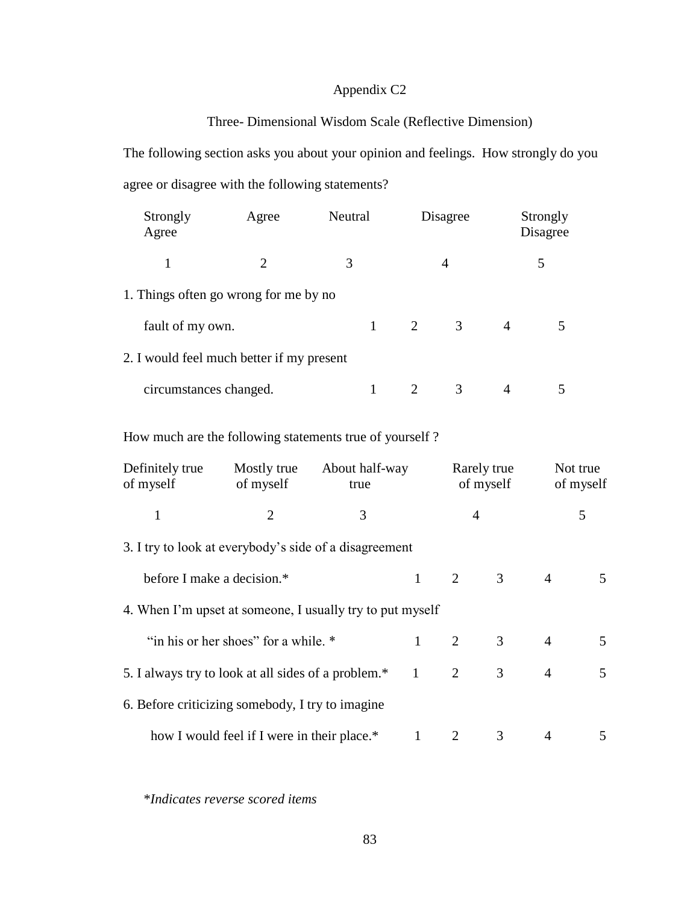### Appendix C2

### Three- Dimensional Wisdom Scale (Reflective Dimension)

The following section asks you about your opinion and feelings. How strongly do you agree or disagree with the following statements?

| Strongly<br>Agree                         | Agree                       | Neutral |                             | Disagree |                | Strongly<br>Disagree |  |
|-------------------------------------------|-----------------------------|---------|-----------------------------|----------|----------------|----------------------|--|
| 1                                         | $\mathcal{D}_{\mathcal{L}}$ | 3       |                             | 4        |                | 5                    |  |
| 1. Things often go wrong for me by no     |                             |         |                             |          |                |                      |  |
| fault of my own.                          |                             |         | 2                           | 3        | $\overline{A}$ |                      |  |
| 2. I would feel much better if my present |                             |         |                             |          |                |                      |  |
| circumstances changed.                    |                             |         | $\mathcal{D}_{\mathcal{L}}$ | 3        |                |                      |  |

How much are the following statements true of yourself ?

| Definitely true<br>of myself                              | Mostly true<br>of myself                    | About half-way<br>true |              |                | Rarely true<br>of myself |                | Not true<br>of myself |
|-----------------------------------------------------------|---------------------------------------------|------------------------|--------------|----------------|--------------------------|----------------|-----------------------|
| 1                                                         | $\overline{2}$                              | 3                      |              | $\overline{4}$ |                          |                | 5                     |
| 3. I try to look at everybody's side of a disagreement    |                                             |                        |              |                |                          |                |                       |
| before I make a decision.*                                |                                             |                        | $\mathbf{1}$ | $\overline{2}$ | $\mathfrak{Z}$           | $\overline{4}$ | 5                     |
| 4. When I'm upset at someone, I usually try to put myself |                                             |                        |              |                |                          |                |                       |
|                                                           | "in his or her shoes" for a while. *        |                        | $\mathbf{1}$ | 2              | 3                        | $\overline{4}$ | 5 <sup>5</sup>        |
| 5. I always try to look at all sides of a problem.*       |                                             |                        | $\mathbf{1}$ | 2              | 3                        | $\overline{4}$ | 5 <sup>5</sup>        |
| 6. Before criticizing somebody, I try to imagine          |                                             |                        |              |                |                          |                |                       |
|                                                           | how I would feel if I were in their place.* |                        | 1            | 2              | 3                        | $\overline{A}$ | 5                     |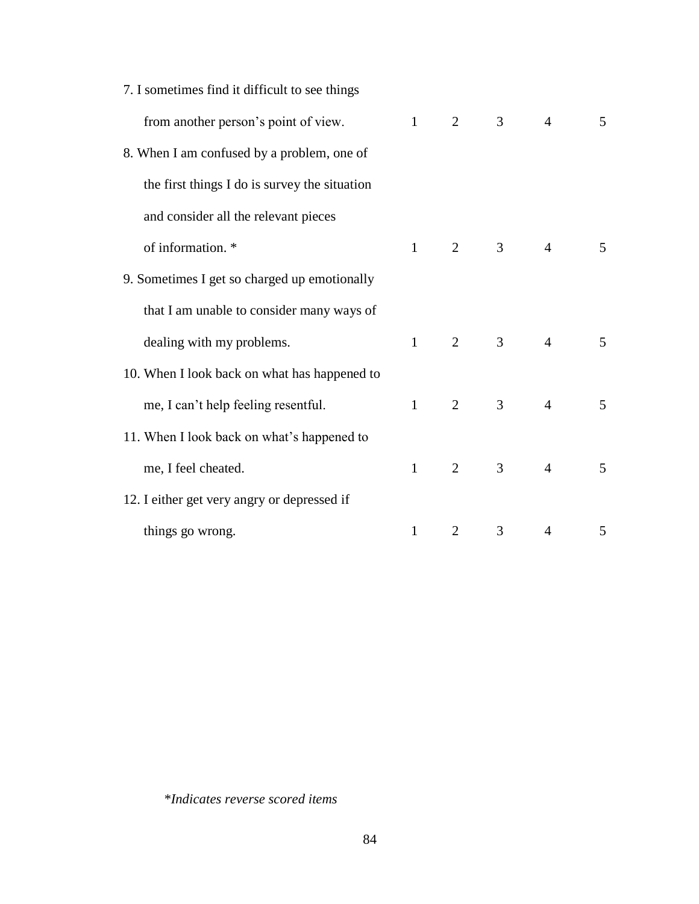| 7. I sometimes find it difficult to see things |              |                |   |                |   |
|------------------------------------------------|--------------|----------------|---|----------------|---|
| from another person's point of view.           | $\mathbf{1}$ | 2              | 3 | $\overline{4}$ | 5 |
| 8. When I am confused by a problem, one of     |              |                |   |                |   |
| the first things I do is survey the situation  |              |                |   |                |   |
| and consider all the relevant pieces           |              |                |   |                |   |
| of information. *                              | $\mathbf{1}$ | $\overline{2}$ | 3 | $\overline{4}$ | 5 |
| 9. Sometimes I get so charged up emotionally   |              |                |   |                |   |
| that I am unable to consider many ways of      |              |                |   |                |   |
| dealing with my problems.                      | $\mathbf{1}$ | $\overline{2}$ | 3 | $\overline{4}$ | 5 |
| 10. When I look back on what has happened to   |              |                |   |                |   |
| me, I can't help feeling resentful.            | $\mathbf{1}$ | 2              | 3 | $\overline{4}$ | 5 |
| 11. When I look back on what's happened to     |              |                |   |                |   |
| me, I feel cheated.                            | $\mathbf{1}$ | 2              | 3 | $\overline{4}$ | 5 |
| 12. I either get very angry or depressed if    |              |                |   |                |   |
| things go wrong.                               | 1            | 2              | 3 | 4              | 5 |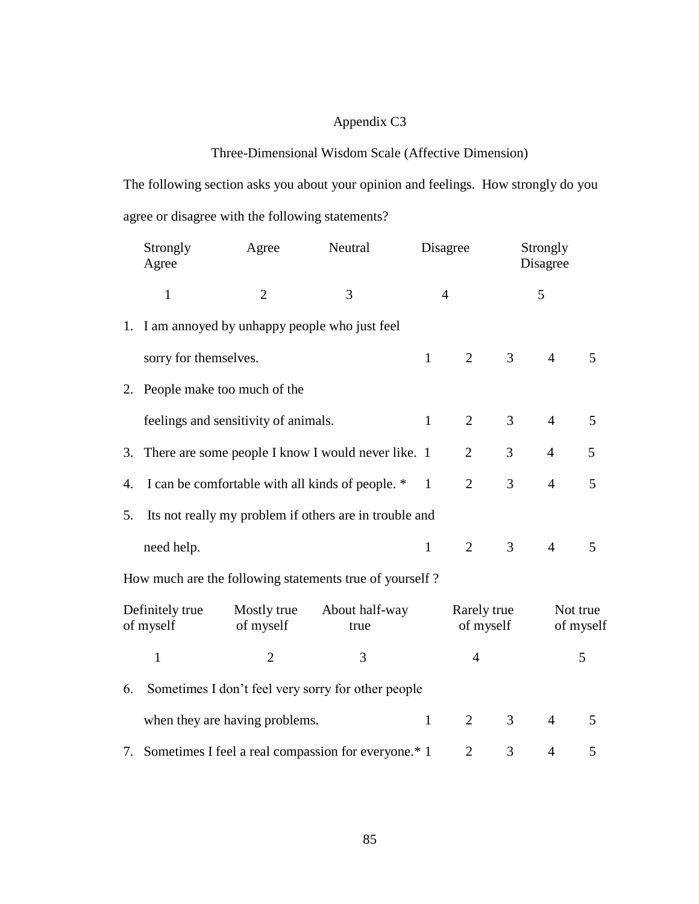## Appendix C3

## Three-Dimensional Wisdom Scale (Affective Dimension)

The following section asks you about your opinion and feelings. How strongly do you agree or disagree with the following statements?

|    | Strongly<br>Agree                                   | Agree                                           | Neutral                                                 |              | Disagree                 |   | Strongly<br>Disagree |                       |
|----|-----------------------------------------------------|-------------------------------------------------|---------------------------------------------------------|--------------|--------------------------|---|----------------------|-----------------------|
|    | $\mathbf{1}$                                        | $\overline{2}$                                  | 3                                                       |              | $\overline{4}$           |   | 5                    |                       |
|    |                                                     | 1. I am annoyed by unhappy people who just feel |                                                         |              |                          |   |                      |                       |
|    | sorry for themselves.                               |                                                 |                                                         | $\mathbf{1}$ | 2                        | 3 | $\overline{4}$       | 5                     |
| 2. |                                                     | People make too much of the                     |                                                         |              |                          |   |                      |                       |
|    |                                                     | feelings and sensitivity of animals.            |                                                         | $\mathbf{1}$ | $\overline{2}$           | 3 | $\overline{4}$       | 5                     |
| 3. | There are some people I know I would never like. 1  |                                                 | $\overline{2}$                                          | 3            | $\overline{4}$           | 5 |                      |                       |
| 4. |                                                     |                                                 | I can be comfortable with all kinds of people. *        | $\mathbf{1}$ | $\overline{2}$           | 3 | $\overline{4}$       | 5                     |
| 5. |                                                     |                                                 | Its not really my problem if others are in trouble and  |              |                          |   |                      |                       |
|    | need help.                                          |                                                 |                                                         | $\mathbf{1}$ | $\overline{2}$           | 3 | $\overline{4}$       | 5                     |
|    |                                                     |                                                 | How much are the following statements true of yourself? |              |                          |   |                      |                       |
|    | Definitely true<br>of myself                        | Mostly true<br>of myself                        | About half-way<br>true                                  |              | Rarely true<br>of myself |   |                      | Not true<br>of myself |
|    | $\mathbf{1}$                                        | $\overline{2}$                                  | 3                                                       |              | $\overline{4}$           |   |                      | 5                     |
| 6. |                                                     |                                                 | Sometimes I don't feel very sorry for other people      |              |                          |   |                      |                       |
|    |                                                     | when they are having problems.                  |                                                         | $\mathbf{1}$ | $\overline{2}$           | 3 | $\overline{4}$       | 5                     |
| 7. | Sometimes I feel a real compassion for everyone.* 1 |                                                 |                                                         |              | $\overline{2}$           | 3 | $\overline{4}$       | 5                     |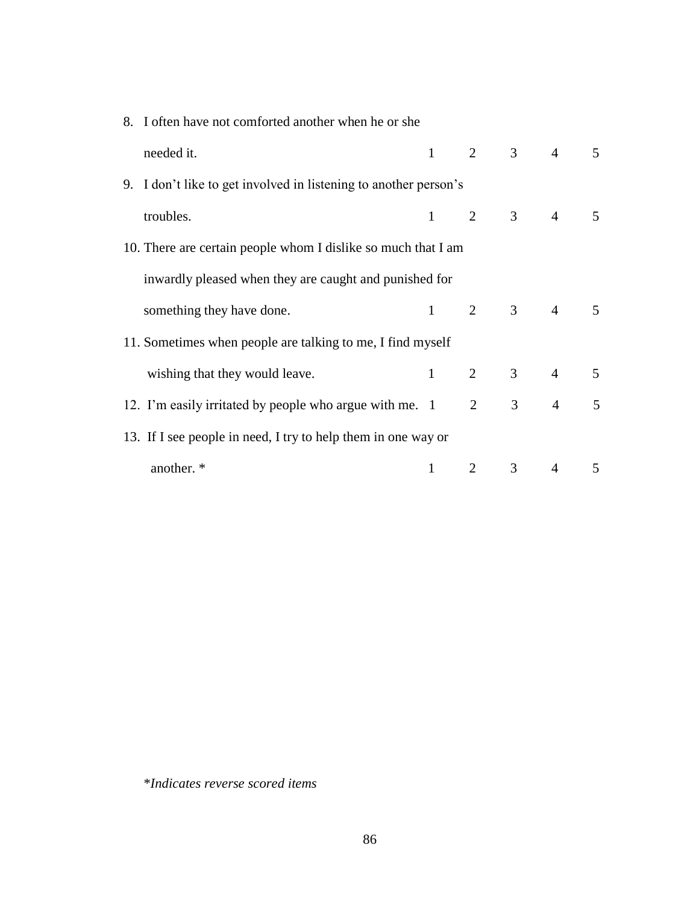| 8. I often have not comforted another when he or she |                                                                  |                   |                |                |                         |   |
|------------------------------------------------------|------------------------------------------------------------------|-------------------|----------------|----------------|-------------------------|---|
|                                                      | needed it.                                                       |                   |                |                | $1 \t 2 \t 3 \t 4 \t 5$ |   |
|                                                      | 9. I don't like to get involved in listening to another person's |                   |                |                |                         |   |
|                                                      | troubles.                                                        |                   |                |                | $1 \t2 \t3 \t4 \t5$     |   |
|                                                      | 10. There are certain people whom I dislike so much that I am    |                   |                |                |                         |   |
|                                                      | inwardly pleased when they are caught and punished for           |                   |                |                |                         |   |
|                                                      | something they have done.                                        |                   |                |                | $1 \t2 \t3 \t4 \t5$     |   |
|                                                      | 11. Sometimes when people are talking to me, I find myself       |                   |                |                |                         |   |
|                                                      | wishing that they would leave.                                   | $1 \qquad \qquad$ |                |                | 2 3 4 5                 |   |
|                                                      | 12. I'm easily irritated by people who argue with me. 1          |                   | $\overline{2}$ | 3 <sup>7</sup> | $4\overline{ }$         | 5 |
|                                                      | 13. If I see people in need, I try to help them in one way or    |                   |                |                |                         |   |
|                                                      | another. *                                                       |                   | $\overline{2}$ | $\mathfrak{Z}$ | $\overline{4}$          | 5 |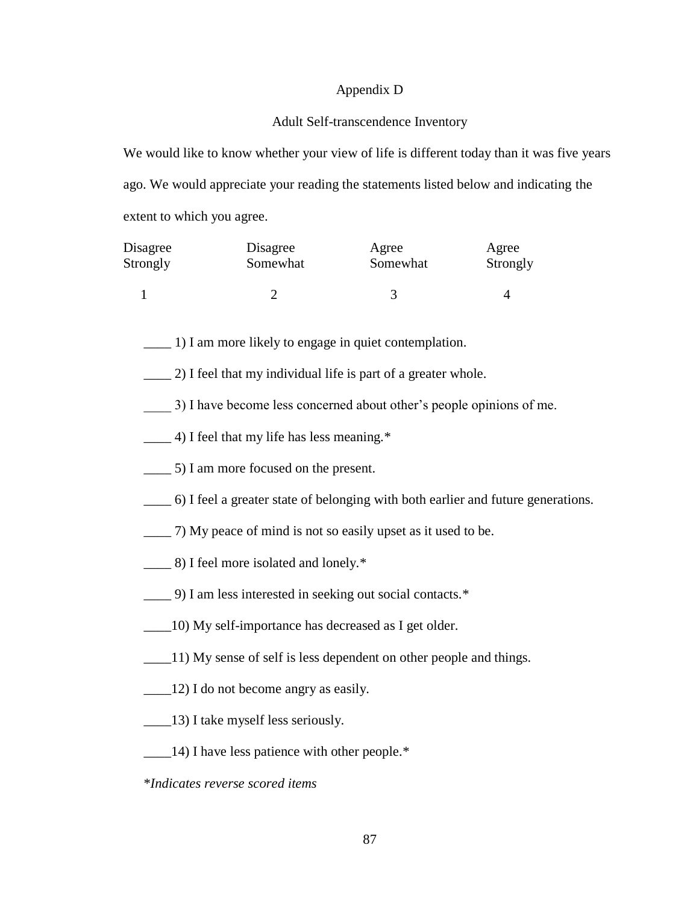#### Appendix D

#### Adult Self-transcendence Inventory

We would like to know whether your view of life is different today than it was five years ago. We would appreciate your reading the statements listed below and indicating the extent to which you agree.

| Disagree | Disagree | Agree    | Agree    |
|----------|----------|----------|----------|
| Strongly | Somewhat | Somewhat | Strongly |
|          |          |          |          |

\_\_\_\_ 1) I am more likely to engage in quiet contemplation.

- \_\_\_\_ 2) I feel that my individual life is part of a greater whole.
- \_\_\_\_ 3) I have become less concerned about other's people opinions of me.
- \_\_\_\_ 4) I feel that my life has less meaning.\*
- \_\_\_\_ 5) I am more focused on the present.
- \_\_\_\_ 6) I feel a greater state of belonging with both earlier and future generations.
- \_\_\_\_ 7) My peace of mind is not so easily upset as it used to be.
- \_\_\_\_ 8) I feel more isolated and lonely.\*
- \_\_\_\_ 9) I am less interested in seeking out social contacts.\*
- \_\_\_\_10) My self-importance has decreased as I get older.
- \_\_\_\_11) My sense of self is less dependent on other people and things.
- \_\_\_\_12) I do not become angry as easily.
- \_\_\_\_13) I take myself less seriously.
- \_\_\_\_14) I have less patience with other people.\*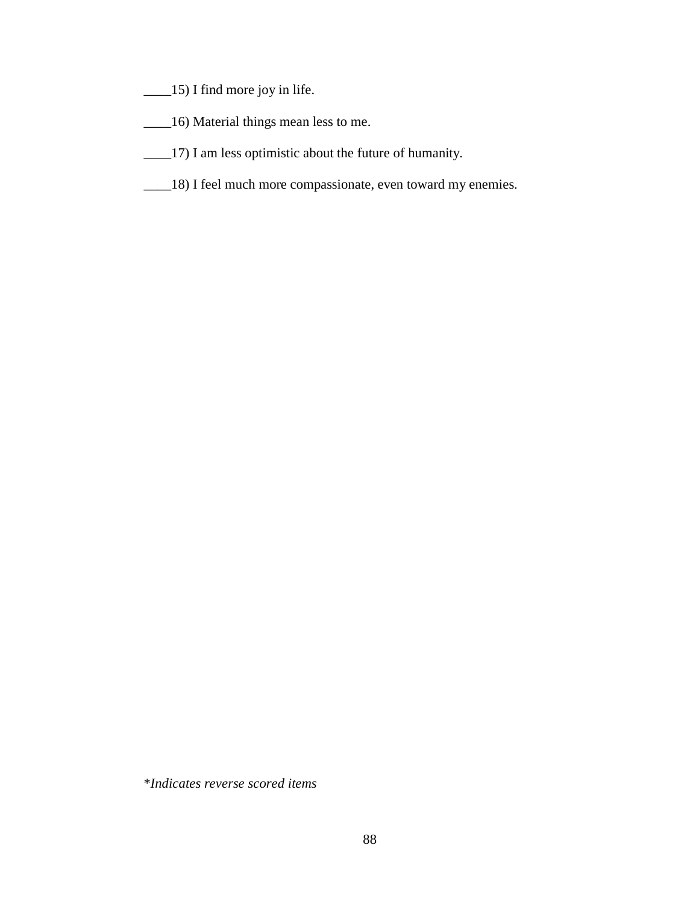- \_\_\_\_15) I find more joy in life.
- \_\_\_\_16) Material things mean less to me.
- \_\_\_\_17) I am less optimistic about the future of humanity.
- \_\_\_\_18) I feel much more compassionate, even toward my enemies.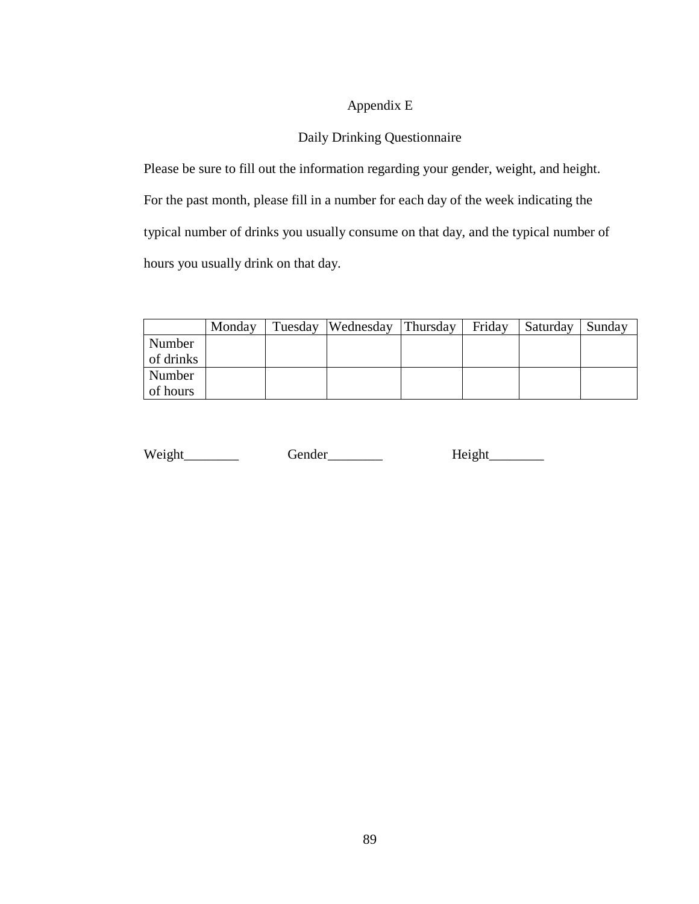# Appendix E

# Daily Drinking Questionnaire

Please be sure to fill out the information regarding your gender, weight, and height. For the past month, please fill in a number for each day of the week indicating the typical number of drinks you usually consume on that day, and the typical number of hours you usually drink on that day.

|           | Monday | Tuesday Wednesday | Thursday | Friday | Saturday | Sunday |
|-----------|--------|-------------------|----------|--------|----------|--------|
| Number    |        |                   |          |        |          |        |
| of drinks |        |                   |          |        |          |        |
| Number    |        |                   |          |        |          |        |
| of hours  |        |                   |          |        |          |        |

| Weight | Gender | Height |
|--------|--------|--------|
|        |        |        |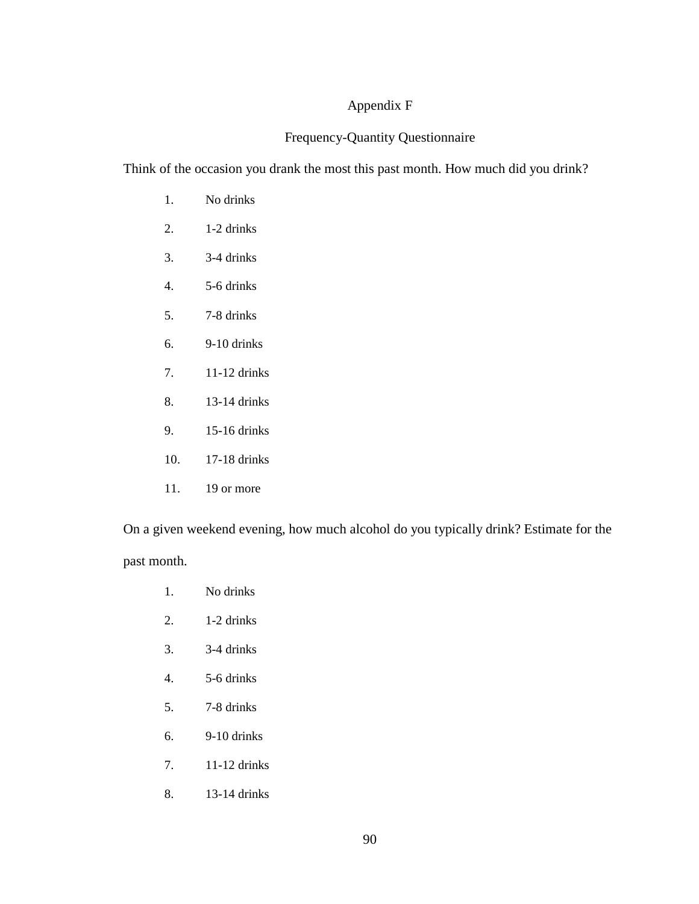### Appendix F

### Frequency-Quantity Questionnaire

Think of the occasion you drank the most this past month. How much did you drink?

- 1. No drinks
- 2. 1-2 drinks
- 3. 3-4 drinks
- 4. 5-6 drinks
- 5. 7-8 drinks
- 6. 9-10 drinks
- 7. 11-12 drinks
- 8. 13-14 drinks
- 9. 15-16 drinks
- 10. 17-18 drinks
- 11. 19 or more

On a given weekend evening, how much alcohol do you typically drink? Estimate for the past month.

- 1. No drinks
- 2. 1-2 drinks
- 3. 3-4 drinks
- 4. 5-6 drinks
- 5. 7-8 drinks
- 6. 9-10 drinks
- 7. 11-12 drinks
- 8. 13-14 drinks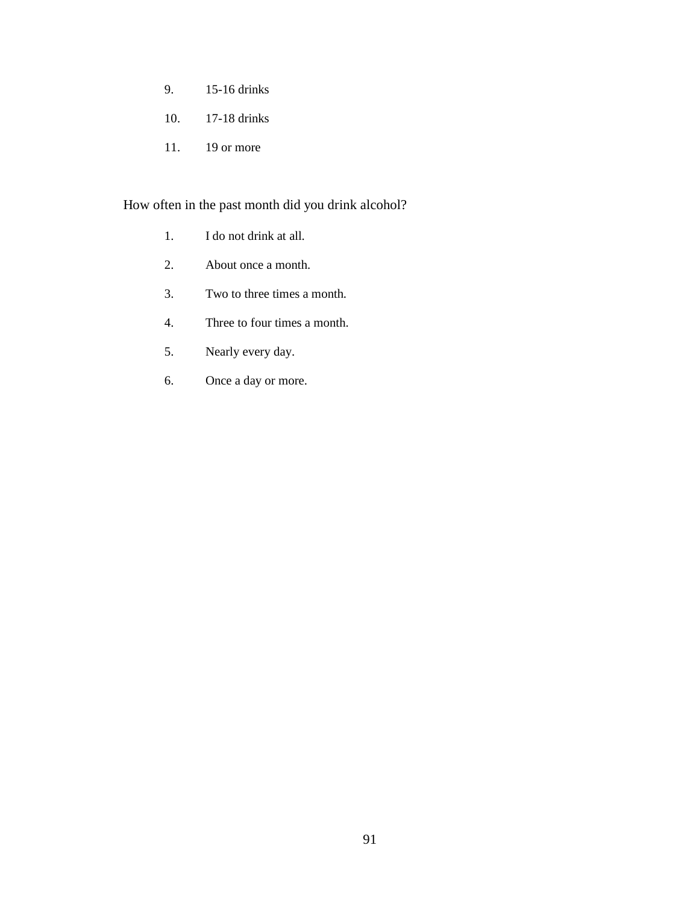- 9. 15-16 drinks
- 10. 17-18 drinks
- 11. 19 or more

## How often in the past month did you drink alcohol?

- 1. I do not drink at all.
- 2. About once a month.
- 3. Two to three times a month.
- 4. Three to four times a month.
- 5. Nearly every day.
- 6. Once a day or more.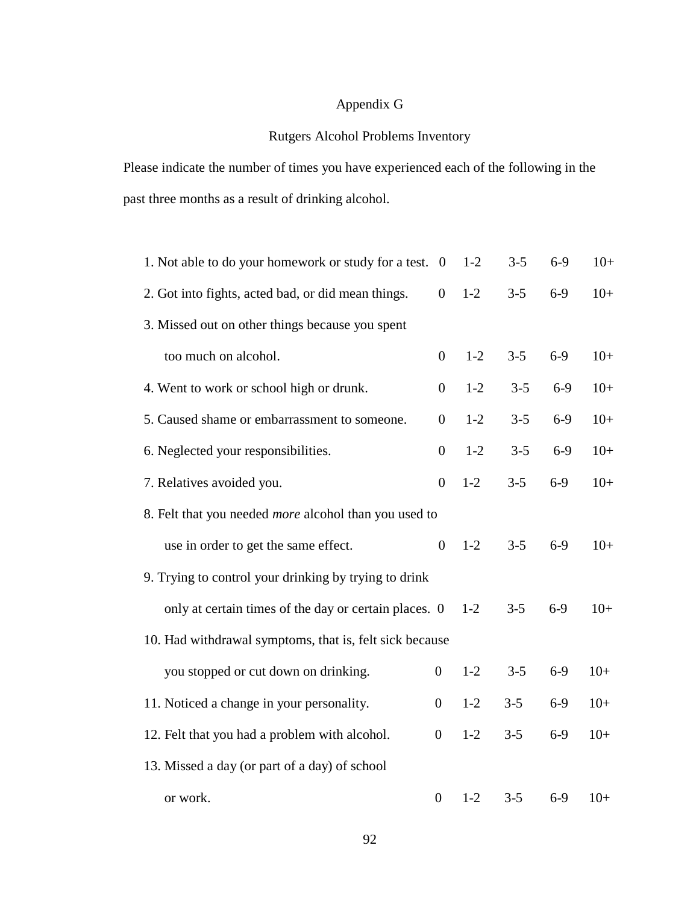# Appendix G

## Rutgers Alcohol Problems Inventory

Please indicate the number of times you have experienced each of the following in the past three months as a result of drinking alcohol.

| 1. Not able to do your homework or study for a test. 0       |                  | $1 - 2$ | $3 - 5$ | $6-9$ | $10+$ |  |  |  |  |
|--------------------------------------------------------------|------------------|---------|---------|-------|-------|--|--|--|--|
| 2. Got into fights, acted bad, or did mean things.           | $\boldsymbol{0}$ | $1-2$   | $3 - 5$ | $6-9$ | $10+$ |  |  |  |  |
| 3. Missed out on other things because you spent              |                  |         |         |       |       |  |  |  |  |
| too much on alcohol.                                         | $\overline{0}$   | $1-2$   | $3 - 5$ | $6-9$ | $10+$ |  |  |  |  |
| 4. Went to work or school high or drunk.                     | $\boldsymbol{0}$ | $1-2$   | $3 - 5$ | $6-9$ | $10+$ |  |  |  |  |
| 5. Caused shame or embarrassment to someone.                 | $\boldsymbol{0}$ | $1 - 2$ | $3 - 5$ | $6-9$ | $10+$ |  |  |  |  |
| 6. Neglected your responsibilities.                          | $\boldsymbol{0}$ | $1-2$   | $3 - 5$ | $6-9$ | $10+$ |  |  |  |  |
| 7. Relatives avoided you.                                    | $\boldsymbol{0}$ | $1 - 2$ | $3 - 5$ | $6-9$ | $10+$ |  |  |  |  |
| 8. Felt that you needed <i>more</i> alcohol than you used to |                  |         |         |       |       |  |  |  |  |
| use in order to get the same effect.                         | $\boldsymbol{0}$ | $1-2$   | $3 - 5$ | $6-9$ | $10+$ |  |  |  |  |
| 9. Trying to control your drinking by trying to drink        |                  |         |         |       |       |  |  |  |  |
| only at certain times of the day or certain places. 0        |                  | $1-2$   | $3 - 5$ | $6-9$ | $10+$ |  |  |  |  |
| 10. Had withdrawal symptoms, that is, felt sick because      |                  |         |         |       |       |  |  |  |  |
| you stopped or cut down on drinking.                         | $\overline{0}$   | $1-2$   | $3 - 5$ | $6-9$ | $10+$ |  |  |  |  |
| 11. Noticed a change in your personality.                    | $\boldsymbol{0}$ | $1 - 2$ | $3 - 5$ | $6-9$ | $10+$ |  |  |  |  |
| 12. Felt that you had a problem with alcohol.                | $\boldsymbol{0}$ | $1-2$   | $3 - 5$ | $6-9$ | $10+$ |  |  |  |  |
| 13. Missed a day (or part of a day) of school                |                  |         |         |       |       |  |  |  |  |
| or work.                                                     | $\boldsymbol{0}$ | $1-2$   | $3 - 5$ | $6-9$ | $10+$ |  |  |  |  |